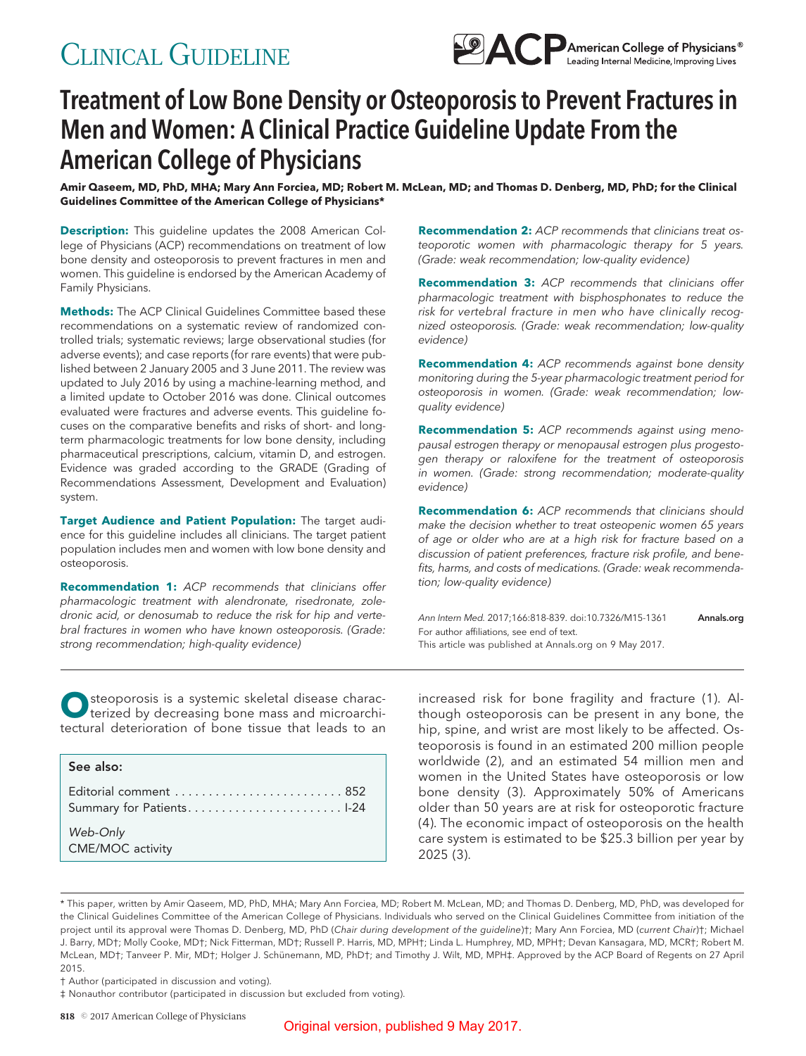# CLINICAL GUIDELINE



# Treatment of Low Bone Density or Osteoporosis to Prevent Fractures in Men and Women: A Clinical Practice Guideline Update From the American College of Physicians

**Amir Qaseem, MD, PhD, MHA; Mary Ann Forciea, MD; Robert M. McLean, MD; and Thomas D. Denberg, MD, PhD; for the Clinical Guidelines Committee of the American College of Physicians\***

**Description:** This guideline updates the 2008 American College of Physicians (ACP) recommendations on treatment of low bone density and osteoporosis to prevent fractures in men and women. This guideline is endorsed by the American Academy of Family Physicians.

**Methods:** The ACP Clinical Guidelines Committee based these recommendations on a systematic review of randomized controlled trials; systematic reviews; large observational studies (for adverse events); and case reports (for rare events) that were published between 2 January 2005 and 3 June 2011. The review was updated to July 2016 by using a machine-learning method, and a limited update to October 2016 was done. Clinical outcomes evaluated were fractures and adverse events. This guideline focuses on the comparative benefits and risks of short- and longterm pharmacologic treatments for low bone density, including pharmaceutical prescriptions, calcium, vitamin D, and estrogen. Evidence was graded according to the GRADE (Grading of Recommendations Assessment, Development and Evaluation) system.

**Target Audience and Patient Population:** The target audience for this guideline includes all clinicians. The target patient population includes men and women with low bone density and osteoporosis.

**Recommendation 1:** ACP recommends that clinicians offer pharmacologic treatment with alendronate, risedronate, zoledronic acid, or denosumab to reduce the risk for hip and vertebral fractures in women who have known osteoporosis. (Grade: strong recommendation; high-quality evidence)

**Recommendation 2:** ACP recommends that clinicians treat osteoporotic women with pharmacologic therapy for 5 years. (Grade: weak recommendation; low-quality evidence)

**Recommendation 3:** ACP recommends that clinicians offer pharmacologic treatment with bisphosphonates to reduce the risk for vertebral fracture in men who have clinically recognized osteoporosis. (Grade: weak recommendation; low-quality evidence)

**Recommendation 4:** ACP recommends against bone density monitoring during the 5-year pharmacologic treatment period for osteoporosis in women. (Grade: weak recommendation; lowquality evidence)

**Recommendation 5:** ACP recommends against using menopausal estrogen therapy or menopausal estrogen plus progestogen therapy or raloxifene for the treatment of osteoporosis in women. (Grade: strong recommendation; moderate-quality evidence)

**Recommendation 6:** ACP recommends that clinicians should make the decision whether to treat osteopenic women 65 years of age or older who are at a high risk for fracture based on a discussion of patient preferences, fracture risk profile, and benefits, harms, and costs of medications. (Grade: weak recommendation; low-quality evidence)

Ann Intern Med. 2017;166:818-839. doi:10.7326/M15-1361 **[Annals.org](http://www.annals.org)** For author affiliations, see end of text. This article was published at [Annals.org](http://www.annals.org) on 9 May 2017.

steoporosis is a systemic skeletal disease characterized by decreasing bone mass and microarchitectural deterioration of bone tissue that leads to an

| See also:                    |
|------------------------------|
|                              |
| Web-Only<br>CME/MOC activity |

increased risk for bone fragility and fracture (1). Although osteoporosis can be present in any bone, the hip, spine, and wrist are most likely to be affected. Osteoporosis is found in an estimated 200 million people worldwide (2), and an estimated 54 million men and women in the United States have osteoporosis or low bone density (3). Approximately 50% of Americans older than 50 years are at risk for osteoporotic fracture (4). The economic impact of osteoporosis on the health care system is estimated to be \$25.3 billion per year by 2025 (3).

† Author (participated in discussion and voting).

‡ Nonauthor contributor (participated in discussion but excluded from voting).

<sup>\*</sup> This paper, written by Amir Qaseem, MD, PhD, MHA; Mary Ann Forciea, MD; Robert M. McLean, MD; and Thomas D. Denberg, MD, PhD, was developed for the Clinical Guidelines Committee of the American College of Physicians. Individuals who served on the Clinical Guidelines Committee from initiation of the project until its approval were Thomas D. Denberg, MD, PhD (Chair during development of the guideline)†; Mary Ann Forciea, MD (current Chair)†; Michael J. Barry, MD†; Molly Cooke, MD†; Nick Fitterman, MD†; Russell P. Harris, MD, MPH†; Linda L. Humphrey, MD, MPH†; Devan Kansagara, MD, MCR†; Robert M. McLean, MD†; Tanveer P. Mir, MD†; Holger J. Schünemann, MD, PhD†; and Timothy J. Wilt, MD, MPH‡. Approved by the ACP Board of Regents on 27 April 2015.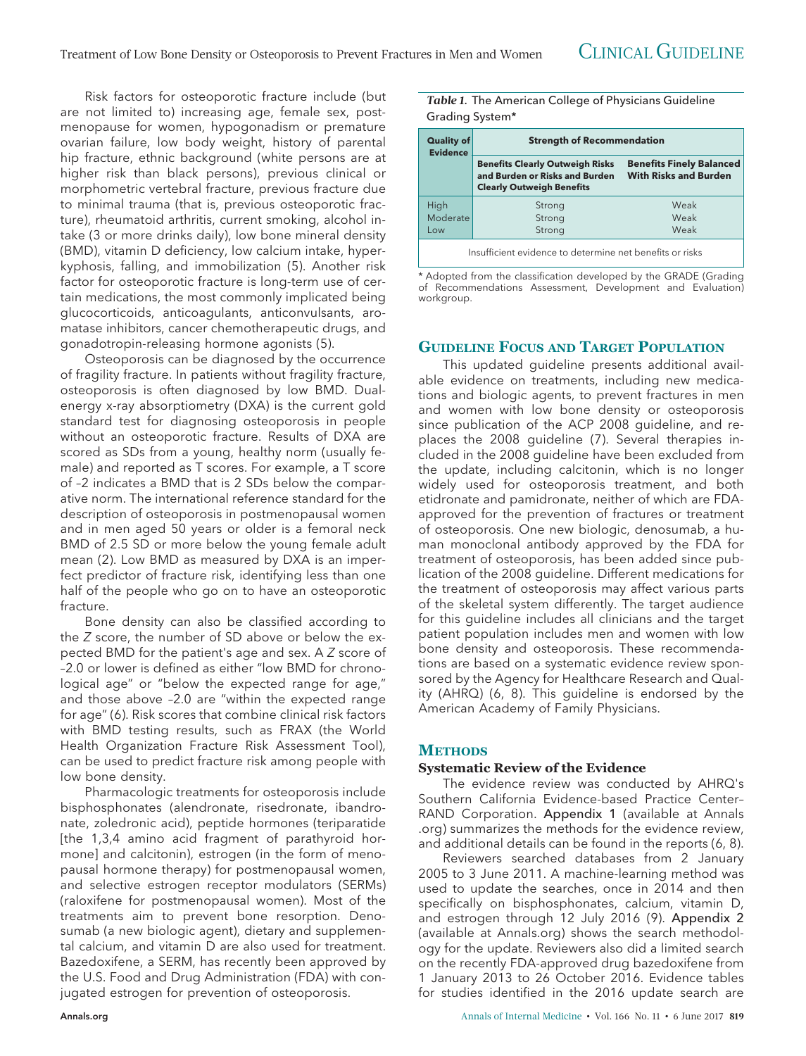Risk factors for osteoporotic fracture include (but are not limited to) increasing age, female sex, postmenopause for women, hypogonadism or premature ovarian failure, low body weight, history of parental hip fracture, ethnic background (white persons are at higher risk than black persons), previous clinical or morphometric vertebral fracture, previous fracture due to minimal trauma (that is, previous osteoporotic fracture), rheumatoid arthritis, current smoking, alcohol intake (3 or more drinks daily), low bone mineral density (BMD), vitamin D deficiency, low calcium intake, hyperkyphosis, falling, and immobilization (5). Another risk factor for osteoporotic fracture is long-term use of certain medications, the most commonly implicated being glucocorticoids, anticoagulants, anticonvulsants, aromatase inhibitors, cancer chemotherapeutic drugs, and gonadotropin-releasing hormone agonists (5).

Osteoporosis can be diagnosed by the occurrence of fragility fracture. In patients without fragility fracture, osteoporosis is often diagnosed by low BMD. Dualenergy x-ray absorptiometry (DXA) is the current gold standard test for diagnosing osteoporosis in people without an osteoporotic fracture. Results of DXA are scored as SDs from a young, healthy norm (usually female) and reported as T scores. For example, a T score of –2 indicates a BMD that is 2 SDs below the comparative norm. The international reference standard for the description of osteoporosis in postmenopausal women and in men aged 50 years or older is a femoral neck BMD of 2.5 SD or more below the young female adult mean (2). Low BMD as measured by DXA is an imperfect predictor of fracture risk, identifying less than one half of the people who go on to have an osteoporotic fracture.

Bone density can also be classified according to the Z score, the number of SD above or below the expected BMD for the patient's age and sex. A Z score of –2.0 or lower is defined as either "low BMD for chronological age" or "below the expected range for age," and those above –2.0 are "within the expected range for age" (6). Risk scores that combine clinical risk factors with BMD testing results, such as FRAX (the World Health Organization Fracture Risk Assessment Tool), can be used to predict fracture risk among people with low bone density.

Pharmacologic treatments for osteoporosis include bisphosphonates (alendronate, risedronate, ibandronate, zoledronic acid), peptide hormones (teriparatide [the 1,3,4 amino acid fragment of parathyroid hormone] and calcitonin), estrogen (in the form of menopausal hormone therapy) for postmenopausal women, and selective estrogen receptor modulators (SERMs) (raloxifene for postmenopausal women). Most of the treatments aim to prevent bone resorption. Denosumab (a new biologic agent), dietary and supplemental calcium, and vitamin D are also used for treatment. Bazedoxifene, a SERM, has recently been approved by the U.S. Food and Drug Administration (FDA) with conjugated estrogen for prevention of osteoporosis.

*Table 1.* The American College of Physicians Guideline Grading System\*

| <b>Quality of</b><br><b>Evidence</b> | <b>Strength of Recommendation</b>                                                                            |                                                                 |
|--------------------------------------|--------------------------------------------------------------------------------------------------------------|-----------------------------------------------------------------|
|                                      | <b>Benefits Clearly Outweigh Risks</b><br>and Burden or Risks and Burden<br><b>Clearly Outweigh Benefits</b> | <b>Benefits Finely Balanced</b><br><b>With Risks and Burden</b> |
| High<br>Moderate<br>Low              | Strong<br>Strong<br>Strong                                                                                   | Weak<br>Weak<br>Weak                                            |
|                                      | Insufficient evidence to determine net benefits or risks                                                     |                                                                 |

\* Adopted from the classification developed by the GRADE (Grading of Recommendations Assessment, Development and Evaluation) workgroup.

## **GUIDELINE FOCUS AND TARGET POPULATION**

This updated guideline presents additional available evidence on treatments, including new medications and biologic agents, to prevent fractures in men and women with low bone density or osteoporosis since publication of the ACP 2008 guideline, and replaces the 2008 guideline (7). Several therapies included in the 2008 guideline have been excluded from the update, including calcitonin, which is no longer widely used for osteoporosis treatment, and both etidronate and pamidronate, neither of which are FDAapproved for the prevention of fractures or treatment of osteoporosis. One new biologic, denosumab, a human monoclonal antibody approved by the FDA for treatment of osteoporosis, has been added since publication of the 2008 guideline. Different medications for the treatment of osteoporosis may affect various parts of the skeletal system differently. The target audience for this guideline includes all clinicians and the target patient population includes men and women with low bone density and osteoporosis. These recommendations are based on a systematic evidence review sponsored by the Agency for Healthcare Research and Quality (AHRQ) (6, 8). This guideline is endorsed by the American Academy of Family Physicians.

## **METHODS**

## **Systematic Review of the Evidence**

The evidence review was conducted by AHRQ's Southern California Evidence-based Practice Center– RAND Corporation. Appendix 1 (available at [Annals](http://www.annals.org) [.org\)](http://www.annals.org) summarizes the methods for the evidence review, and additional details can be found in the reports (6, 8).

Reviewers searched databases from 2 January 2005 to 3 June 2011. A machine-learning method was used to update the searches, once in 2014 and then specifically on bisphosphonates, calcium, vitamin D, and estrogen through 12 July 2016 (9). Appendix 2 (available at [Annals.org\)](http://www.annals.org) shows the search methodology for the update. Reviewers also did a limited search on the recently FDA-approved drug bazedoxifene from 1 January 2013 to 26 October 2016. Evidence tables for studies identified in the 2016 update search are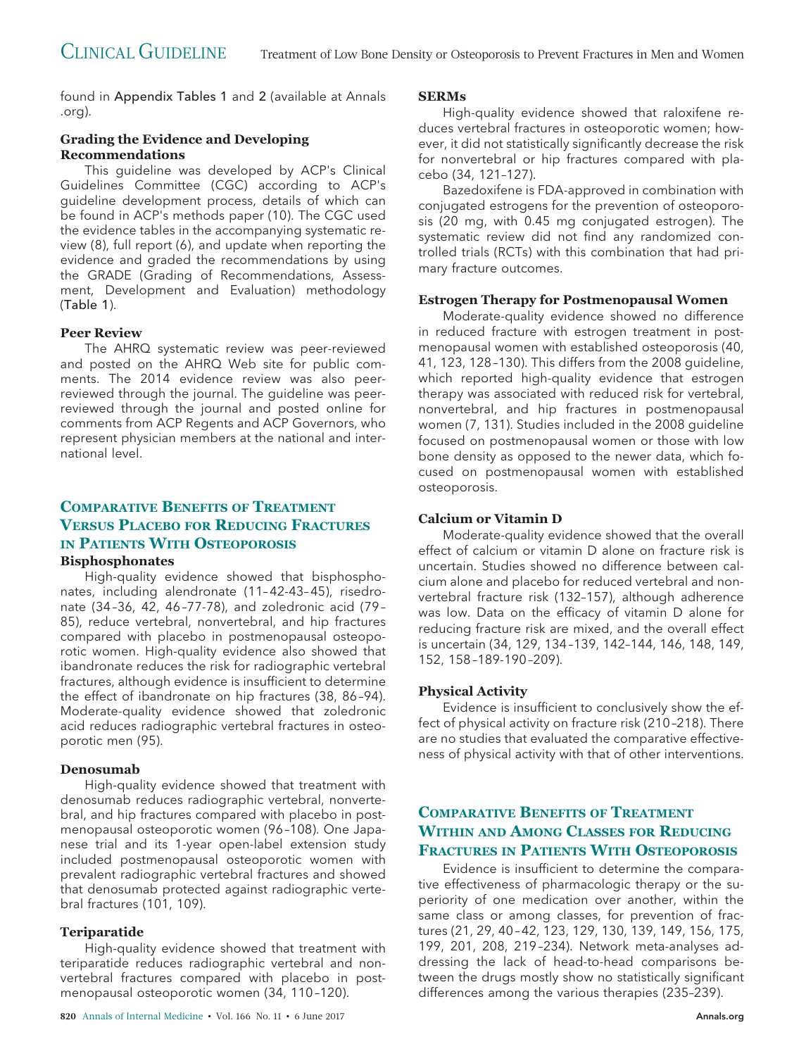found in Appendix Tables 1 and 2 (available at [Annals](http://www.annals.org) [.org\)](http://www.annals.org).

## **Grading the Evidence and Developing Recommendations**

This guideline was developed by ACP's Clinical Guidelines Committee (CGC) according to ACP's guideline development process, details of which can be found in ACP's methods paper (10). The CGC used the evidence tables in the accompanying systematic review (8), full report (6), and update when reporting the evidence and graded the recommendations by using the GRADE (Grading of Recommendations, Assessment, Development and Evaluation) methodology (Table 1).

## **Peer Review**

The AHRQ systematic review was peer-reviewed and posted on the AHRQ Web site for public comments. The 2014 evidence review was also peerreviewed through the journal. The guideline was peerreviewed through the journal and posted online for comments from ACP Regents and ACP Governors, who represent physician members at the national and international level.

# **COMPARATIVE BENEFITS OF TREATMENT VERSUS PLACEBO FOR REDUCING FRACTURES IN PATIENTS WITH OSTEOPOROSIS**

## **Bisphosphonates**

High-quality evidence showed that bisphosphonates, including alendronate (11– 42-43– 45), risedronate (34 –36, 42, 46 –77-78), and zoledronic acid (79 – 85), reduce vertebral, nonvertebral, and hip fractures compared with placebo in postmenopausal osteoporotic women. High-quality evidence also showed that ibandronate reduces the risk for radiographic vertebral fractures, although evidence is insufficient to determine the effect of ibandronate on hip fractures (38, 86 –94). Moderate-quality evidence showed that zoledronic acid reduces radiographic vertebral fractures in osteoporotic men (95).

## **Denosumab**

High-quality evidence showed that treatment with denosumab reduces radiographic vertebral, nonvertebral, and hip fractures compared with placebo in postmenopausal osteoporotic women (96 –108). One Japanese trial and its 1-year open-label extension study included postmenopausal osteoporotic women with prevalent radiographic vertebral fractures and showed that denosumab protected against radiographic vertebral fractures (101, 109).

## **Teriparatide**

High-quality evidence showed that treatment with teriparatide reduces radiographic vertebral and nonvertebral fractures compared with placebo in postmenopausal osteoporotic women (34, 110 –120).

#### **SERMs**

High-quality evidence showed that raloxifene reduces vertebral fractures in osteoporotic women; however, it did not statistically significantly decrease the risk for nonvertebral or hip fractures compared with placebo (34, 121–127).

Bazedoxifene is FDA-approved in combination with conjugated estrogens for the prevention of osteoporosis (20 mg, with 0.45 mg conjugated estrogen). The systematic review did not find any randomized controlled trials (RCTs) with this combination that had primary fracture outcomes.

### **Estrogen Therapy for Postmenopausal Women**

Moderate-quality evidence showed no difference in reduced fracture with estrogen treatment in postmenopausal women with established osteoporosis (40, 41, 123, 128 –130). This differs from the 2008 guideline, which reported high-quality evidence that estrogen therapy was associated with reduced risk for vertebral, nonvertebral, and hip fractures in postmenopausal women (7, 131). Studies included in the 2008 guideline focused on postmenopausal women or those with low bone density as opposed to the newer data, which focused on postmenopausal women with established osteoporosis.

## **Calcium or Vitamin D**

Moderate-quality evidence showed that the overall effect of calcium or vitamin D alone on fracture risk is uncertain. Studies showed no difference between calcium alone and placebo for reduced vertebral and nonvertebral fracture risk (132–157), although adherence was low. Data on the efficacy of vitamin D alone for reducing fracture risk are mixed, and the overall effect is uncertain (34, 129, 134 –139, 142–144, 146, 148, 149, 152, 158 –189-190 –209).

## **Physical Activity**

Evidence is insufficient to conclusively show the effect of physical activity on fracture risk (210 –218). There are no studies that evaluated the comparative effectiveness of physical activity with that of other interventions.

# **COMPARATIVE BENEFITS OF TREATMENT WITHIN AND AMONG CLASSES FOR REDUCING FRACTURES IN PATIENTS WITH OSTEOPOROSIS**

Evidence is insufficient to determine the comparative effectiveness of pharmacologic therapy or the superiority of one medication over another, within the same class or among classes, for prevention of fractures (21, 29, 40 – 42, 123, 129, 130, 139, 149, 156, 175, 199, 201, 208, 219 –234). Network meta-analyses addressing the lack of head-to-head comparisons between the drugs mostly show no statistically significant differences among the various therapies (235–239).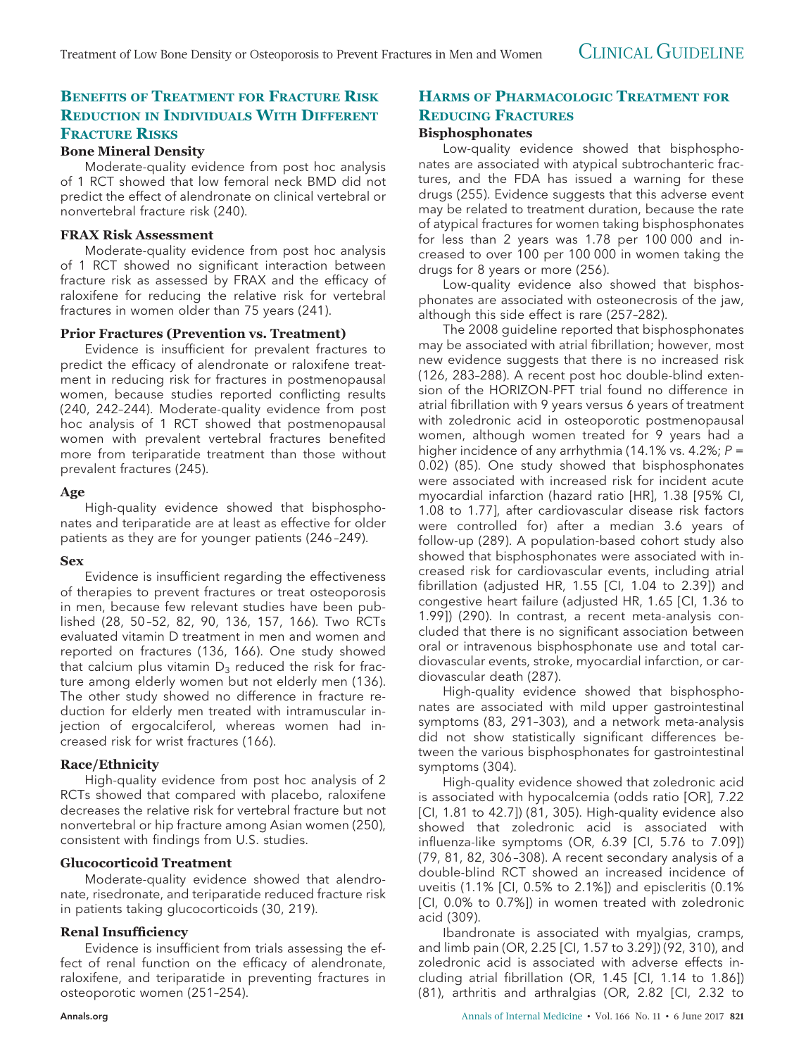# **BENEFITS OF TREATMENT FOR FRACTURE RISK REDUCTION IN INDIVIDUALS WITH DIFFERENT FRACTURE RISKS**

## **Bone Mineral Density**

Moderate-quality evidence from post hoc analysis of 1 RCT showed that low femoral neck BMD did not predict the effect of alendronate on clinical vertebral or nonvertebral fracture risk (240).

#### **FRAX Risk Assessment**

Moderate-quality evidence from post hoc analysis of 1 RCT showed no significant interaction between fracture risk as assessed by FRAX and the efficacy of raloxifene for reducing the relative risk for vertebral fractures in women older than 75 years (241).

#### **Prior Fractures (Prevention vs. Treatment)**

Evidence is insufficient for prevalent fractures to predict the efficacy of alendronate or raloxifene treatment in reducing risk for fractures in postmenopausal women, because studies reported conflicting results (240, 242–244). Moderate-quality evidence from post hoc analysis of 1 RCT showed that postmenopausal women with prevalent vertebral fractures benefited more from teriparatide treatment than those without prevalent fractures (245).

#### **Age**

High-quality evidence showed that bisphosphonates and teriparatide are at least as effective for older patients as they are for younger patients (246 –249).

## **Sex**

Evidence is insufficient regarding the effectiveness of therapies to prevent fractures or treat osteoporosis in men, because few relevant studies have been published (28, 50 –52, 82, 90, 136, 157, 166). Two RCTs evaluated vitamin D treatment in men and women and reported on fractures (136, 166). One study showed that calcium plus vitamin  $D_3$  reduced the risk for fracture among elderly women but not elderly men (136). The other study showed no difference in fracture reduction for elderly men treated with intramuscular injection of ergocalciferol, whereas women had increased risk for wrist fractures (166).

## **Race/Ethnicity**

High-quality evidence from post hoc analysis of 2 RCTs showed that compared with placebo, raloxifene decreases the relative risk for vertebral fracture but not nonvertebral or hip fracture among Asian women (250), consistent with findings from U.S. studies.

## **Glucocorticoid Treatment**

Moderate-quality evidence showed that alendronate, risedronate, and teriparatide reduced fracture risk in patients taking glucocorticoids (30, 219).

## **Renal Insufficiency**

Evidence is insufficient from trials assessing the effect of renal function on the efficacy of alendronate, raloxifene, and teriparatide in preventing fractures in osteoporotic women (251–254).

# **HARMS OF PHARMACOLOGIC TREATMENT FOR REDUCING FRACTURES**

## **Bisphosphonates**

Low-quality evidence showed that bisphosphonates are associated with atypical subtrochanteric fractures, and the FDA has issued a warning for these drugs (255). Evidence suggests that this adverse event may be related to treatment duration, because the rate of atypical fractures for women taking bisphosphonates for less than 2 years was 1.78 per 100 000 and increased to over 100 per 100 000 in women taking the drugs for 8 years or more (256).

Low-quality evidence also showed that bisphosphonates are associated with osteonecrosis of the jaw, although this side effect is rare (257–282).

The 2008 guideline reported that bisphosphonates may be associated with atrial fibrillation; however, most new evidence suggests that there is no increased risk (126, 283–288). A recent post hoc double-blind extension of the HORIZON-PFT trial found no difference in atrial fibrillation with 9 years versus 6 years of treatment with zoledronic acid in osteoporotic postmenopausal women, although women treated for 9 years had a higher incidence of any arrhythmia (14.1% vs. 4.2%;  $P =$ 0.02) (85). One study showed that bisphosphonates were associated with increased risk for incident acute myocardial infarction (hazard ratio [HR], 1.38 [95% CI, 1.08 to 1.77], after cardiovascular disease risk factors were controlled for) after a median 3.6 years of follow-up (289). A population-based cohort study also showed that bisphosphonates were associated with increased risk for cardiovascular events, including atrial fibrillation (adjusted HR, 1.55 [CI, 1.04 to 2.39]) and congestive heart failure (adjusted HR, 1.65 [CI, 1.36 to 1.99]) (290). In contrast, a recent meta-analysis concluded that there is no significant association between oral or intravenous bisphosphonate use and total cardiovascular events, stroke, myocardial infarction, or cardiovascular death (287).

High-quality evidence showed that bisphosphonates are associated with mild upper gastrointestinal symptoms (83, 291–303), and a network meta-analysis did not show statistically significant differences between the various bisphosphonates for gastrointestinal symptoms (304).

High-quality evidence showed that zoledronic acid is associated with hypocalcemia (odds ratio [OR], 7.22 [CI, 1.81 to 42.7]) (81, 305). High-quality evidence also showed that zoledronic acid is associated with influenza-like symptoms (OR, 6.39 [CI, 5.76 to 7.09]) (79, 81, 82, 306 –308). A recent secondary analysis of a double-blind RCT showed an increased incidence of uveitis (1.1% [CI, 0.5% to 2.1%]) and episcleritis (0.1% [CI, 0.0% to 0.7%]) in women treated with zoledronic acid (309).

Ibandronate is associated with myalgias, cramps, and limb pain (OR, 2.25 [CI, 1.57 to 3.29]) (92, 310), and zoledronic acid is associated with adverse effects including atrial fibrillation (OR, 1.45 [CI, 1.14 to 1.86]) (81), arthritis and arthralgias (OR, 2.82 [CI, 2.32 to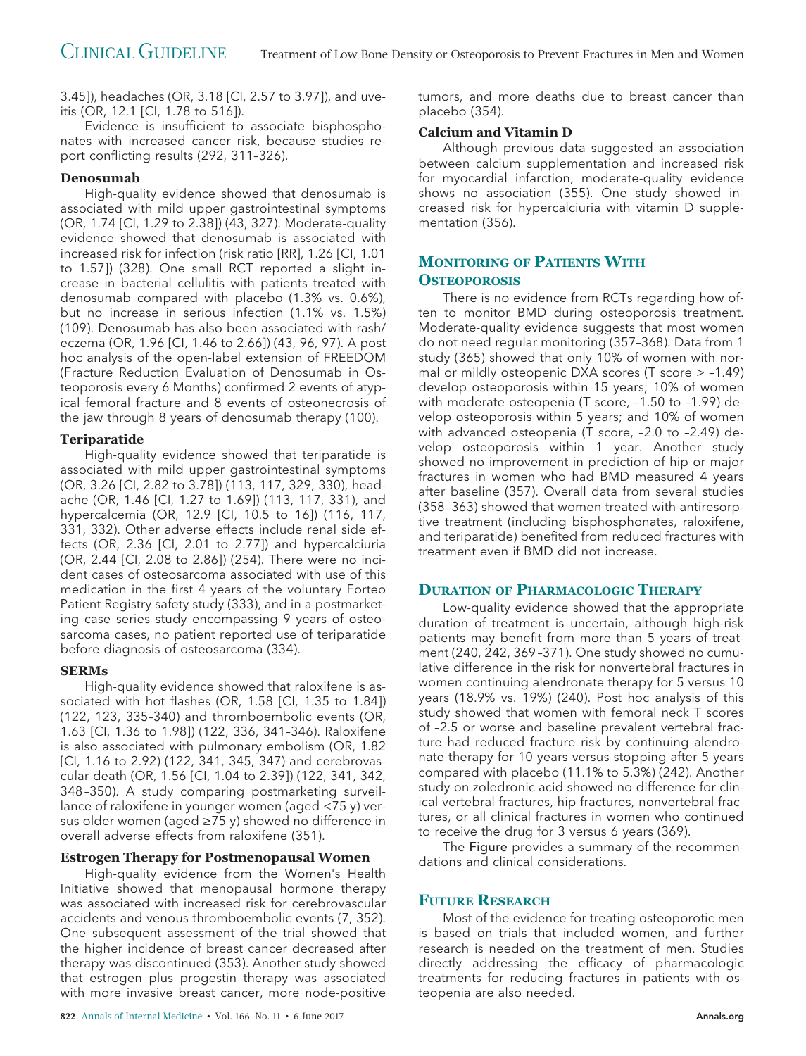3.45]), headaches (OR, 3.18 [CI, 2.57 to 3.97]), and uveitis (OR, 12.1 [CI, 1.78 to 516]).

Evidence is insufficient to associate bisphosphonates with increased cancer risk, because studies report conflicting results (292, 311–326).

## **Denosumab**

High-quality evidence showed that denosumab is associated with mild upper gastrointestinal symptoms (OR, 1.74 [CI, 1.29 to 2.38]) (43, 327). Moderate-quality evidence showed that denosumab is associated with increased risk for infection (risk ratio [RR], 1.26 [CI, 1.01 to 1.57]) (328). One small RCT reported a slight increase in bacterial cellulitis with patients treated with denosumab compared with placebo (1.3% vs. 0.6%), but no increase in serious infection (1.1% vs. 1.5%) (109). Denosumab has also been associated with rash/ eczema (OR, 1.96 [CI, 1.46 to 2.66]) (43, 96, 97). A post hoc analysis of the open-label extension of FREEDOM (Fracture Reduction Evaluation of Denosumab in Osteoporosis every 6 Months) confirmed 2 events of atypical femoral fracture and 8 events of osteonecrosis of the jaw through 8 years of denosumab therapy (100).

## **Teriparatide**

High-quality evidence showed that teriparatide is associated with mild upper gastrointestinal symptoms (OR, 3.26 [CI, 2.82 to 3.78]) (113, 117, 329, 330), headache (OR, 1.46 [CI, 1.27 to 1.69]) (113, 117, 331), and hypercalcemia (OR, 12.9 [CI, 10.5 to 16]) (116, 117, 331, 332). Other adverse effects include renal side effects (OR, 2.36 [CI, 2.01 to 2.77]) and hypercalciuria (OR, 2.44 [CI, 2.08 to 2.86]) (254). There were no incident cases of osteosarcoma associated with use of this medication in the first 4 years of the voluntary Forteo Patient Registry safety study (333), and in a postmarketing case series study encompassing 9 years of osteosarcoma cases, no patient reported use of teriparatide before diagnosis of osteosarcoma (334).

## **SERMs**

High-quality evidence showed that raloxifene is associated with hot flashes (OR, 1.58 [CI, 1.35 to 1.84]) (122, 123, 335–340) and thromboembolic events (OR, 1.63 [CI, 1.36 to 1.98]) (122, 336, 341–346). Raloxifene is also associated with pulmonary embolism (OR, 1.82 [CI, 1.16 to 2.92) (122, 341, 345, 347) and cerebrovascular death (OR, 1.56 [CI, 1.04 to 2.39]) (122, 341, 342, 348 –350). A study comparing postmarketing surveillance of raloxifene in younger women (aged <75 y) versus older women (aged  $\geq$ 75 y) showed no difference in overall adverse effects from raloxifene (351).

## **Estrogen Therapy for Postmenopausal Women**

High-quality evidence from the Women's Health Initiative showed that menopausal hormone therapy was associated with increased risk for cerebrovascular accidents and venous thromboembolic events (7, 352). One subsequent assessment of the trial showed that the higher incidence of breast cancer decreased after therapy was discontinued (353). Another study showed that estrogen plus progestin therapy was associated with more invasive breast cancer, more node-positive

tumors, and more deaths due to breast cancer than placebo (354).

## **Calcium and Vitamin D**

Although previous data suggested an association between calcium supplementation and increased risk for myocardial infarction, moderate-quality evidence shows no association (355). One study showed increased risk for hypercalciuria with vitamin D supplementation (356).

# **MONITORING OF PATIENTS WITH OSTEOPOROSIS**

There is no evidence from RCTs regarding how often to monitor BMD during osteoporosis treatment. Moderate-quality evidence suggests that most women do not need regular monitoring (357–368). Data from 1 study (365) showed that only 10% of women with normal or mildly osteopenic DXA scores (T score > –1.49) develop osteoporosis within 15 years; 10% of women with moderate osteopenia (T score, –1.50 to –1.99) develop osteoporosis within 5 years; and 10% of women with advanced osteopenia (T score, –2.0 to –2.49) develop osteoporosis within 1 year. Another study showed no improvement in prediction of hip or major fractures in women who had BMD measured 4 years after baseline (357). Overall data from several studies (358 –363) showed that women treated with antiresorptive treatment (including bisphosphonates, raloxifene, and teriparatide) benefited from reduced fractures with treatment even if BMD did not increase.

## **DURATION OF PHARMACOLOGIC THERAPY**

Low-quality evidence showed that the appropriate duration of treatment is uncertain, although high-risk patients may benefit from more than 5 years of treatment (240, 242, 369 –371). One study showed no cumulative difference in the risk for nonvertebral fractures in women continuing alendronate therapy for 5 versus 10 years (18.9% vs. 19%) (240). Post hoc analysis of this study showed that women with femoral neck T scores of –2.5 or worse and baseline prevalent vertebral fracture had reduced fracture risk by continuing alendronate therapy for 10 years versus stopping after 5 years compared with placebo (11.1% to 5.3%) (242). Another study on zoledronic acid showed no difference for clinical vertebral fractures, hip fractures, nonvertebral fractures, or all clinical fractures in women who continued to receive the drug for 3 versus 6 years (369).

The Figure provides a summary of the recommendations and clinical considerations.

# **FUTURE RESEARCH**

Most of the evidence for treating osteoporotic men is based on trials that included women, and further research is needed on the treatment of men. Studies directly addressing the efficacy of pharmacologic treatments for reducing fractures in patients with osteopenia are also needed.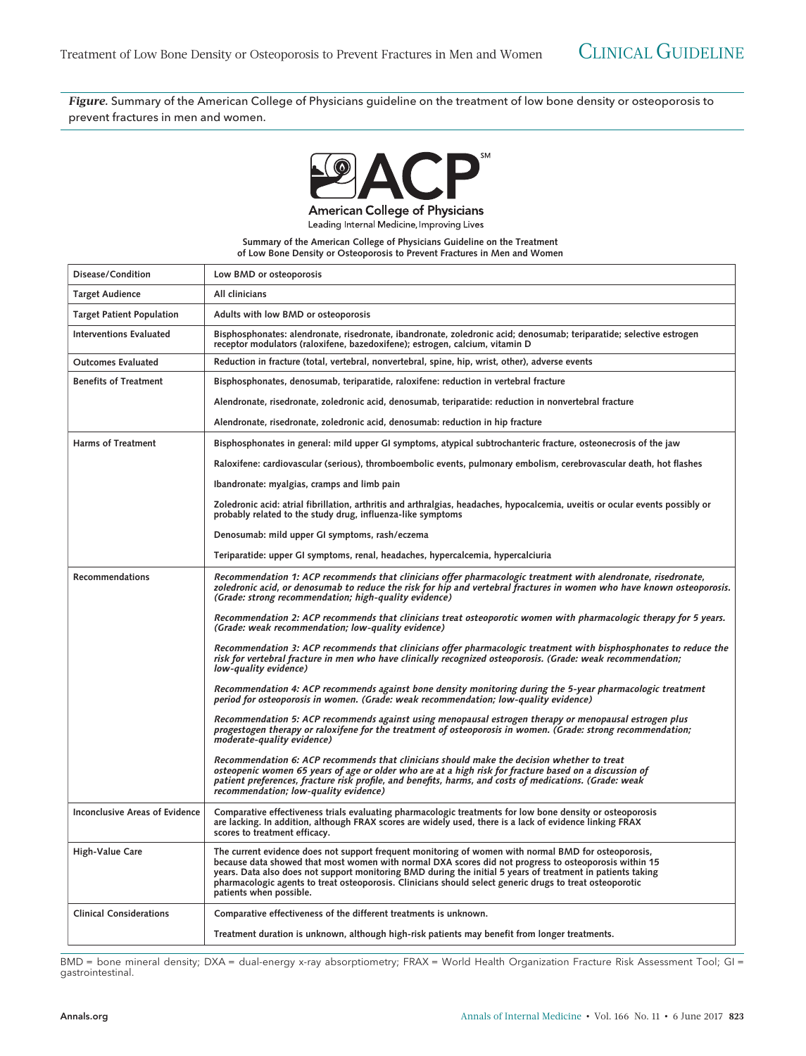*Figure.* Summary of the American College of Physicians guideline on the treatment of low bone density or osteoporosis to prevent fractures in men and women.



Leading Internal Medicine, Improving Lives

**Summary of the American College of Physicians Guideline on the Treatment of Low Bone Density or Osteoporosis to Prevent Fractures in Men and Women**

| Disease/Condition                     | Low BMD or osteoporosis                                                                                                                                                                                                                                                                                                                                                                                                                                              |
|---------------------------------------|----------------------------------------------------------------------------------------------------------------------------------------------------------------------------------------------------------------------------------------------------------------------------------------------------------------------------------------------------------------------------------------------------------------------------------------------------------------------|
| <b>Target Audience</b>                | All clinicians                                                                                                                                                                                                                                                                                                                                                                                                                                                       |
| <b>Target Patient Population</b>      | Adults with low BMD or osteoporosis                                                                                                                                                                                                                                                                                                                                                                                                                                  |
| Interventions Evaluated               | Bisphosphonates: alendronate, risedronate, ibandronate, zoledronic acid; denosumab; teriparatide; selective estrogen<br>receptor modulators (raloxifene, bazedoxifene); estrogen, calcium, vitamin D                                                                                                                                                                                                                                                                 |
| Outcomes Evaluated                    | Reduction in fracture (total, vertebral, nonvertebral, spine, hip, wrist, other), adverse events                                                                                                                                                                                                                                                                                                                                                                     |
| <b>Benefits of Treatment</b>          | Bisphosphonates, denosumab, teriparatide, raloxifene: reduction in vertebral fracture                                                                                                                                                                                                                                                                                                                                                                                |
|                                       | Alendronate, risedronate, zoledronic acid, denosumab, teriparatide: reduction in nonvertebral fracture                                                                                                                                                                                                                                                                                                                                                               |
|                                       | Alendronate, risedronate, zoledronic acid, denosumab: reduction in hip fracture                                                                                                                                                                                                                                                                                                                                                                                      |
| <b>Harms of Treatment</b>             | Bisphosphonates in general: mild upper GI symptoms, atypical subtrochanteric fracture, osteonecrosis of the jaw                                                                                                                                                                                                                                                                                                                                                      |
|                                       | Raloxifene: cardiovascular (serious), thromboembolic events, pulmonary embolism, cerebrovascular death, hot flashes                                                                                                                                                                                                                                                                                                                                                  |
|                                       | Ibandronate: myalgias, cramps and limb pain                                                                                                                                                                                                                                                                                                                                                                                                                          |
|                                       | Zoledronic acid: atrial fibrillation, arthritis and arthralgias, headaches, hypocalcemia, uveitis or ocular events possibly or<br>probably related to the study drug, influenza-like symptoms                                                                                                                                                                                                                                                                        |
|                                       | Denosumab: mild upper GI symptoms, rash/eczema                                                                                                                                                                                                                                                                                                                                                                                                                       |
|                                       | Teriparatide: upper GI symptoms, renal, headaches, hypercalcemia, hypercalciuria                                                                                                                                                                                                                                                                                                                                                                                     |
| Recommendations                       | Recommendation 1: ACP recommends that clinicians offer pharmacologic treatment with alendronate, risedronate,<br>zoledronic acid, or denosumab to reduce the risk for hip and vertebral fractures in women who have known osteoporosis.<br>(Grade: strong recommendation; high-quality evidence)                                                                                                                                                                     |
|                                       | Recommendation 2: ACP recommends that clinicians treat osteoporotic women with pharmacologic therapy for 5 years.<br>(Grade: weak recommendation; low-quality evidence)                                                                                                                                                                                                                                                                                              |
|                                       | Recommendation 3: ACP recommends that clinicians offer pharmacologic treatment with bisphosphonates to reduce the<br>risk for vertebral fracture in men who have clinically recognized osteoporosis. (Grade: weak recommendation;<br>low-quality evidence)                                                                                                                                                                                                           |
|                                       | Recommendation 4: ACP recommends against bone density monitoring during the 5-year pharmacologic treatment<br>period for osteoporosis in women. (Grade: weak recommendation; low-quality evidence)                                                                                                                                                                                                                                                                   |
|                                       | Recommendation 5: ACP recommends against using menopausal estrogen therapy or menopausal estrogen plus<br>progestogen therapy or raloxifene for the treatment of osteoporosis in women. (Grade: strong recommendation;<br>moderate-quality evidence)                                                                                                                                                                                                                 |
|                                       | Recommendation 6: ACP recommends that clinicians should make the decision whether to treat<br>osteopenic women 65 years of age or older who are at a high risk for fracture based on a discussion of<br>patient preferences, fracture risk profile, and benefits, harms, and costs of medications. (Grade: weak<br>recommendation; low-quality evidence)                                                                                                             |
| <b>Inconclusive Areas of Evidence</b> | Comparative effectiveness trials evaluating pharmacologic treatments for low bone density or osteoporosis<br>are lacking. In addition, although FRAX scores are widely used, there is a lack of evidence linking FRAX<br>scores to treatment efficacy.                                                                                                                                                                                                               |
| High-Value Care                       | The current evidence does not support frequent monitoring of women with normal BMD for osteoporosis,<br>915 because data showed that most women with normal DXA scores did not progress to osteoporosis within<br>years. Data also does not support monitoring BMD during the initial 5 years of treatment in patients taking<br>pharmacologic agents to treat osteoporosis. Clinicians should select generic drugs to treat osteoporotic<br>patients when possible. |
| <b>Clinical Considerations</b>        | Comparative effectiveness of the different treatments is unknown.                                                                                                                                                                                                                                                                                                                                                                                                    |
|                                       | Treatment duration is unknown, although high-risk patients may benefit from longer treatments.                                                                                                                                                                                                                                                                                                                                                                       |

BMD = bone mineral density; DXA = dual-energy x-ray absorptiometry; FRAX = World Health Organization Fracture Risk Assessment Tool; GI = gastrointestinal.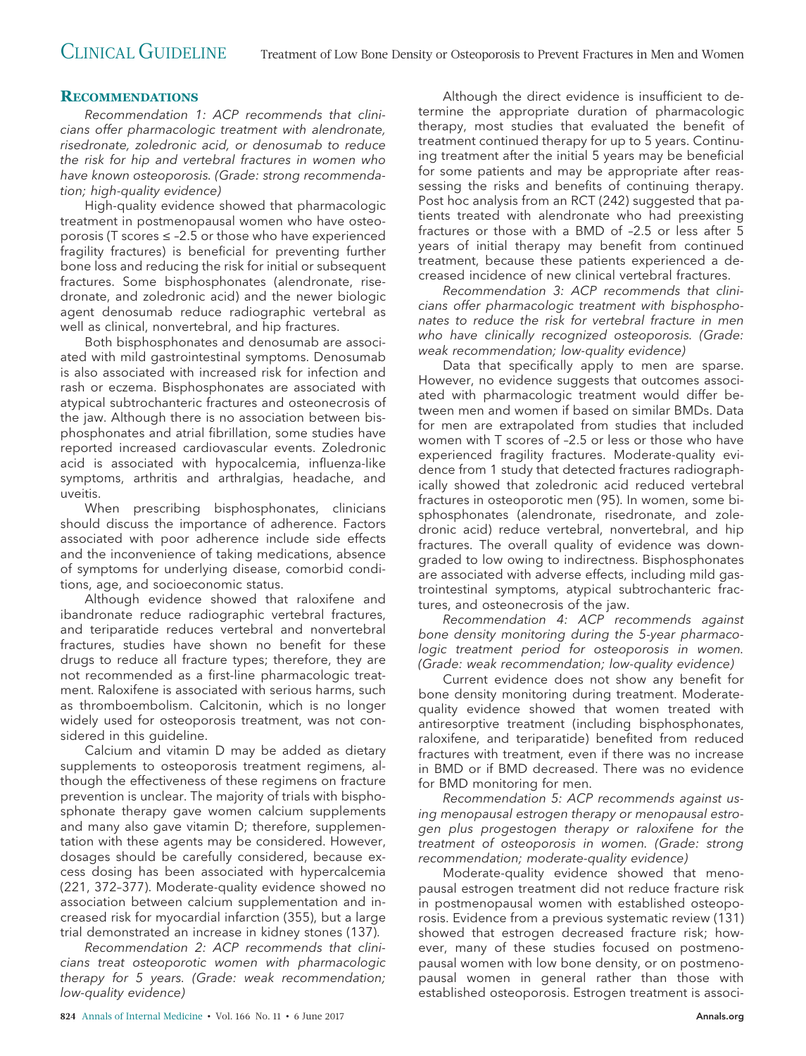## **RECOMMENDATIONS**

Recommendation 1: ACP recommends that clinicians offer pharmacologic treatment with alendronate, risedronate, zoledronic acid, or denosumab to reduce the risk for hip and vertebral fractures in women who have known osteoporosis. (Grade: strong recommendation; high-quality evidence)

High-quality evidence showed that pharmacologic treatment in postmenopausal women who have osteoporosis (T scores ≤ –2.5 or those who have experienced fragility fractures) is beneficial for preventing further bone loss and reducing the risk for initial or subsequent fractures. Some bisphosphonates (alendronate, risedronate, and zoledronic acid) and the newer biologic agent denosumab reduce radiographic vertebral as well as clinical, nonvertebral, and hip fractures.

Both bisphosphonates and denosumab are associated with mild gastrointestinal symptoms. Denosumab is also associated with increased risk for infection and rash or eczema. Bisphosphonates are associated with atypical subtrochanteric fractures and osteonecrosis of the jaw. Although there is no association between bisphosphonates and atrial fibrillation, some studies have reported increased cardiovascular events. Zoledronic acid is associated with hypocalcemia, influenza-like symptoms, arthritis and arthralgias, headache, and uveitis.

When prescribing bisphosphonates, clinicians should discuss the importance of adherence. Factors associated with poor adherence include side effects and the inconvenience of taking medications, absence of symptoms for underlying disease, comorbid conditions, age, and socioeconomic status.

Although evidence showed that raloxifene and ibandronate reduce radiographic vertebral fractures, and teriparatide reduces vertebral and nonvertebral fractures, studies have shown no benefit for these drugs to reduce all fracture types; therefore, they are not recommended as a first-line pharmacologic treatment. Raloxifene is associated with serious harms, such as thromboembolism. Calcitonin, which is no longer widely used for osteoporosis treatment, was not considered in this guideline.

Calcium and vitamin D may be added as dietary supplements to osteoporosis treatment regimens, although the effectiveness of these regimens on fracture prevention is unclear. The majority of trials with bisphosphonate therapy gave women calcium supplements and many also gave vitamin D; therefore, supplementation with these agents may be considered. However, dosages should be carefully considered, because excess dosing has been associated with hypercalcemia (221, 372–377). Moderate-quality evidence showed no association between calcium supplementation and increased risk for myocardial infarction (355), but a large trial demonstrated an increase in kidney stones (137).

Recommendation 2: ACP recommends that clinicians treat osteoporotic women with pharmacologic therapy for 5 years. (Grade: weak recommendation; low-quality evidence)

Although the direct evidence is insufficient to determine the appropriate duration of pharmacologic therapy, most studies that evaluated the benefit of treatment continued therapy for up to 5 years. Continuing treatment after the initial 5 years may be beneficial for some patients and may be appropriate after reassessing the risks and benefits of continuing therapy. Post hoc analysis from an RCT (242) suggested that patients treated with alendronate who had preexisting fractures or those with a BMD of –2.5 or less after 5 years of initial therapy may benefit from continued treatment, because these patients experienced a decreased incidence of new clinical vertebral fractures.

Recommendation 3: ACP recommends that clinicians offer pharmacologic treatment with bisphosphonates to reduce the risk for vertebral fracture in men who have clinically recognized osteoporosis. (Grade: weak recommendation; low-quality evidence)

Data that specifically apply to men are sparse. However, no evidence suggests that outcomes associated with pharmacologic treatment would differ between men and women if based on similar BMDs. Data for men are extrapolated from studies that included women with T scores of –2.5 or less or those who have experienced fragility fractures. Moderate-quality evidence from 1 study that detected fractures radiographically showed that zoledronic acid reduced vertebral fractures in osteoporotic men (95). In women, some bisphosphonates (alendronate, risedronate, and zoledronic acid) reduce vertebral, nonvertebral, and hip fractures. The overall quality of evidence was downgraded to low owing to indirectness. Bisphosphonates are associated with adverse effects, including mild gastrointestinal symptoms, atypical subtrochanteric fractures, and osteonecrosis of the jaw.

Recommendation 4: ACP recommends against bone density monitoring during the 5-year pharmacologic treatment period for osteoporosis in women. (Grade: weak recommendation; low-quality evidence)

Current evidence does not show any benefit for bone density monitoring during treatment. Moderatequality evidence showed that women treated with antiresorptive treatment (including bisphosphonates, raloxifene, and teriparatide) benefited from reduced fractures with treatment, even if there was no increase in BMD or if BMD decreased. There was no evidence for BMD monitoring for men.

Recommendation 5: ACP recommends against using menopausal estrogen therapy or menopausal estrogen plus progestogen therapy or raloxifene for the treatment of osteoporosis in women. (Grade: strong recommendation; moderate-quality evidence)

Moderate-quality evidence showed that menopausal estrogen treatment did not reduce fracture risk in postmenopausal women with established osteoporosis. Evidence from a previous systematic review (131) showed that estrogen decreased fracture risk; however, many of these studies focused on postmenopausal women with low bone density, or on postmenopausal women in general rather than those with established osteoporosis. Estrogen treatment is associ-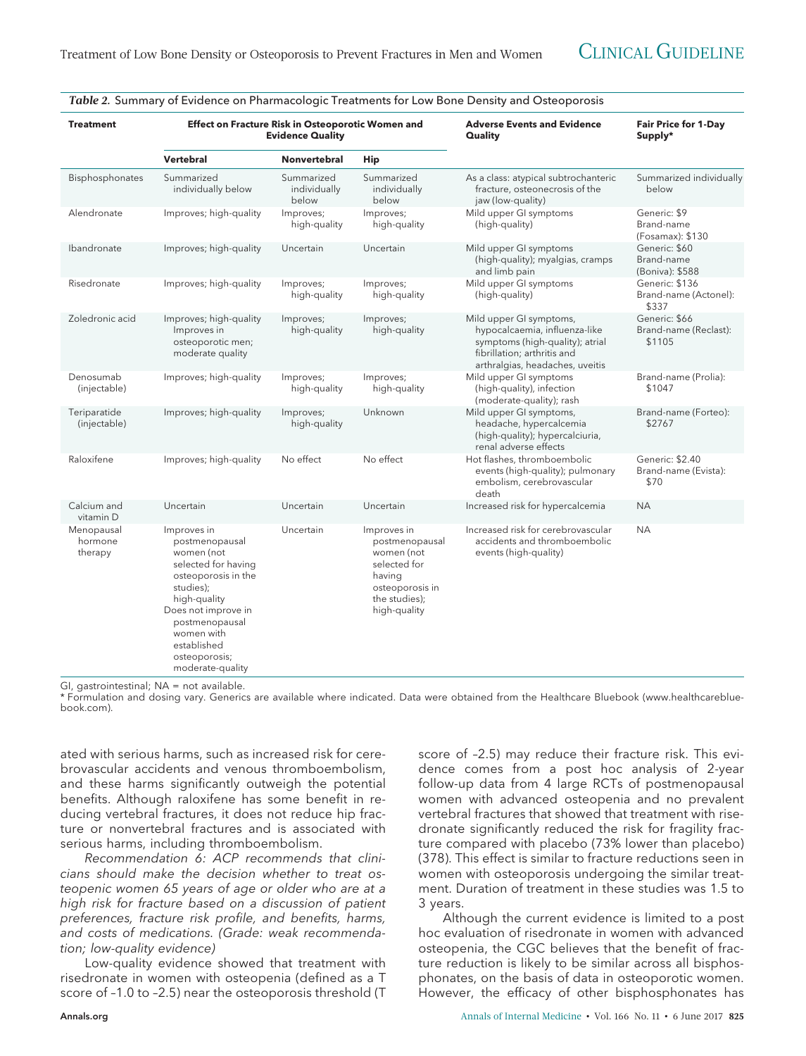| <b>Treatment</b>                 | Effect on Fracture Risk in Osteoporotic Women and                                                                                                                                                                                 | <b>Evidence Quality</b>             |                                                                                                                           | <b>Adverse Events and Evidence</b><br>Quality                                                                                                                 | <b>Fair Price for 1-Day</b><br>Supply*           |
|----------------------------------|-----------------------------------------------------------------------------------------------------------------------------------------------------------------------------------------------------------------------------------|-------------------------------------|---------------------------------------------------------------------------------------------------------------------------|---------------------------------------------------------------------------------------------------------------------------------------------------------------|--------------------------------------------------|
|                                  | <b>Vertebral</b>                                                                                                                                                                                                                  | <b>Nonvertebral</b>                 | Hip                                                                                                                       |                                                                                                                                                               |                                                  |
| Bisphosphonates                  | Summarized<br>individually below                                                                                                                                                                                                  | Summarized<br>individually<br>below | Summarized<br>individually<br>below                                                                                       | As a class: atypical subtrochanteric<br>fracture, osteonecrosis of the<br>jaw (low-quality)                                                                   | Summarized individually<br>below                 |
| Alendronate                      | Improves; high-quality                                                                                                                                                                                                            | Improves;<br>high-quality           | Improves;<br>high-quality                                                                                                 | Mild upper GI symptoms<br>(high-quality)                                                                                                                      | Generic: \$9<br>Brand-name<br>(Fosamax): \$130   |
| Ibandronate                      | Improves; high-quality                                                                                                                                                                                                            | Uncertain                           | Uncertain                                                                                                                 | Mild upper GI symptoms<br>(high-quality); myalgias, cramps<br>and limb pain                                                                                   | Generic: \$60<br>Brand-name<br>(Boniva): \$588   |
| Risedronate                      | Improves; high-quality                                                                                                                                                                                                            | Improves;<br>high-quality           | Improves;<br>high-quality                                                                                                 | Mild upper GI symptoms<br>(high-quality)                                                                                                                      | Generic: \$136<br>Brand-name (Actonel):<br>\$337 |
| Zoledronic acid                  | Improves; high-quality<br>Improves in<br>osteoporotic men;<br>moderate quality                                                                                                                                                    | Improves;<br>high-quality           | Improves;<br>high-quality                                                                                                 | Mild upper GI symptoms,<br>hypocalcaemia, influenza-like<br>symptoms (high-quality); atrial<br>fibrillation; arthritis and<br>arthralgias, headaches, uveitis | Generic: \$66<br>Brand-name (Reclast):<br>\$1105 |
| Denosumab<br>(injectable)        | Improves; high-quality                                                                                                                                                                                                            | Improves;<br>high-quality           | Improves;<br>high-quality                                                                                                 | Mild upper GI symptoms<br>(high-quality), infection<br>(moderate-quality); rash                                                                               | Brand-name (Prolia):<br>\$1047                   |
| Teriparatide<br>(injectable)     | Improves; high-quality                                                                                                                                                                                                            | Improves;<br>high-quality           | Unknown                                                                                                                   | Mild upper GI symptoms,<br>headache, hypercalcemia<br>(high-quality); hypercalciuria,<br>renal adverse effects                                                | Brand-name (Forteo):<br>\$2767                   |
| Raloxifene                       | Improves; high-quality                                                                                                                                                                                                            | No effect                           | No effect                                                                                                                 | Hot flashes, thromboembolic<br>events (high-guality); pulmonary<br>embolism, cerebrovascular<br>death                                                         | Generic: \$2.40<br>Brand-name (Evista):<br>\$70  |
| Calcium and<br>vitamin D         | Uncertain                                                                                                                                                                                                                         | Uncertain                           | Uncertain                                                                                                                 | Increased risk for hypercalcemia                                                                                                                              | <b>NA</b>                                        |
| Menopausal<br>hormone<br>therapy | Improves in<br>postmenopausal<br>women (not<br>selected for having<br>osteoporosis in the<br>studies);<br>high-quality<br>Does not improve in<br>postmenopausal<br>women with<br>established<br>osteoporosis;<br>moderate-quality | Uncertain                           | Improves in<br>postmenopausal<br>women (not<br>selected for<br>having<br>osteoporosis in<br>the studies);<br>high-quality | Increased risk for cerebrovascular<br>accidents and thromboembolic<br>events (high-quality)                                                                   | <b>NA</b>                                        |

#### *Table 2.* Summary of Evidence on Pharmacologic Treatments for Low Bone Density and Osteoporosis

GI, gastrointestinal; NA = not available.

\* Formulation and dosing vary. Generics are available where indicated. Data were obtained from the Healthcare Bluebook (www.healthcarebluebook.com).

ated with serious harms, such as increased risk for cerebrovascular accidents and venous thromboembolism, and these harms significantly outweigh the potential benefits. Although raloxifene has some benefit in reducing vertebral fractures, it does not reduce hip fracture or nonvertebral fractures and is associated with serious harms, including thromboembolism.

Recommendation 6: ACP recommends that clinicians should make the decision whether to treat osteopenic women 65 years of age or older who are at a high risk for fracture based on a discussion of patient preferences, fracture risk profile, and benefits, harms, and costs of medications. (Grade: weak recommendation; low-quality evidence)

Low-quality evidence showed that treatment with risedronate in women with osteopenia (defined as a T score of –1.0 to –2.5) near the osteoporosis threshold (T

score of –2.5) may reduce their fracture risk. This evidence comes from a post hoc analysis of 2-year follow-up data from 4 large RCTs of postmenopausal women with advanced osteopenia and no prevalent vertebral fractures that showed that treatment with risedronate significantly reduced the risk for fragility fracture compared with placebo (73% lower than placebo) (378). This effect is similar to fracture reductions seen in women with osteoporosis undergoing the similar treatment. Duration of treatment in these studies was 1.5 to 3 years.

Although the current evidence is limited to a post hoc evaluation of risedronate in women with advanced osteopenia, the CGC believes that the benefit of fracture reduction is likely to be similar across all bisphosphonates, on the basis of data in osteoporotic women. However, the efficacy of other bisphosphonates has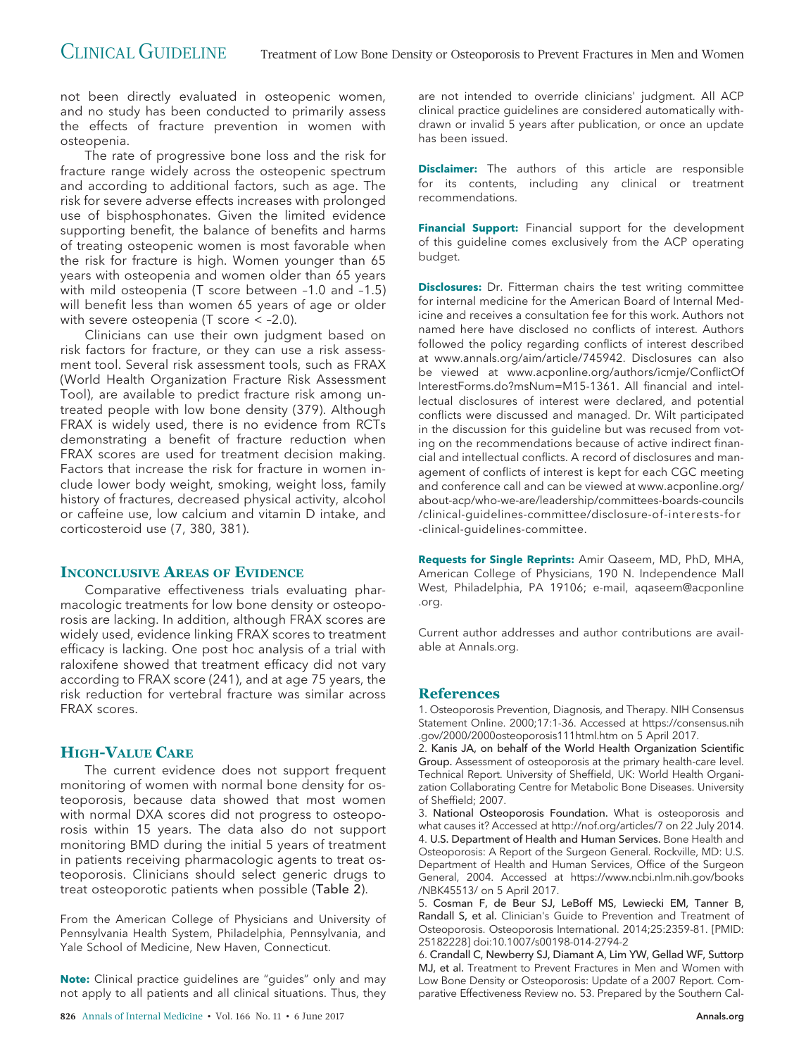not been directly evaluated in osteopenic women, and no study has been conducted to primarily assess the effects of fracture prevention in women with osteopenia.

The rate of progressive bone loss and the risk for fracture range widely across the osteopenic spectrum and according to additional factors, such as age. The risk for severe adverse effects increases with prolonged use of bisphosphonates. Given the limited evidence supporting benefit, the balance of benefits and harms of treating osteopenic women is most favorable when the risk for fracture is high. Women younger than 65 years with osteopenia and women older than 65 years with mild osteopenia (T score between –1.0 and –1.5) will benefit less than women 65 years of age or older with severe osteopenia (T score < –2.0).

Clinicians can use their own judgment based on risk factors for fracture, or they can use a risk assessment tool. Several risk assessment tools, such as FRAX (World Health Organization Fracture Risk Assessment Tool), are available to predict fracture risk among untreated people with low bone density (379). Although FRAX is widely used, there is no evidence from RCTs demonstrating a benefit of fracture reduction when FRAX scores are used for treatment decision making. Factors that increase the risk for fracture in women include lower body weight, smoking, weight loss, family history of fractures, decreased physical activity, alcohol or caffeine use, low calcium and vitamin D intake, and corticosteroid use (7, 380, 381).

## **INCONCLUSIVE AREAS OF EVIDENCE**

Comparative effectiveness trials evaluating pharmacologic treatments for low bone density or osteoporosis are lacking. In addition, although FRAX scores are widely used, evidence linking FRAX scores to treatment efficacy is lacking. One post hoc analysis of a trial with raloxifene showed that treatment efficacy did not vary according to FRAX score (241), and at age 75 years, the risk reduction for vertebral fracture was similar across FRAX scores.

#### **HIGH-VALUE CARE**

The current evidence does not support frequent monitoring of women with normal bone density for osteoporosis, because data showed that most women with normal DXA scores did not progress to osteoporosis within 15 years. The data also do not support monitoring BMD during the initial 5 years of treatment in patients receiving pharmacologic agents to treat osteoporosis. Clinicians should select generic drugs to treat osteoporotic patients when possible (Table 2).

From the American College of Physicians and University of Pennsylvania Health System, Philadelphia, Pennsylvania, and Yale School of Medicine, New Haven, Connecticut.

**Note:** Clinical practice guidelines are "guides" only and may not apply to all patients and all clinical situations. Thus, they are not intended to override clinicians' judgment. All ACP clinical practice guidelines are considered automatically withdrawn or invalid 5 years after publication, or once an update has been issued.

**Disclaimer:** The authors of this article are responsible for its contents, including any clinical or treatment recommendations.

**Financial Support:** Financial support for the development of this guideline comes exclusively from the ACP operating budget.

**Disclosures:** Dr. Fitterman chairs the test writing committee for internal medicine for the American Board of Internal Medicine and receives a consultation fee for this work. Authors not named here have disclosed no conflicts of interest. Authors followed the policy regarding conflicts of interest described at [www.annals.org/aim/article/745942.](http://www.annals.org/aim/article/745942) Disclosures can also be viewed at [www.acponline.org/authors/icmje/ConflictOf](http://www.acponline.org/authors/icmje/ConflictOfInterestForms.do?msNum=M15-1361) [InterestForms.do?msNum=M15-1361.](http://www.acponline.org/authors/icmje/ConflictOfInterestForms.do?msNum=M15-1361) All financial and intellectual disclosures of interest were declared, and potential conflicts were discussed and managed. Dr. Wilt participated in the discussion for this guideline but was recused from voting on the recommendations because of active indirect financial and intellectual conflicts. A record of disclosures and management of conflicts of interest is kept for each CGC meeting and conference call and can be viewed at [www.acponline.org/](http://www.acponline.org/about-acp/who-we-are/leadership/committees-boards-councils/clinical-guidelines-committee/disclosure-of-interests-for-clinical-guidelines-committee) [about-acp/who-we-are/leadership/committees-boards-councils](http://www.acponline.org/about-acp/who-we-are/leadership/committees-boards-councils/clinical-guidelines-committee/disclosure-of-interests-for-clinical-guidelines-committee) [/clinical-guidelines-committee/disclosure-of-interests-for](http://www.acponline.org/about-acp/who-we-are/leadership/committees-boards-councils/clinical-guidelines-committee/disclosure-of-interests-for-clinical-guidelines-committee) [-clinical-guidelines-committee.](http://www.acponline.org/about-acp/who-we-are/leadership/committees-boards-councils/clinical-guidelines-committee/disclosure-of-interests-for-clinical-guidelines-committee)

**Requests for Single Reprints:** Amir Qaseem, MD, PhD, MHA, American College of Physicians, 190 N. Independence Mall West, Philadelphia, PA 19106; e-mail, [aqaseem@acponline](mailto:aqaseem@acponline.org) [.org.](mailto:aqaseem@acponline.org)

Current author addresses and author contributions are available at [Annals.org.](http://www.annals.org)

## **References**

1. Osteoporosis Prevention, Diagnosis, and Therapy. NIH Consensus Statement Online. 2000;17:1-36. Accessed at [https://consensus.nih](https://consensus.nih.gov/2000/2000osteoporosis111html.htm) [.gov/2000/2000osteoporosis111html.htm](https://consensus.nih.gov/2000/2000osteoporosis111html.htm) on 5 April 2017.

2. Kanis JA, on behalf of the World Health Organization Scientific Group. Assessment of osteoporosis at the primary health-care level. Technical Report. University of Sheffield, UK: World Health Organization Collaborating Centre for Metabolic Bone Diseases. University of Sheffield; 2007.

3. National Osteoporosis Foundation. What is osteoporosis and what causes it? Accessed at<http://nof.org/articles/7> on 22 July 2014. 4. U.S. Department of Health and Human Services. Bone Health and Osteoporosis: A Report of the Surgeon General. Rockville, MD: U.S. Department of Health and Human Services, Office of the Surgeon General, 2004. Accessed at [https://www.ncbi.nlm.nih.gov/books](https://www.ncbi.nlm.nih.gov/books/NBK45513/) [/NBK45513/](https://www.ncbi.nlm.nih.gov/books/NBK45513/) on 5 April 2017.

5. Cosman F, de Beur SJ, LeBoff MS, Lewiecki EM, Tanner B, Randall S, et al. Clinician's Guide to Prevention and Treatment of Osteoporosis. Osteoporosis International. 2014;25:2359-81. [PMID: 25182228] doi:10.1007/s00198-014-2794-2

6. Crandall C, Newberry SJ, Diamant A, Lim YW, Gellad WF, Suttorp MJ, et al. Treatment to Prevent Fractures in Men and Women with Low Bone Density or Osteoporosis: Update of a 2007 Report. Comparative Effectiveness Review no. 53. Prepared by the Southern Cal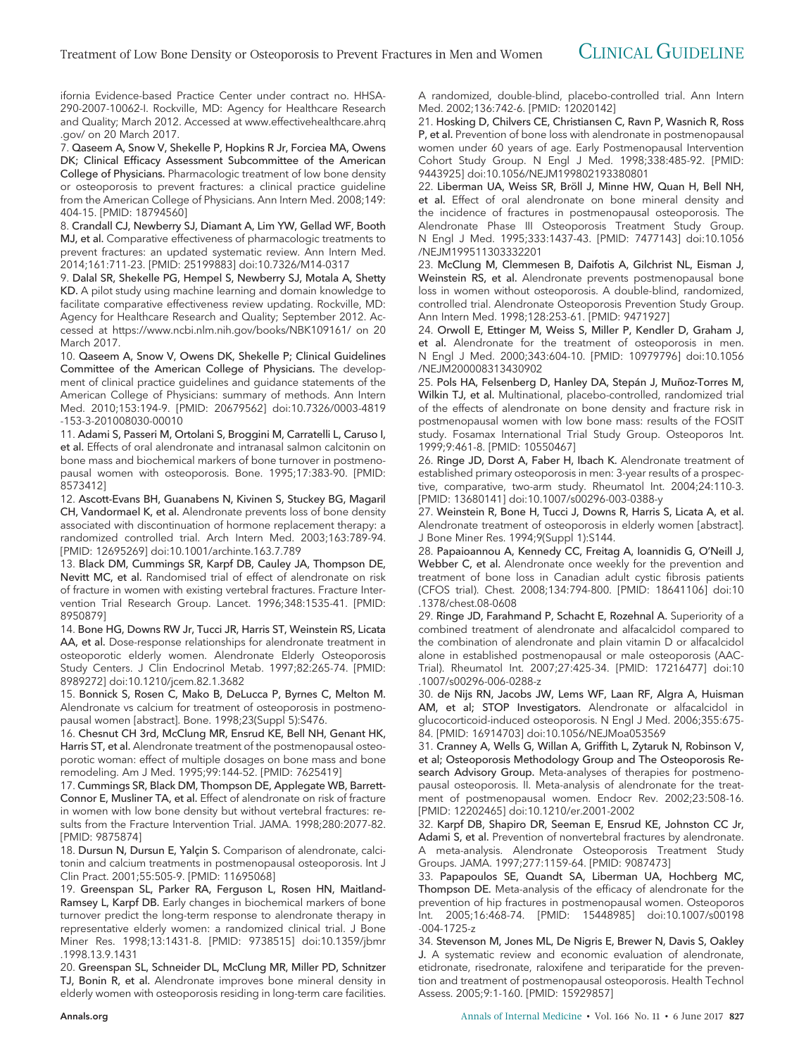ifornia Evidence-based Practice Center under contract no. HHSA-290-2007-10062-I. Rockville, MD: Agency for Healthcare Research and Quality; March 2012. Accessed at [www.effectivehealthcare.ahrq](http://www.effectivehealthcare.ahrq.gov/) [.gov/](http://www.effectivehealthcare.ahrq.gov/) on 20 March 2017.

7. Qaseem A, Snow V, Shekelle P, Hopkins R Jr, Forciea MA, Owens DK; Clinical Efficacy Assessment Subcommittee of the American College of Physicians. Pharmacologic treatment of low bone density or osteoporosis to prevent fractures: a clinical practice guideline from the American College of Physicians. Ann Intern Med. 2008;149: 404-15. [PMID: 18794560]

8. Crandall CJ, Newberry SJ, Diamant A, Lim YW, Gellad WF, Booth MJ, et al. Comparative effectiveness of pharmacologic treatments to prevent fractures: an updated systematic review. Ann Intern Med. 2014;161:711-23. [PMID: 25199883] doi:10.7326/M14-0317

9. Dalal SR, Shekelle PG, Hempel S, Newberry SJ, Motala A, Shetty KD. A pilot study using machine learning and domain knowledge to facilitate comparative effectiveness review updating. Rockville, MD: Agency for Healthcare Research and Quality; September 2012. Accessed at<https://www.ncbi.nlm.nih.gov/books/NBK109161/> on 20 March 2017.

10. Qaseem A, Snow V, Owens DK, Shekelle P; Clinical Guidelines Committee of the American College of Physicians. The development of clinical practice guidelines and guidance statements of the American College of Physicians: summary of methods. Ann Intern Med. 2010;153:194-9. [PMID: 20679562] doi:10.7326/0003-4819 -153-3-201008030-00010

11. Adami S, Passeri M, Ortolani S, Broggini M, Carratelli L, Caruso I, et al. Effects of oral alendronate and intranasal salmon calcitonin on bone mass and biochemical markers of bone turnover in postmenopausal women with osteoporosis. Bone. 1995;17:383-90. [PMID: 8573412]

12. Ascott-Evans BH, Guanabens N, Kivinen S, Stuckey BG, Magaril CH, Vandormael K, et al. Alendronate prevents loss of bone density associated with discontinuation of hormone replacement therapy: a randomized controlled trial. Arch Intern Med. 2003;163:789-94. [PMID: 12695269] doi:10.1001/archinte.163.7.789

13. Black DM, Cummings SR, Karpf DB, Cauley JA, Thompson DE, Nevitt MC, et al. Randomised trial of effect of alendronate on risk of fracture in women with existing vertebral fractures. Fracture Intervention Trial Research Group. Lancet. 1996;348:1535-41. [PMID: 8950879]

14. Bone HG, Downs RW Jr, Tucci JR, Harris ST, Weinstein RS, Licata AA, et al. Dose-response relationships for alendronate treatment in osteoporotic elderly women. Alendronate Elderly Osteoporosis Study Centers. J Clin Endocrinol Metab. 1997;82:265-74. [PMID: 8989272] doi:10.1210/jcem.82.1.3682

15. Bonnick S, Rosen C, Mako B, DeLucca P, Byrnes C, Melton M. Alendronate vs calcium for treatment of osteoporosis in postmenopausal women [abstract]. Bone. 1998;23(Suppl 5):S476.

16. Chesnut CH 3rd, McClung MR, Ensrud KE, Bell NH, Genant HK, Harris ST, et al. Alendronate treatment of the postmenopausal osteoporotic woman: effect of multiple dosages on bone mass and bone remodeling. Am J Med. 1995;99:144-52. [PMID: 7625419]

17. Cummings SR, Black DM, Thompson DE, Applegate WB, Barrett-Connor E, Musliner TA, et al. Effect of alendronate on risk of fracture in women with low bone density but without vertebral fractures: results from the Fracture Intervention Trial. JAMA. 1998;280:2077-82. [PMID: 9875874]

18. Dursun N, Dursun E, Yalçin S. Comparison of alendronate, calcitonin and calcium treatments in postmenopausal osteoporosis. Int J Clin Pract. 2001;55:505-9. [PMID: 11695068]

19. Greenspan SL, Parker RA, Ferguson L, Rosen HN, Maitland-Ramsey L, Karpf DB. Early changes in biochemical markers of bone turnover predict the long-term response to alendronate therapy in representative elderly women: a randomized clinical trial. J Bone Miner Res. 1998;13:1431-8. [PMID: 9738515] doi:10.1359/jbmr .1998.13.9.1431

20. Greenspan SL, Schneider DL, McClung MR, Miller PD, Schnitzer TJ, Bonin R, et al. Alendronate improves bone mineral density in elderly women with osteoporosis residing in long-term care facilities. A randomized, double-blind, placebo-controlled trial. Ann Intern Med. 2002;136:742-6. [PMID: 12020142]

21. Hosking D, Chilvers CE, Christiansen C, Ravn P, Wasnich R, Ross P, et al. Prevention of bone loss with alendronate in postmenopausal women under 60 years of age. Early Postmenopausal Intervention Cohort Study Group. N Engl J Med. 1998;338:485-92. [PMID: 9443925] doi:10.1056/NEJM199802193380801

22. Liberman UA, Weiss SR, Bröll J, Minne HW, Quan H, Bell NH, et al. Effect of oral alendronate on bone mineral density and the incidence of fractures in postmenopausal osteoporosis. The Alendronate Phase III Osteoporosis Treatment Study Group. N Engl J Med. 1995;333:1437-43. [PMID: 7477143] doi:10.1056 /NEJM199511303332201

23. McClung M, Clemmesen B, Daifotis A, Gilchrist NL, Eisman J, Weinstein RS, et al. Alendronate prevents postmenopausal bone loss in women without osteoporosis. A double-blind, randomized, controlled trial. Alendronate Osteoporosis Prevention Study Group. Ann Intern Med. 1998;128:253-61. [PMID: 9471927]

24. Orwoll E, Ettinger M, Weiss S, Miller P, Kendler D, Graham J, et al. Alendronate for the treatment of osteoporosis in men. N Engl J Med. 2000;343:604-10. [PMID: 10979796] doi:10.1056 /NEJM200008313430902

25. Pols HA, Felsenberg D, Hanley DA, Stepán J, Muñoz-Torres M, Wilkin TJ, et al. Multinational, placebo-controlled, randomized trial of the effects of alendronate on bone density and fracture risk in postmenopausal women with low bone mass: results of the FOSIT .<br>study. Fosamax International Trial Study Group. Osteoporos Int. 1999;9:461-8. [PMID: 10550467]

26. Ringe JD, Dorst A, Faber H, Ibach K. Alendronate treatment of established primary osteoporosis in men: 3-year results of a prospective, comparative, two-arm study. Rheumatol Int. 2004;24:110-3. [PMID: 13680141] doi:10.1007/s00296-003-0388-y

27. Weinstein R, Bone H, Tucci J, Downs R, Harris S, Licata A, et al. Alendronate treatment of osteoporosis in elderly women [abstract]. J Bone Miner Res. 1994;9(Suppl 1):S144.

28. Papaioannou A, Kennedy CC, Freitag A, Ioannidis G, O'Neill J, Webber C, et al. Alendronate once weekly for the prevention and treatment of bone loss in Canadian adult cystic fibrosis patients (CFOS trial). Chest. 2008;134:794-800. [PMID: 18641106] doi:10 .1378/chest.08-0608

29. Ringe JD, Farahmand P, Schacht E, Rozehnal A. Superiority of a combined treatment of alendronate and alfacalcidol compared to the combination of alendronate and plain vitamin D or alfacalcidol alone in established postmenopausal or male osteoporosis (AAC-Trial). Rheumatol Int. 2007;27:425-34. [PMID: 17216477] doi:10 .1007/s00296-006-0288-z

30. de Nijs RN, Jacobs JW, Lems WF, Laan RF, Algra A, Huisman AM, et al; STOP Investigators. Alendronate or alfacalcidol in glucocorticoid-induced osteoporosis. N Engl J Med. 2006;355:675- 84. [PMID: 16914703] doi:10.1056/NEJMoa053569

31. Cranney A, Wells G, Willan A, Griffith L, Zytaruk N, Robinson V, et al; Osteoporosis Methodology Group and The Osteoporosis Research Advisory Group. Meta-analyses of therapies for postmenopausal osteoporosis. II. Meta-analysis of alendronate for the treatment of postmenopausal women. Endocr Rev. 2002;23:508-16. [PMID: 12202465] doi:10.1210/er.2001-2002

32. Karpf DB, Shapiro DR, Seeman E, Ensrud KE, Johnston CC Jr, Adami S, et al. Prevention of nonvertebral fractures by alendronate. A meta-analysis. Alendronate Osteoporosis Treatment Study Groups. JAMA. 1997;277:1159-64. [PMID: 9087473]

33. Papapoulos SE, Quandt SA, Liberman UA, Hochberg MC, Thompson DE. Meta-analysis of the efficacy of alendronate for the prevention of hip fractures in postmenopausal women. Osteoporos Int. 2005;16:468-74. [PMID: 15448985] doi:10.1007/s00198 -004-1725-z

34. Stevenson M, Jones ML, De Nigris E, Brewer N, Davis S, Oakley J. A systematic review and economic evaluation of alendronate, etidronate, risedronate, raloxifene and teriparatide for the prevention and treatment of postmenopausal osteoporosis. Health Technol Assess. 2005;9:1-160. [PMID: 15929857]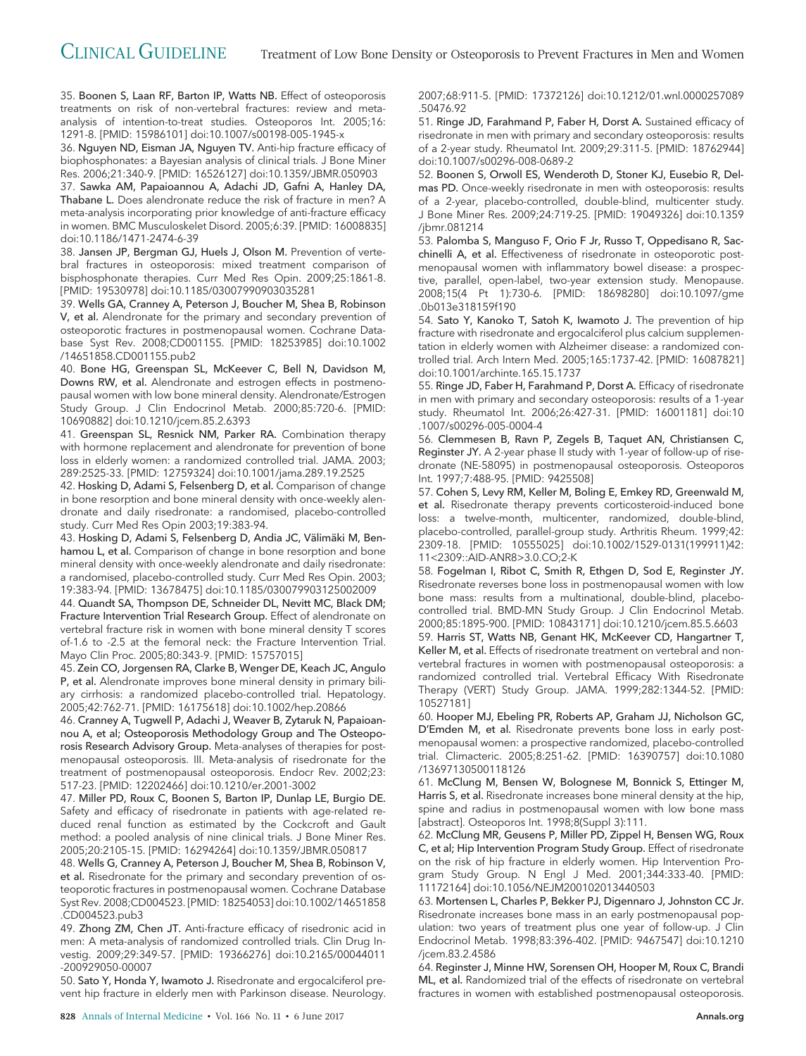35. Boonen S, Laan RF, Barton IP, Watts NB. Effect of osteoporosis treatments on risk of non-vertebral fractures: review and metaanalysis of intention-to-treat studies. Osteoporos Int. 2005;16: 1291-8. [PMID: 15986101] doi:10.1007/s00198-005-1945-x

36. Nguyen ND, Eisman JA, Nguyen TV. Anti-hip fracture efficacy of biophosphonates: a Bayesian analysis of clinical trials. J Bone Miner Res. 2006;21:340-9. [PMID: 16526127] doi:10.1359/JBMR.050903

37. Sawka AM, Papaioannou A, Adachi JD, Gafni A, Hanley DA, Thabane L. Does alendronate reduce the risk of fracture in men? A meta-analysis incorporating prior knowledge of anti-fracture efficacy in women. BMC Musculoskelet Disord. 2005;6:39. [PMID: 16008835] doi:10.1186/1471-2474-6-39

38. Jansen JP, Bergman GJ, Huels J, Olson M. Prevention of vertebral fractures in osteoporosis: mixed treatment comparison of bisphosphonate therapies. Curr Med Res Opin. 2009;25:1861-8. [PMID: 19530978] doi:10.1185/03007990903035281

39. Wells GA, Cranney A, Peterson J, Boucher M, Shea B, Robinson V, et al. Alendronate for the primary and secondary prevention of osteoporotic fractures in postmenopausal women. Cochrane Database Syst Rev. 2008;CD001155. [PMID: 18253985] doi:10.1002 /14651858.CD001155.pub2

40. Bone HG, Greenspan SL, McKeever C, Bell N, Davidson M, Downs RW, et al. Alendronate and estrogen effects in postmenopausal women with low bone mineral density. Alendronate/Estrogen Study Group. J Clin Endocrinol Metab. 2000;85:720-6. [PMID: 10690882] doi:10.1210/jcem.85.2.6393

41. Greenspan SL, Resnick NM, Parker RA. Combination therapy with hormone replacement and alendronate for prevention of bone loss in elderly women: a randomized controlled trial. JAMA. 2003; 289:2525-33. [PMID: 12759324] doi:10.1001/jama.289.19.2525

42. Hosking D, Adami S, Felsenberg D, et al. Comparison of change in bone resorption and bone mineral density with once-weekly alendronate and daily risedronate: a randomised, placebo-controlled study. Curr Med Res Opin 2003;19:383-94.

43. Hosking D, Adami S, Felsenberg D, Andia JC, Välimäki M, Benhamou L, et al. Comparison of change in bone resorption and bone mineral density with once-weekly alendronate and daily risedronate: a randomised, placebo-controlled study. Curr Med Res Opin. 2003; 19:383-94. [PMID: 13678475] doi:10.1185/030079903125002009

44. Quandt SA, Thompson DE, Schneider DL, Nevitt MC, Black DM; Fracture Intervention Trial Research Group. Effect of alendronate on vertebral fracture risk in women with bone mineral density T scores of-1.6 to -2.5 at the femoral neck: the Fracture Intervention Trial. Mayo Clin Proc. 2005;80:343-9. [PMID: 15757015]

45. Zein CO, Jorgensen RA, Clarke B, Wenger DE, Keach JC, Angulo P, et al. Alendronate improves bone mineral density in primary biliary cirrhosis: a randomized placebo-controlled trial. Hepatology. 2005;42:762-71. [PMID: 16175618] doi:10.1002/hep.20866

46. Cranney A, Tugwell P, Adachi J, Weaver B, Zytaruk N, Papaioannou A, et al; Osteoporosis Methodology Group and The Osteoporosis Research Advisory Group. Meta-analyses of therapies for postmenopausal osteoporosis. III. Meta-analysis of risedronate for the treatment of postmenopausal osteoporosis. Endocr Rev. 2002;23: 517-23. [PMID: 12202466] doi:10.1210/er.2001-3002

47. Miller PD, Roux C, Boonen S, Barton IP, Dunlap LE, Burgio DE. Safety and efficacy of risedronate in patients with age-related reduced renal function as estimated by the Cockcroft and Gault method: a pooled analysis of nine clinical trials. J Bone Miner Res. 2005;20:2105-15. [PMID: 16294264] doi:10.1359/JBMR.050817

48. Wells G, Cranney A, Peterson J, Boucher M, Shea B, Robinson V, et al. Risedronate for the primary and secondary prevention of osteoporotic fractures in postmenopausal women. Cochrane Database Syst Rev. 2008;CD004523. [PMID: 18254053] doi:10.1002/14651858 .CD004523.pub3

49. Zhong ZM, Chen JT. Anti-fracture efficacy of risedronic acid in men: A meta-analysis of randomized controlled trials. Clin Drug Investig. 2009;29:349-57. [PMID: 19366276] doi:10.2165/00044011 -200929050-00007

50. Sato Y, Honda Y, Iwamoto J. Risedronate and ergocalciferol prevent hip fracture in elderly men with Parkinson disease. Neurology. 2007;68:911-5. [PMID: 17372126] doi:10.1212/01.wnl.0000257089 .50476.92

51. Ringe JD, Farahmand P, Faber H, Dorst A. Sustained efficacy of risedronate in men with primary and secondary osteoporosis: results of a 2-year study. Rheumatol Int. 2009;29:311-5. [PMID: 18762944] doi:10.1007/s00296-008-0689-2

52. Boonen S, Orwoll ES, Wenderoth D, Stoner KJ, Eusebio R, Delmas PD. Once-weekly risedronate in men with osteoporosis: results of a 2-year, placebo-controlled, double-blind, multicenter study. J Bone Miner Res. 2009;24:719-25. [PMID: 19049326] doi:10.1359 /jbmr.081214

53. Palomba S, Manguso F, Orio F Jr, Russo T, Oppedisano R, Sacchinelli A, et al. Effectiveness of risedronate in osteoporotic postmenopausal women with inflammatory bowel disease: a prospective, parallel, open-label, two-year extension study. Menopause. 2008;15(4 Pt 1):730-6. [PMID: 18698280] doi:10.1097/gme .0b013e318159f190

54. Sato Y, Kanoko T, Satoh K, Iwamoto J. The prevention of hip fracture with risedronate and ergocalciferol plus calcium supplementation in elderly women with Alzheimer disease: a randomized controlled trial. Arch Intern Med. 2005;165:1737-42. [PMID: 16087821] doi:10.1001/archinte.165.15.1737

55. Ringe JD, Faber H, Farahmand P, Dorst A. Efficacy of risedronate in men with primary and secondary osteoporosis: results of a 1-year study. Rheumatol Int. 2006;26:427-31. [PMID: 16001181] doi:10 .1007/s00296-005-0004-4

56. Clemmesen B, Ravn P, Zegels B, Taquet AN, Christiansen C, Reginster JY. A 2-year phase II study with 1-year of follow-up of risedronate (NE-58095) in postmenopausal osteoporosis. Osteoporos Int. 1997;7:488-95. [PMID: 9425508]

57. Cohen S, Levy RM, Keller M, Boling E, Emkey RD, Greenwald M, et al. Risedronate therapy prevents corticosteroid-induced bone loss: a twelve-month, multicenter, randomized, double-blind, placebo-controlled, parallel-group study. Arthritis Rheum. 1999;42: 2309-18. [PMID: 10555025] doi:10.1002/1529-0131(199911)42: 11<2309::AID-ANR8>3.0.CO;2-K

58. Fogelman I, Ribot C, Smith R, Ethgen D, Sod E, Reginster JY. Risedronate reverses bone loss in postmenopausal women with low bone mass: results from a multinational, double-blind, placebocontrolled trial. BMD-MN Study Group. J Clin Endocrinol Metab. 2000;85:1895-900. [PMID: 10843171] doi:10.1210/jcem.85.5.6603

59. Harris ST, Watts NB, Genant HK, McKeever CD, Hangartner T, Keller M, et al. Effects of risedronate treatment on vertebral and nonvertebral fractures in women with postmenopausal osteoporosis: a randomized controlled trial. Vertebral Efficacy With Risedronate Therapy (VERT) Study Group. JAMA. 1999;282:1344-52. [PMID: 10527181]

60. Hooper MJ, Ebeling PR, Roberts AP, Graham JJ, Nicholson GC, D'Emden M, et al. Risedronate prevents bone loss in early postmenopausal women: a prospective randomized, placebo-controlled trial. Climacteric. 2005;8:251-62. [PMID: 16390757] doi:10.1080 /13697130500118126

61. McClung M, Bensen W, Bolognese M, Bonnick S, Ettinger M, Harris S, et al. Risedronate increases bone mineral density at the hip, spine and radius in postmenopausal women with low bone mass [abstract]. Osteoporos Int. 1998;8(Suppl 3):111.

62. McClung MR, Geusens P, Miller PD, Zippel H, Bensen WG, Roux C, et al; Hip Intervention Program Study Group. Effect of risedronate on the risk of hip fracture in elderly women. Hip Intervention Program Study Group. N Engl J Med. 2001;344:333-40. [PMID: 11172164] doi:10.1056/NEJM200102013440503

63. Mortensen L, Charles P, Bekker PJ, Digennaro J, Johnston CC Jr. Risedronate increases bone mass in an early postmenopausal population: two years of treatment plus one year of follow-up. J Clin Endocrinol Metab. 1998;83:396-402. [PMID: 9467547] doi:10.1210 /jcem.83.2.4586

64. Reginster J, Minne HW, Sorensen OH, Hooper M, Roux C, Brandi ML, et al. Randomized trial of the effects of risedronate on vertebral fractures in women with established postmenopausal osteoporosis.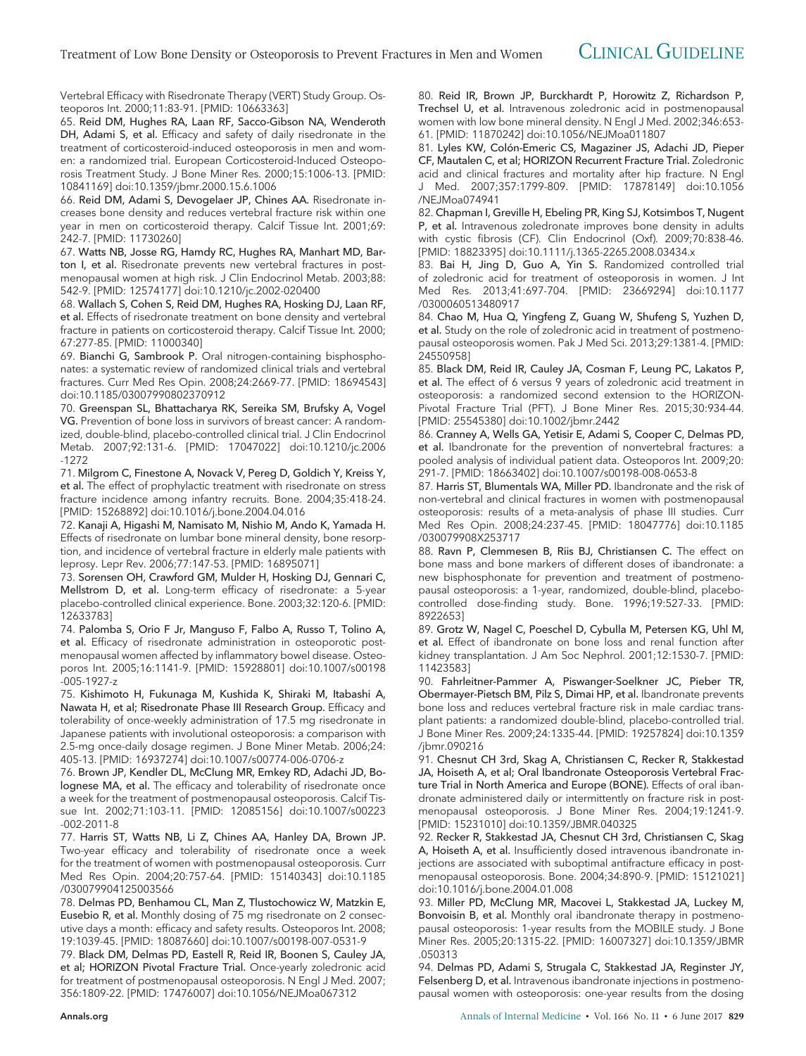Vertebral Efficacy with Risedronate Therapy (VERT) Study Group. Osteoporos Int. 2000;11:83-91. [PMID: 10663363]

65. Reid DM, Hughes RA, Laan RF, Sacco-Gibson NA, Wenderoth DH, Adami S, et al. Efficacy and safety of daily risedronate in the treatment of corticosteroid-induced osteoporosis in men and women: a randomized trial. European Corticosteroid-Induced Osteoporosis Treatment Study. J Bone Miner Res. 2000;15:1006-13. [PMID: 10841169] doi:10.1359/jbmr.2000.15.6.1006

66. Reid DM, Adami S, Devogelaer JP, Chines AA. Risedronate increases bone density and reduces vertebral fracture risk within one year in men on corticosteroid therapy. Calcif Tissue Int. 2001;69: 242-7. [PMID: 11730260]

67. Watts NB, Josse RG, Hamdy RC, Hughes RA, Manhart MD, Barton I, et al. Risedronate prevents new vertebral fractures in postmenopausal women at high risk. J Clin Endocrinol Metab. 2003;88: 542-9. [PMID: 12574177] doi:10.1210/jc.2002-020400

68. Wallach S, Cohen S, Reid DM, Hughes RA, Hosking DJ, Laan RF, et al. Effects of risedronate treatment on bone density and vertebral fracture in patients on corticosteroid therapy. Calcif Tissue Int. 2000; 67:277-85. [PMID: 11000340]

69. Bianchi G, Sambrook P. Oral nitrogen-containing bisphosphonates: a systematic review of randomized clinical trials and vertebral fractures. Curr Med Res Opin. 2008;24:2669-77. [PMID: 18694543] doi:10.1185/03007990802370912

70. Greenspan SL, Bhattacharya RK, Sereika SM, Brufsky A, Vogel VG. Prevention of bone loss in survivors of breast cancer: A randomized, double-blind, placebo-controlled clinical trial. J Clin Endocrinol Metab. 2007;92:131-6. [PMID: 17047022] doi:10.1210/jc.2006 -1272

71. Milgrom C, Finestone A, Novack V, Pereg D, Goldich Y, Kreiss Y, et al. The effect of prophylactic treatment with risedronate on stress fracture incidence among infantry recruits. Bone. 2004;35:418-24. [PMID: 15268892] doi:10.1016/j.bone.2004.04.016

72. Kanaji A, Higashi M, Namisato M, Nishio M, Ando K, Yamada H. Effects of risedronate on lumbar bone mineral density, bone resorption, and incidence of vertebral fracture in elderly male patients with leprosy. Lepr Rev. 2006;77:147-53. [PMID: 16895071]

73. Sorensen OH, Crawford GM, Mulder H, Hosking DJ, Gennari C, Mellstrom D, et al. Long-term efficacy of risedronate: a 5-year placebo-controlled clinical experience. Bone. 2003;32:120-6. [PMID: 12633783]

74. Palomba S, Orio F Jr, Manguso F, Falbo A, Russo T, Tolino A, et al. Efficacy of risedronate administration in osteoporotic postmenopausal women affected by inflammatory bowel disease. Osteoporos Int. 2005;16:1141-9. [PMID: 15928801] doi:10.1007/s00198 -005-1927-z

75. Kishimoto H, Fukunaga M, Kushida K, Shiraki M, Itabashi A, Nawata H, et al; Risedronate Phase III Research Group. Efficacy and tolerability of once-weekly administration of 17.5 mg risedronate in Japanese patients with involutional osteoporosis: a comparison with 2.5-mg once-daily dosage regimen. J Bone Miner Metab. 2006;24: 405-13. [PMID: 16937274] doi:10.1007/s00774-006-0706-z

76. Brown JP, Kendler DL, McClung MR, Emkey RD, Adachi JD, Bolognese MA, et al. The efficacy and tolerability of risedronate once a week for the treatment of postmenopausal osteoporosis. Calcif Tissue Int. 2002;71:103-11. [PMID: 12085156] doi:10.1007/s00223 -002-2011-8

77. Harris ST, Watts NB, Li Z, Chines AA, Hanley DA, Brown JP. Two-year efficacy and tolerability of risedronate once a week for the treatment of women with postmenopausal osteoporosis. Curr Med Res Opin. 2004;20:757-64. [PMID: 15140343] doi:10.1185 /030079904125003566

78. Delmas PD, Benhamou CL, Man Z, Tlustochowicz W, Matzkin E, Eusebio R, et al. Monthly dosing of 75 mg risedronate on 2 consecutive days a month: efficacy and safety results. Osteoporos Int. 2008; 19:1039-45. [PMID: 18087660] doi:10.1007/s00198-007-0531-9

79. Black DM, Delmas PD, Eastell R, Reid IR, Boonen S, Cauley JA, et al; HORIZON Pivotal Fracture Trial. Once-yearly zoledronic acid for treatment of postmenopausal osteoporosis. N Engl J Med. 2007; 356:1809-22. [PMID: 17476007] doi:10.1056/NEJMoa067312

80. Reid IR, Brown JP, Burckhardt P, Horowitz Z, Richardson P, Trechsel U, et al. Intravenous zoledronic acid in postmenopausal women with low bone mineral density. N Engl J Med. 2002;346:653- 61. [PMID: 11870242] doi:10.1056/NEJMoa011807

81. Lyles KW, Colón-Emeric CS, Magaziner JS, Adachi JD, Pieper CF, Mautalen C, et al; HORIZON Recurrent Fracture Trial. Zoledronic acid and clinical fractures and mortality after hip fracture. N Engl J Med. 2007;357:1799-809. [PMID: 17878149] doi:10.1056 /NEJMoa074941

82. Chapman I, Greville H, Ebeling PR, King SJ, Kotsimbos T, Nugent P, et al. Intravenous zoledronate improves bone density in adults with cystic fibrosis (CF). Clin Endocrinol (Oxf). 2009;70:838-46. [PMID: 18823395] doi:10.1111/j.1365-2265.2008.03434.x

83. Bai H, Jing D, Guo A, Yin S. Randomized controlled trial of zoledronic acid for treatment of osteoporosis in women. J Int Med Res. 2013;41:697-704. [PMID: 23669294] doi:10.1177 /0300060513480917

84. Chao M, Hua Q, Yingfeng Z, Guang W, Shufeng S, Yuzhen D, et al. Study on the role of zoledronic acid in treatment of postmenopausal osteoporosis women. Pak J Med Sci. 2013;29:1381-4. [PMID: 24550958]

85. Black DM, Reid IR, Cauley JA, Cosman F, Leung PC, Lakatos P, et al. The effect of 6 versus 9 years of zoledronic acid treatment in osteoporosis: a randomized second extension to the HORIZON-Pivotal Fracture Trial (PFT). J Bone Miner Res. 2015;30:934-44. [PMID: 25545380] doi:10.1002/jbmr.2442

86. Cranney A, Wells GA, Yetisir E, Adami S, Cooper C, Delmas PD, et al. Ibandronate for the prevention of nonvertebral fractures: a pooled analysis of individual patient data. Osteoporos Int. 2009;20: 291-7. [PMID: 18663402] doi:10.1007/s00198-008-0653-8

87. Harris ST, Blumentals WA, Miller PD. Ibandronate and the risk of non-vertebral and clinical fractures in women with postmenopausal osteoporosis: results of a meta-analysis of phase III studies. Curr Med Res Opin. 2008;24:237-45. [PMID: 18047776] doi:10.1185 /030079908X253717

88. Ravn P, Clemmesen B, Riis BJ, Christiansen C. The effect on bone mass and bone markers of different doses of ibandronate: a new bisphosphonate for prevention and treatment of postmenopausal osteoporosis: a 1-year, randomized, double-blind, placebocontrolled dose-finding study. Bone. 1996;19:527-33. [PMID: 8922653]

89. Grotz W, Nagel C, Poeschel D, Cybulla M, Petersen KG, Uhl M, et al. Effect of ibandronate on bone loss and renal function after kidney transplantation. J Am Soc Nephrol. 2001;12:1530-7. [PMID: 11423583]

90. Fahrleitner-Pammer A, Piswanger-Soelkner JC, Pieber TR, Obermayer-Pietsch BM, Pilz S, Dimai HP, et al. Ibandronate prevents bone loss and reduces vertebral fracture risk in male cardiac transplant patients: a randomized double-blind, placebo-controlled trial. J Bone Miner Res. 2009;24:1335-44. [PMID: 19257824] doi:10.1359 /jbmr.090216

91. Chesnut CH 3rd, Skag A, Christiansen C, Recker R, Stakkestad JA, Hoiseth A, et al; Oral Ibandronate Osteoporosis Vertebral Fracture Trial in North America and Europe (BONE). Effects of oral ibandronate administered daily or intermittently on fracture risk in postmenopausal osteoporosis. J Bone Miner Res. 2004;19:1241-9. [PMID: 15231010] doi:10.1359/JBMR.040325

92. Recker R, Stakkestad JA, Chesnut CH 3rd, Christiansen C, Skag A, Hoiseth A, et al. Insufficiently dosed intravenous ibandronate injections are associated with suboptimal antifracture efficacy in postmenopausal osteoporosis. Bone. 2004;34:890-9. [PMID: 15121021] doi:10.1016/j.bone.2004.01.008

93. Miller PD, McClung MR, Macovei L, Stakkestad JA, Luckey M, Bonvoisin B, et al. Monthly oral ibandronate therapy in postmenopausal osteoporosis: 1-year results from the MOBILE study. J Bone Miner Res. 2005;20:1315-22. [PMID: 16007327] doi:10.1359/JBMR .050313

94. Delmas PD, Adami S, Strugala C, Stakkestad JA, Reginster JY, Felsenberg D, et al. Intravenous ibandronate injections in postmenopausal women with osteoporosis: one-year results from the dosing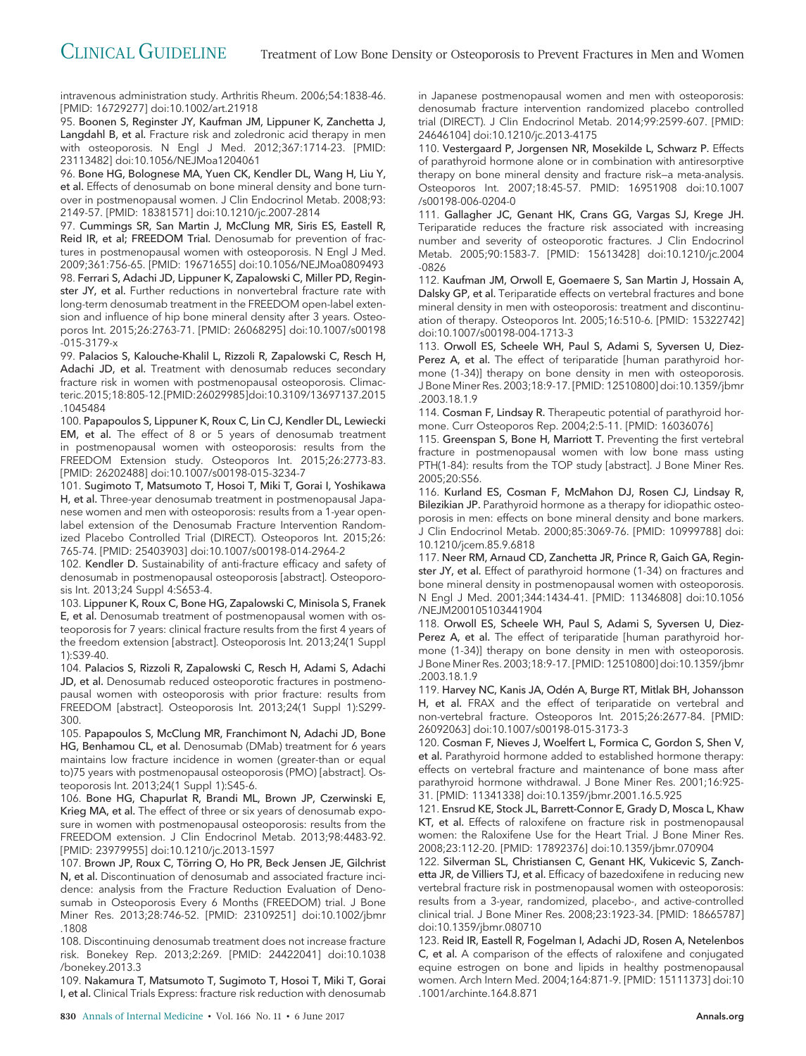intravenous administration study. Arthritis Rheum. 2006;54:1838-46. [PMID: 16729277] doi:10.1002/art.21918

95. Boonen S, Reginster JY, Kaufman JM, Lippuner K, Zanchetta J, Langdahl B, et al. Fracture risk and zoledronic acid therapy in men with osteoporosis. N Engl J Med. 2012;367:1714-23. [PMID: 23113482] doi:10.1056/NEJMoa1204061

96. Bone HG, Bolognese MA, Yuen CK, Kendler DL, Wang H, Liu Y, et al. Effects of denosumab on bone mineral density and bone turnover in postmenopausal women. J Clin Endocrinol Metab. 2008;93: 2149-57. [PMID: 18381571] doi:10.1210/jc.2007-2814

97. Cummings SR, San Martin J, McClung MR, Siris ES, Eastell R, Reid IR, et al; FREEDOM Trial. Denosumab for prevention of fractures in postmenopausal women with osteoporosis. N Engl J Med. 2009;361:756-65. [PMID: 19671655] doi:10.1056/NEJMoa0809493 98. Ferrari S, Adachi JD, Lippuner K, Zapalowski C, Miller PD, Reginster JY, et al. Further reductions in nonvertebral fracture rate with long-term denosumab treatment in the FREEDOM open-label extension and influence of hip bone mineral density after 3 years. Osteoporos Int. 2015;26:2763-71. [PMID: 26068295] doi:10.1007/s00198 -015-3179-x

99. Palacios S, Kalouche-Khalil L, Rizzoli R, Zapalowski C, Resch H, Adachi JD, et al. Treatment with denosumab reduces secondary fracture risk in women with postmenopausal osteoporosis. Climacteric.2015;18:805-12.[PMID:26029985]doi:10.3109/13697137.2015 .1045484

100. Papapoulos S, Lippuner K, Roux C, Lin CJ, Kendler DL, Lewiecki EM, et al. The effect of 8 or 5 years of denosumab treatment in postmenopausal women with osteoporosis: results from the FREEDOM Extension study. Osteoporos Int. 2015;26:2773-83. [PMID: 26202488] doi:10.1007/s00198-015-3234-7

101. Sugimoto T, Matsumoto T, Hosoi T, Miki T, Gorai I, Yoshikawa H, et al. Three-year denosumab treatment in postmenopausal Japanese women and men with osteoporosis: results from a 1-year openlabel extension of the Denosumab Fracture Intervention Randomized Placebo Controlled Trial (DIRECT). Osteoporos Int. 2015;26: 765-74. [PMID: 25403903] doi:10.1007/s00198-014-2964-2

102. Kendler D. Sustainability of anti-fracture efficacy and safety of denosumab in postmenopausal osteoporosis [abstract]. Osteoporosis Int. 2013;24 Suppl 4:S653-4.

103. Lippuner K, Roux C, Bone HG, Zapalowski C, Minisola S, Franek E, et al. Denosumab treatment of postmenopausal women with osteoporosis for 7 years: clinical fracture results from the first 4 years of the freedom extension [abstract]. Osteoporosis Int. 2013;24(1 Suppl 1):S39-40.

104. Palacios S, Rizzoli R, Zapalowski C, Resch H, Adami S, Adachi JD, et al. Denosumab reduced osteoporotic fractures in postmenopausal women with osteoporosis with prior fracture: results from FREEDOM [abstract]. Osteoporosis Int. 2013;24(1 Suppl 1):S299- 300.

105. Papapoulos S, McClung MR, Franchimont N, Adachi JD, Bone HG, Benhamou CL, et al. Denosumab (DMab) treatment for 6 years maintains low fracture incidence in women (greater-than or equal to)75 years with postmenopausal osteoporosis (PMO) [abstract]. Osteoporosis Int. 2013;24(1 Suppl 1):S45-6.

106. Bone HG, Chapurlat R, Brandi ML, Brown JP, Czerwinski E, Krieg MA, et al. The effect of three or six years of denosumab exposure in women with postmenopausal osteoporosis: results from the FREEDOM extension. J Clin Endocrinol Metab. 2013;98:4483-92. [PMID: 23979955] doi:10.1210/jc.2013-1597

107. Brown JP, Roux C, Törring O, Ho PR, Beck Jensen JE, Gilchrist N, et al. Discontinuation of denosumab and associated fracture incidence: analysis from the Fracture Reduction Evaluation of Denosumab in Osteoporosis Every 6 Months (FREEDOM) trial. J Bone Miner Res. 2013;28:746-52. [PMID: 23109251] doi:10.1002/jbmr .1808

108. Discontinuing denosumab treatment does not increase fracture risk. Bonekey Rep. 2013;2:269. [PMID: 24422041] doi:10.1038 /bonekey.2013.3

109. Nakamura T, Matsumoto T, Sugimoto T, Hosoi T, Miki T, Gorai I, et al. Clinical Trials Express: fracture risk reduction with denosumab

**830** Annals of Internal Medicine • Vol. 166 No. 11 • 6 June 2017 **[Annals.org](http://www.annals.org)** 

in Japanese postmenopausal women and men with osteoporosis: denosumab fracture intervention randomized placebo controlled trial (DIRECT). J Clin Endocrinol Metab. 2014;99:2599-607. [PMID: 24646104] doi:10.1210/jc.2013-4175

110. Vestergaard P, Jorgensen NR, Mosekilde L, Schwarz P. Effects of parathyroid hormone alone or in combination with antiresorptive therapy on bone mineral density and fracture risk—a meta-analysis. Osteoporos Int. 2007;18:45-57. PMID: 16951908 doi:10.1007 /s00198-006-0204-0

111. Gallagher JC, Genant HK, Crans GG, Vargas SJ, Krege JH. Teriparatide reduces the fracture risk associated with increasing number and severity of osteoporotic fractures. J Clin Endocrinol Metab. 2005;90:1583-7. [PMID: 15613428] doi:10.1210/jc.2004 -0826

112. Kaufman JM, Orwoll E, Goemaere S, San Martin J, Hossain A, Dalsky GP, et al. Teriparatide effects on vertebral fractures and bone mineral density in men with osteoporosis: treatment and discontinuation of therapy. Osteoporos Int. 2005;16:510-6. [PMID: 15322742] doi:10.1007/s00198-004-1713-3

113. Orwoll ES, Scheele WH, Paul S, Adami S, Syversen U, Diez-Perez A, et al. The effect of teriparatide [human parathyroid hormone (1-34)] therapy on bone density in men with osteoporosis. J Bone Miner Res. 2003;18:9-17. [PMID: 12510800] doi:10.1359/jbmr .2003.18.1.9

114. Cosman F, Lindsay R. Therapeutic potential of parathyroid hormone. Curr Osteoporos Rep. 2004;2:5-11. [PMID: 16036076]

115. Greenspan S, Bone H, Marriott T. Preventing the first vertebral fracture in postmenopausal women with low bone mass usting PTH(1-84): results from the TOP study [abstract]. J Bone Miner Res. 2005;20:S56.

116. Kurland ES, Cosman F, McMahon DJ, Rosen CJ, Lindsay R, Bilezikian JP. Parathyroid hormone as a therapy for idiopathic osteoporosis in men: effects on bone mineral density and bone markers. J Clin Endocrinol Metab. 2000;85:3069-76. [PMID: 10999788] doi: 10.1210/jcem.85.9.6818

117. Neer RM, Arnaud CD, Zanchetta JR, Prince R, Gaich GA, Reginster JY, et al. Effect of parathyroid hormone (1-34) on fractures and bone mineral density in postmenopausal women with osteoporosis. N Engl J Med. 2001;344:1434-41. [PMID: 11346808] doi:10.1056 /NEJM200105103441904

118. Orwoll ES, Scheele WH, Paul S, Adami S, Syversen U, Diez-Perez A, et al. The effect of teriparatide [human parathyroid hormone (1-34)] therapy on bone density in men with osteoporosis. J Bone Miner Res. 2003;18:9-17. [PMID: 12510800] doi:10.1359/jbmr .2003.18.1.9

119. Harvey NC, Kanis JA, Odén A, Burge RT, Mitlak BH, Johansson H, et al. FRAX and the effect of teriparatide on vertebral and non-vertebral fracture. Osteoporos Int. 2015;26:2677-84. [PMID: 26092063] doi:10.1007/s00198-015-3173-3

120. Cosman F, Nieves J, Woelfert L, Formica C, Gordon S, Shen V, et al. Parathyroid hormone added to established hormone therapy: effects on vertebral fracture and maintenance of bone mass after parathyroid hormone withdrawal. J Bone Miner Res. 2001;16:925- 31. [PMID: 11341338] doi:10.1359/jbmr.2001.16.5.925

121. Ensrud KE, Stock JL, Barrett-Connor E, Grady D, Mosca L, Khaw KT, et al. Effects of raloxifene on fracture risk in postmenopausal women: the Raloxifene Use for the Heart Trial. J Bone Miner Res. 2008;23:112-20. [PMID: 17892376] doi:10.1359/jbmr.070904

122. Silverman SL, Christiansen C, Genant HK, Vukicevic S, Zanchetta JR, de Villiers TJ, et al. Efficacy of bazedoxifene in reducing new vertebral fracture risk in postmenopausal women with osteoporosis: results from a 3-year, randomized, placebo-, and active-controlled clinical trial. J Bone Miner Res. 2008;23:1923-34. [PMID: 18665787] doi:10.1359/jbmr.080710

123. Reid IR, Eastell R, Fogelman I, Adachi JD, Rosen A, Netelenbos C, et al. A comparison of the effects of raloxifene and conjugated equine estrogen on bone and lipids in healthy postmenopausal women. Arch Intern Med. 2004;164:871-9. [PMID: 15111373] doi:10 .1001/archinte.164.8.871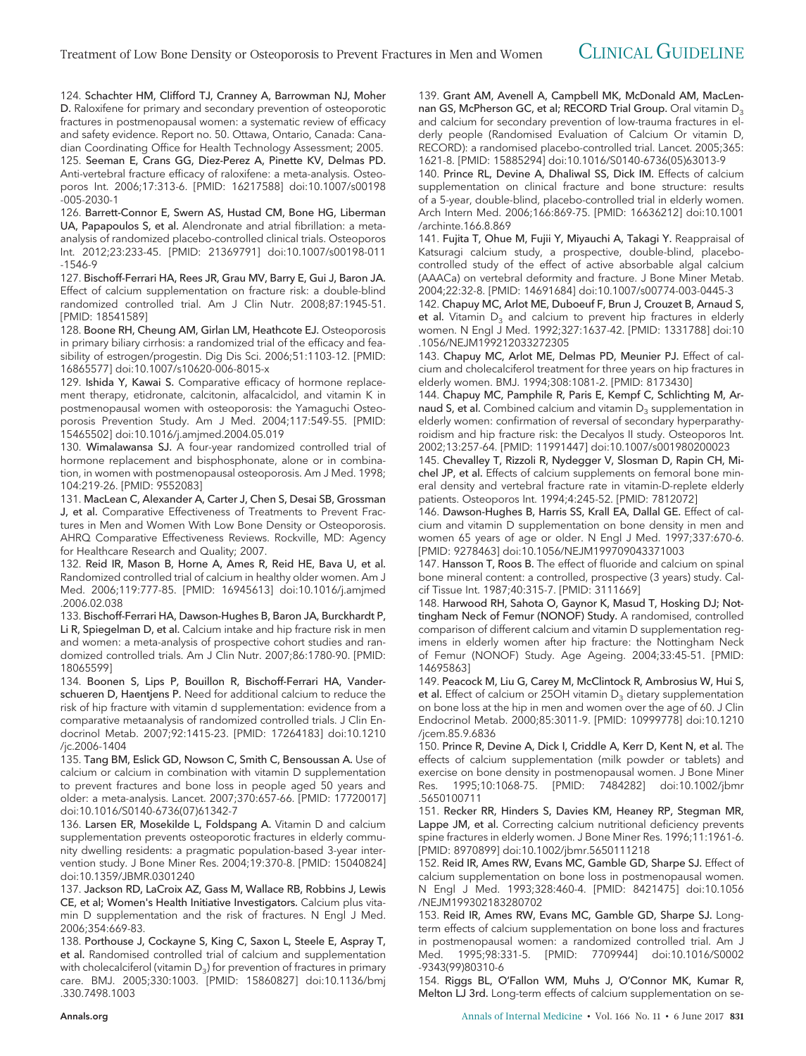124. Schachter HM, Clifford TJ, Cranney A, Barrowman NJ, Moher D. Raloxifene for primary and secondary prevention of osteoporotic fractures in postmenopausal women: a systematic review of efficacy and safety evidence. Report no. 50. Ottawa, Ontario, Canada: Canadian Coordinating Office for Health Technology Assessment; 2005. 125. Seeman E, Crans GG, Diez-Perez A, Pinette KV, Delmas PD. Anti-vertebral fracture efficacy of raloxifene: a meta-analysis. Osteoporos Int. 2006;17:313-6. [PMID: 16217588] doi:10.1007/s00198 -005-2030-1

126. Barrett-Connor E, Swern AS, Hustad CM, Bone HG, Liberman UA, Papapoulos S, et al. Alendronate and atrial fibrillation: a metaanalysis of randomized placebo-controlled clinical trials. Osteoporos Int. 2012;23:233-45. [PMID: 21369791] doi:10.1007/s00198-011 -1546-9

127. Bischoff-Ferrari HA, Rees JR, Grau MV, Barry E, Gui J, Baron JA. Effect of calcium supplementation on fracture risk: a double-blind randomized controlled trial. Am J Clin Nutr. 2008;87:1945-51. [PMID: 18541589]

128. Boone RH, Cheung AM, Girlan LM, Heathcote EJ. Osteoporosis in primary biliary cirrhosis: a randomized trial of the efficacy and feasibility of estrogen/progestin. Dig Dis Sci. 2006;51:1103-12. [PMID: 16865577] doi:10.1007/s10620-006-8015-x

129. Ishida Y, Kawai S. Comparative efficacy of hormone replacement therapy, etidronate, calcitonin, alfacalcidol, and vitamin K in postmenopausal women with osteoporosis: the Yamaguchi Osteoporosis Prevention Study. Am J Med. 2004;117:549-55. [PMID: 15465502] doi:10.1016/j.amjmed.2004.05.019

130. Wimalawansa SJ. A four-year randomized controlled trial of hormone replacement and bisphosphonate, alone or in combination, in women with postmenopausal osteoporosis. Am J Med. 1998; 104:219-26. [PMID: 9552083]

131. MacLean C, Alexander A, Carter J, Chen S, Desai SB, Grossman J, et al. Comparative Effectiveness of Treatments to Prevent Fractures in Men and Women With Low Bone Density or Osteoporosis. AHRQ Comparative Effectiveness Reviews. Rockville, MD: Agency for Healthcare Research and Quality; 2007.

132. Reid IR, Mason B, Horne A, Ames R, Reid HE, Bava U, et al. Randomized controlled trial of calcium in healthy older women. Am J Med. 2006;119:777-85. [PMID: 16945613] doi:10.1016/j.amjmed .2006.02.038

133. Bischoff-Ferrari HA, Dawson-Hughes B, Baron JA, Burckhardt P, Li R, Spiegelman D, et al. Calcium intake and hip fracture risk in men and women: a meta-analysis of prospective cohort studies and randomized controlled trials. Am J Clin Nutr. 2007;86:1780-90. [PMID: 18065599]

134. Boonen S, Lips P, Bouillon R, Bischoff-Ferrari HA, Vanderschueren D, Haentjens P. Need for additional calcium to reduce the risk of hip fracture with vitamin d supplementation: evidence from a comparative metaanalysis of randomized controlled trials. J Clin Endocrinol Metab. 2007;92:1415-23. [PMID: 17264183] doi:10.1210 /jc.2006-1404

135. Tang BM, Eslick GD, Nowson C, Smith C, Bensoussan A. Use of calcium or calcium in combination with vitamin D supplementation to prevent fractures and bone loss in people aged 50 years and older: a meta-analysis. Lancet. 2007;370:657-66. [PMID: 17720017] doi:10.1016/S0140-6736(07)61342-7

136. Larsen ER, Mosekilde L, Foldspang A. Vitamin D and calcium supplementation prevents osteoporotic fractures in elderly community dwelling residents: a pragmatic population-based 3-year intervention study. J Bone Miner Res. 2004;19:370-8. [PMID: 15040824] doi:10.1359/JBMR.0301240

137. Jackson RD, LaCroix AZ, Gass M, Wallace RB, Robbins J, Lewis CE, et al; Women's Health Initiative Investigators. Calcium plus vitamin D supplementation and the risk of fractures. N Engl J Med. 2006;354:669-83.

138. Porthouse J, Cockayne S, King C, Saxon L, Steele E, Aspray T, et al. Randomised controlled trial of calcium and supplementation with cholecalciferol (vitamin  $D_3$ ) for prevention of fractures in primary care. BMJ. 2005;330:1003. [PMID: 15860827] doi:10.1136/bmj .330.7498.1003

139. Grant AM, Avenell A, Campbell MK, McDonald AM, MacLennan GS, McPherson GC, et al; RECORD Trial Group. Oral vitamin  $D_3$ and calcium for secondary prevention of low-trauma fractures in elderly people (Randomised Evaluation of Calcium Or vitamin D, RECORD): a randomised placebo-controlled trial. Lancet. 2005;365: 1621-8. [PMID: 15885294] doi:10.1016/S0140-6736(05)63013-9

140. Prince RL, Devine A, Dhaliwal SS, Dick IM. Effects of calcium supplementation on clinical fracture and bone structure: results of a 5-year, double-blind, placebo-controlled trial in elderly women. Arch Intern Med. 2006;166:869-75. [PMID: 16636212] doi:10.1001 /archinte.166.8.869

141. Fujita T, Ohue M, Fujii Y, Miyauchi A, Takagi Y. Reappraisal of Katsuragi calcium study, a prospective, double-blind, placebocontrolled study of the effect of active absorbable algal calcium (AAACa) on vertebral deformity and fracture. J Bone Miner Metab. 2004;22:32-8. [PMID: 14691684] doi:10.1007/s00774-003-0445-3

142. Chapuy MC, Arlot ME, Duboeuf F, Brun J, Crouzet B, Arnaud S, et al. Vitamin  $D_3$  and calcium to prevent hip fractures in elderly women. N Engl J Med. 1992;327:1637-42. [PMID: 1331788] doi:10 .1056/NEJM199212033272305

143. Chapuy MC, Arlot ME, Delmas PD, Meunier PJ. Effect of calcium and cholecalciferol treatment for three years on hip fractures in elderly women. BMJ. 1994;308:1081-2. [PMID: 8173430]

144. Chapuy MC, Pamphile R, Paris E, Kempf C, Schlichting M, Arnaud S, et al. Combined calcium and vitamin  $D_3$  supplementation in elderly women: confirmation of reversal of secondary hyperparathyroidism and hip fracture risk: the Decalyos II study. Osteoporos Int. 2002;13:257-64. [PMID: 11991447] doi:10.1007/s001980200023

145. Chevalley T, Rizzoli R, Nydegger V, Slosman D, Rapin CH, Michel JP, et al. Effects of calcium supplements on femoral bone mineral density and vertebral fracture rate in vitamin-D-replete elderly patients. Osteoporos Int. 1994;4:245-52. [PMID: 7812072]

146. Dawson-Hughes B, Harris SS, Krall EA, Dallal GE. Effect of calcium and vitamin D supplementation on bone density in men and women 65 years of age or older. N Engl J Med. 1997;337:670-6. [PMID: 9278463] doi:10.1056/NEJM199709043371003

147. Hansson T, Roos B. The effect of fluoride and calcium on spinal bone mineral content: a controlled, prospective (3 years) study. Calcif Tissue Int. 1987;40:315-7. [PMID: 3111669]

148. Harwood RH, Sahota O, Gaynor K, Masud T, Hosking DJ; Nottingham Neck of Femur (NONOF) Study. A randomised, controlled comparison of different calcium and vitamin D supplementation regimens in elderly women after hip fracture: the Nottingham Neck of Femur (NONOF) Study. Age Ageing. 2004;33:45-51. [PMID: 14695863]

149. Peacock M, Liu G, Carey M, McClintock R, Ambrosius W, Hui S, et al. Effect of calcium or 25OH vitamin  $D_3$  dietary supplementation on bone loss at the hip in men and women over the age of 60. J Clin Endocrinol Metab. 2000;85:3011-9. [PMID: 10999778] doi:10.1210 /jcem.85.9.6836

150. Prince R, Devine A, Dick I, Criddle A, Kerr D, Kent N, et al. The effects of calcium supplementation (milk powder or tablets) and exercise on bone density in postmenopausal women. J Bone Miner Res. 1995;10:1068-75. [PMID: 7484282] doi:10.1002/jbmr .5650100711

151. Recker RR, Hinders S, Davies KM, Heaney RP, Stegman MR, Lappe JM, et al. Correcting calcium nutritional deficiency prevents spine fractures in elderly women. J Bone Miner Res. 1996;11:1961-6. [PMID: 8970899] doi:10.1002/jbmr.5650111218

152. Reid IR, Ames RW, Evans MC, Gamble GD, Sharpe SJ. Effect of calcium supplementation on bone loss in postmenopausal women. N Engl J Med. 1993;328:460-4. [PMID: 8421475] doi:10.1056 /NEJM199302183280702

153. Reid IR, Ames RW, Evans MC, Gamble GD, Sharpe SJ. Longterm effects of calcium supplementation on bone loss and fractures in postmenopausal women: a randomized controlled trial. Am J Med. 1995;98:331-5. [PMID: 7709944] doi:10.1016/S0002 -9343(99)80310-6

154. Riggs BL, O'Fallon WM, Muhs J, O'Connor MK, Kumar R, Melton LJ 3rd. Long-term effects of calcium supplementation on se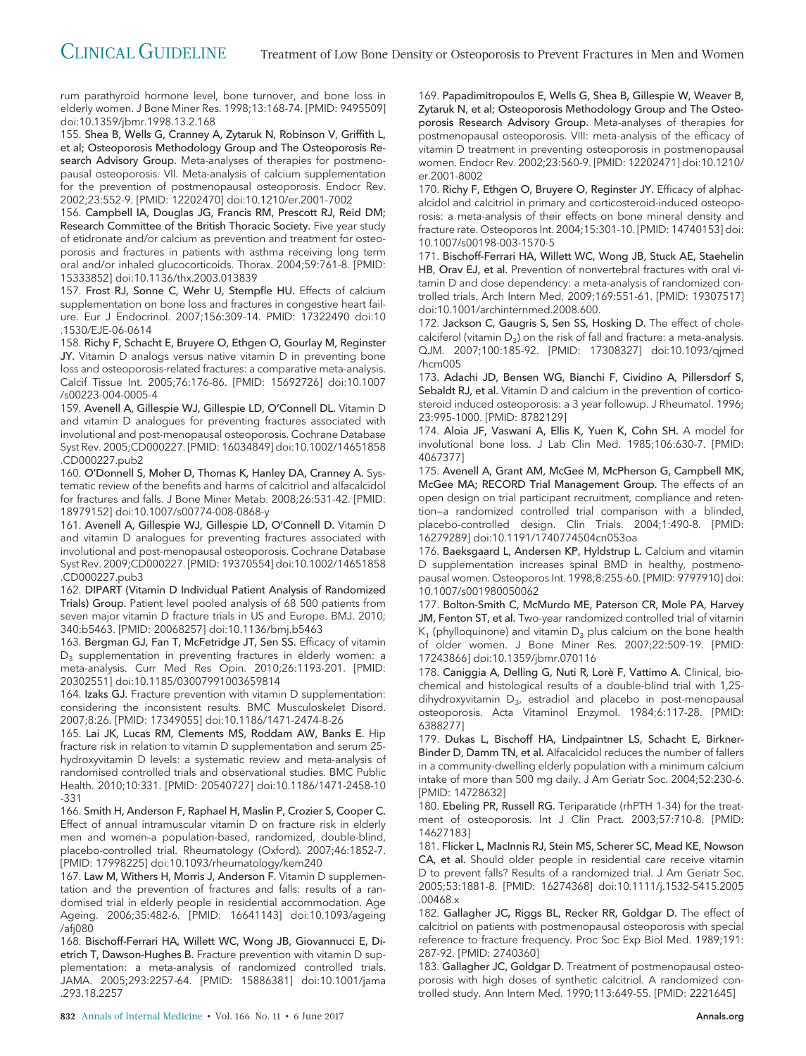rum parathyroid hormone level, bone turnover, and bone loss in elderly women. J Bone Miner Res. 1998;13:168-74. [PMID: 9495509] doi:10.1359/jbmr.1998.13.2.168

155. Shea B, Wells G, Cranney A, Zytaruk N, Robinson V, Griffith L, et al; Osteoporosis Methodology Group and The Osteoporosis Research Advisory Group. Meta-analyses of therapies for postmenopausal osteoporosis. VII. Meta-analysis of calcium supplementation for the prevention of postmenopausal osteoporosis. Endocr Rev. 2002;23:552-9. [PMID: 12202470] doi:10.1210/er.2001-7002

156. Campbell IA, Douglas JG, Francis RM, Prescott RJ, Reid DM; Research Committee of the British Thoracic Society. Five year study of etidronate and/or calcium as prevention and treatment for osteoporosis and fractures in patients with asthma receiving long term oral and/or inhaled glucocorticoids. Thorax. 2004;59:761-8. [PMID: 15333852] doi:10.1136/thx.2003.013839

157. Frost RJ, Sonne C, Wehr U, Stempfle HU. Effects of calcium supplementation on bone loss and fractures in congestive heart failure. Eur J Endocrinol. 2007;156:309-14. PMID: 17322490 doi:10 .1530/EJE-06-0614

158. Richy F, Schacht E, Bruyere O, Ethgen O, Gourlay M, Reginster JY. Vitamin D analogs versus native vitamin D in preventing bone loss and osteoporosis-related fractures: a comparative meta-analysis. Calcif Tissue Int. 2005;76:176-86. [PMID: 15692726] doi:10.1007 /s00223-004-0005-4

159. Avenell A, Gillespie WJ, Gillespie LD, O'Connell DL. Vitamin D and vitamin D analogues for preventing fractures associated with involutional and post-menopausal osteoporosis. Cochrane Database Syst Rev. 2005;CD000227. [PMID: 16034849] doi:10.1002/14651858 .CD000227.pub2

160. O'Donnell S, Moher D, Thomas K, Hanley DA, Cranney A. Systematic review of the benefits and harms of calcitriol and alfacalcidol for fractures and falls. J Bone Miner Metab. 2008;26:531-42. [PMID: 18979152] doi:10.1007/s00774-008-0868-y

161. Avenell A, Gillespie WJ, Gillespie LD, O'Connell D. Vitamin D and vitamin D analogues for preventing fractures associated with involutional and post-menopausal osteoporosis. Cochrane Database Syst Rev. 2009;CD000227. [PMID: 19370554] doi:10.1002/14651858 .CD000227.pub3

162. DIPART (Vitamin D Individual Patient Analysis of Randomized Trials) Group. Patient level pooled analysis of 68 500 patients from seven major vitamin D fracture trials in US and Europe. BMJ. 2010; 340:b5463. [PMID: 20068257] doi:10.1136/bmj.b5463

163. Bergman GJ, Fan T, McFetridge JT, Sen SS. Efficacy of vitamin D<sub>3</sub> supplementation in preventing fractures in elderly women: a meta-analysis. Curr Med Res Opin. 2010;26:1193-201. [PMID: 20302551] doi:10.1185/03007991003659814

164. Izaks GJ. Fracture prevention with vitamin D supplementation: considering the inconsistent results. BMC Musculoskelet Disord. 2007;8:26. [PMID: 17349055] doi:10.1186/1471-2474-8-26

165. Lai JK, Lucas RM, Clements MS, Roddam AW, Banks E. Hip fracture risk in relation to vitamin D supplementation and serum 25 hydroxyvitamin D levels: a systematic review and meta-analysis of randomised controlled trials and observational studies. BMC Public Health. 2010;10:331. [PMID: 20540727] doi:10.1186/1471-2458-10 -331

166. Smith H, Anderson F, Raphael H, Maslin P, Crozier S, Cooper C. Effect of annual intramuscular vitamin D on fracture risk in elderly men and women–a population-based, randomized, double-blind, placebo-controlled trial. Rheumatology (Oxford). 2007;46:1852-7. [PMID: 17998225] doi:10.1093/rheumatology/kem240

167. Law M, Withers H, Morris J, Anderson F. Vitamin D supplementation and the prevention of fractures and falls: results of a randomised trial in elderly people in residential accommodation. Age Ageing. 2006;35:482-6. [PMID: 16641143] doi:10.1093/ageing /afj080

168. Bischoff-Ferrari HA, Willett WC, Wong JB, Giovannucci E, Dietrich T, Dawson-Hughes B. Fracture prevention with vitamin D supplementation: a meta-analysis of randomized controlled trials. JAMA. 2005;293:2257-64. [PMID: 15886381] doi:10.1001/jama .293.18.2257

169. Papadimitropoulos E, Wells G, Shea B, Gillespie W, Weaver B, Zytaruk N, et al; Osteoporosis Methodology Group and The Osteoporosis Research Advisory Group. Meta-analyses of therapies for postmenopausal osteoporosis. VIII: meta-analysis of the efficacy of vitamin D treatment in preventing osteoporosis in postmenopausal women. Endocr Rev. 2002;23:560-9. [PMID: 12202471] doi:10.1210/ er.2001-8002

170. Richy F, Ethgen O, Bruyere O, Reginster JY. Efficacy of alphacalcidol and calcitriol in primary and corticosteroid-induced osteoporosis: a meta-analysis of their effects on bone mineral density and fracture rate. Osteoporos Int. 2004;15:301-10. [PMID: 14740153] doi: 10.1007/s00198-003-1570-5

171. Bischoff-Ferrari HA, Willett WC, Wong JB, Stuck AE, Staehelin HB, Orav EJ, et al. Prevention of nonvertebral fractures with oral vitamin D and dose dependency: a meta-analysis of randomized controlled trials. Arch Intern Med. 2009;169:551-61. [PMID: 19307517] doi:10.1001/archinternmed.2008.600.

172. Jackson C, Gaugris S, Sen SS, Hosking D. The effect of cholecalciferol (vitamin  $D_3$ ) on the risk of fall and fracture: a meta-analysis. QJM. 2007;100:185-92. [PMID: 17308327] doi:10.1093/qjmed /hcm005

173. Adachi JD, Bensen WG, Bianchi F, Cividino A, Pillersdorf S, Sebaldt RJ, et al. Vitamin D and calcium in the prevention of corticosteroid induced osteoporosis: a 3 year followup. J Rheumatol. 1996; 23:995-1000. [PMID: 8782129]

174. Aloia JF, Vaswani A, Ellis K, Yuen K, Cohn SH. A model for involutional bone loss. J Lab Clin Med. 1985;106:630-7. [PMID: 4067377]

175. Avenell A, Grant AM, McGee M, McPherson G, Campbell MK, McGee MA; RECORD Trial Management Group. The effects of an open design on trial participant recruitment, compliance and retention—a randomized controlled trial comparison with a blinded, placebo-controlled design. Clin Trials. 2004;1:490-8. [PMID: 16279289] doi:10.1191/1740774504cn053oa

176. Baeksgaard L, Andersen KP, Hyldstrup L. Calcium and vitamin D supplementation increases spinal BMD in healthy, postmenopausal women. Osteoporos Int. 1998;8:255-60. [PMID: 9797910] doi: 10.1007/s001980050062

177. Bolton-Smith C, McMurdo ME, Paterson CR, Mole PA, Harvey JM, Fenton ST, et al. Two-year randomized controlled trial of vitamin  $K_1$  (phylloquinone) and vitamin  $D_3$  plus calcium on the bone health of older women. J Bone Miner Res. 2007;22:509-19. [PMID: 17243866] doi:10.1359/jbmr.070116

178. Caniggia A, Delling G, Nuti R, Lorè F, Vattimo A. Clinical, biochemical and histological results of a double-blind trial with 1,25 dihydroxyvitamin  $D_{3}$ , estradiol and placebo in post-menopausal osteoporosis. Acta Vitaminol Enzymol. 1984;6:117-28. [PMID: 6388277]

179. Dukas L, Bischoff HA, Lindpaintner LS, Schacht E, Birkner-Binder D, Damm TN, et al. Alfacalcidol reduces the number of fallers in a community-dwelling elderly population with a minimum calcium intake of more than 500 mg daily. J Am Geriatr Soc. 2004;52:230-6. [PMID: 14728632]

180. Ebeling PR, Russell RG. Teriparatide (rhPTH 1-34) for the treatment of osteoporosis. Int J Clin Pract. 2003;57:710-8. [PMID: 14627183]

181. Flicker L, MacInnis RJ, Stein MS, Scherer SC, Mead KE, Nowson CA, et al. Should older people in residential care receive vitamin D to prevent falls? Results of a randomized trial. J Am Geriatr Soc. 2005;53:1881-8. [PMID: 16274368] doi:10.1111/j.1532-5415.2005 .00468.x

182. Gallagher JC, Riggs BL, Recker RR, Goldgar D. The effect of calcitriol on patients with postmenopausal osteoporosis with special reference to fracture frequency. Proc Soc Exp Biol Med. 1989;191: 287-92. [PMID: 2740360]

183. Gallagher JC, Goldgar D. Treatment of postmenopausal osteoporosis with high doses of synthetic calcitriol. A randomized controlled study. Ann Intern Med. 1990;113:649-55. [PMID: 2221645]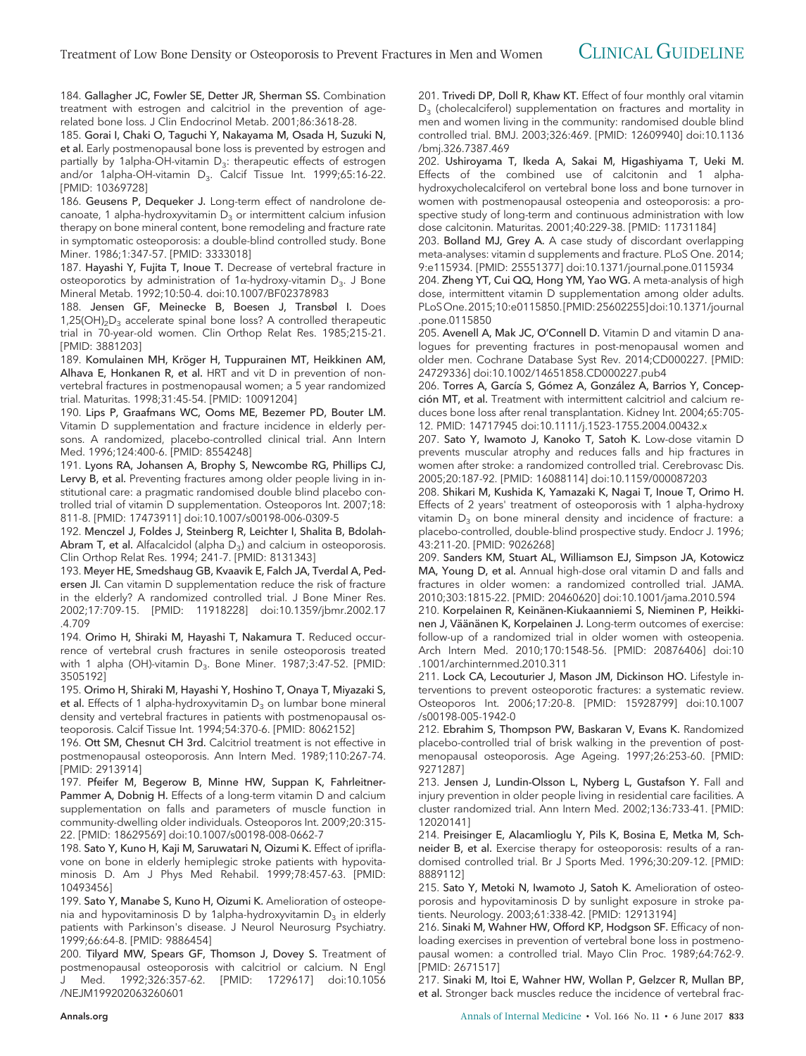184. Gallagher JC, Fowler SE, Detter JR, Sherman SS. Combination treatment with estrogen and calcitriol in the prevention of agerelated bone loss. J Clin Endocrinol Metab. 2001;86:3618-28.

185. Gorai I, Chaki O, Taguchi Y, Nakayama M, Osada H, Suzuki N, et al. Early postmenopausal bone loss is prevented by estrogen and partially by 1alpha-OH-vitamin  $D_3$ : therapeutic effects of estrogen and/or 1alpha-OH-vitamin  $D_3$ . Calcif Tissue Int. 1999;65:16-22. [PMID: 10369728]

186. Geusens P, Dequeker J. Long-term effect of nandrolone decanoate, 1 alpha-hydroxyvitamin  $D_3$  or intermittent calcium infusion therapy on bone mineral content, bone remodeling and fracture rate in symptomatic osteoporosis: a double-blind controlled study. Bone Miner. 1986;1:347-57. [PMID: 3333018]

187. Hayashi Y, Fujita T, Inoue T. Decrease of vertebral fracture in osteoporotics by administration of 1 $\alpha$ -hydroxy-vitamin D<sub>3</sub>. J Bone Mineral Metab. 1992;10:50-4. doi:10.1007/BF02378983

188. Jensen GF, Meinecke B, Boesen J, Transbøl I. Does  $1,25(OH)_{2}D_{3}$  accelerate spinal bone loss? A controlled therapeutic trial in 70-year-old women. Clin Orthop Relat Res. 1985;215-21. [PMID: 3881203]

189. Komulainen MH, Kröger H, Tuppurainen MT, Heikkinen AM, Alhava E, Honkanen R, et al. HRT and vit D in prevention of nonvertebral fractures in postmenopausal women; a 5 year randomized trial. Maturitas. 1998;31:45-54. [PMID: 10091204]

190. Lips P, Graafmans WC, Ooms ME, Bezemer PD, Bouter LM. Vitamin D supplementation and fracture incidence in elderly persons. A randomized, placebo-controlled clinical trial. Ann Intern Med. 1996;124:400-6. [PMID: 8554248]

191. Lyons RA, Johansen A, Brophy S, Newcombe RG, Phillips CJ, Lervy B, et al. Preventing fractures among older people living in institutional care: a pragmatic randomised double blind placebo controlled trial of vitamin D supplementation. Osteoporos Int. 2007;18: 811-8. [PMID: 17473911] doi:10.1007/s00198-006-0309-5

192. Menczel J, Foldes J, Steinberg R, Leichter I, Shalita B, Bdolah-Abram T, et al. Alfacalcidol (alpha  $D_3$ ) and calcium in osteoporosis. Clin Orthop Relat Res. 1994; 241-7. [PMID: 8131343]

193. Meyer HE, Smedshaug GB, Kvaavik E, Falch JA, Tverdal A, Pedersen JI. Can vitamin D supplementation reduce the risk of fracture in the elderly? A randomized controlled trial. J Bone Miner Res. 2002;17:709-15. [PMID: 11918228] doi:10.1359/jbmr.2002.17 .4.709

194. Orimo H, Shiraki M, Hayashi T, Nakamura T. Reduced occurrence of vertebral crush fractures in senile osteoporosis treated with 1 alpha (OH)-vitamin  $D_3$ . Bone Miner. 1987;3:47-52. [PMID: 3505192]

195. Orimo H, Shiraki M, Hayashi Y, Hoshino T, Onaya T, Miyazaki S, et al. Effects of 1 alpha-hydroxyvitamin  $D_3$  on lumbar bone mineral density and vertebral fractures in patients with postmenopausal osteoporosis. Calcif Tissue Int. 1994;54:370-6. [PMID: 8062152]

196. Ott SM, Chesnut CH 3rd. Calcitriol treatment is not effective in postmenopausal osteoporosis. Ann Intern Med. 1989;110:267-74. [PMID: 2913914]

197. Pfeifer M, Begerow B, Minne HW, Suppan K, Fahrleitner-Pammer A, Dobnig H. Effects of a long-term vitamin D and calcium supplementation on falls and parameters of muscle function in community-dwelling older individuals. Osteoporos Int. 2009;20:315- 22. [PMID: 18629569] doi:10.1007/s00198-008-0662-7

198. Sato Y, Kuno H, Kaji M, Saruwatari N, Oizumi K. Effect of ipriflavone on bone in elderly hemiplegic stroke patients with hypovitaminosis D. Am J Phys Med Rehabil. 1999;78:457-63. [PMID: 10493456]

199. Sato Y, Manabe S, Kuno H, Oizumi K. Amelioration of osteopenia and hypovitaminosis D by 1alpha-hydroxyvitamin  $D_3$  in elderly patients with Parkinson's disease. J Neurol Neurosurg Psychiatry. 1999;66:64-8. [PMID: 9886454]

200. Tilyard MW, Spears GF, Thomson J, Dovey S. Treatment of postmenopausal osteoporosis with calcitriol or calcium. N Engl J Med. 1992;326:357-62. [PMID: 1729617] doi:10.1056 /NEJM199202063260601

201. Trivedi DP, Doll R, Khaw KT. Effect of four monthly oral vitamin  $D<sub>3</sub>$  (cholecalciferol) supplementation on fractures and mortality in men and women living in the community: randomised double blind controlled trial. BMJ. 2003;326:469. [PMID: 12609940] doi:10.1136 /bmj.326.7387.469

202. Ushiroyama T, Ikeda A, Sakai M, Higashiyama T, Ueki M. Effects of the combined use of calcitonin and 1 alphahydroxycholecalciferol on vertebral bone loss and bone turnover in women with postmenopausal osteopenia and osteoporosis: a prospective study of long-term and continuous administration with low dose calcitonin. Maturitas. 2001;40:229-38. [PMID: 11731184]

203. Bolland MJ, Grey A. A case study of discordant overlapping meta-analyses: vitamin d supplements and fracture. PLoS One. 2014; 9:e115934. [PMID: 25551377] doi:10.1371/journal.pone.0115934

204. Zheng YT, Cui QQ, Hong YM, Yao WG. A meta-analysis of high dose, intermittent vitamin D supplementation among older adults. PLoSOne.2015;10:e0115850. [PMID:25602255]doi:10.1371/journal .pone.0115850

205. Avenell A, Mak JC, O'Connell D. Vitamin D and vitamin D analogues for preventing fractures in post-menopausal women and older men. Cochrane Database Syst Rev. 2014;CD000227. [PMID: 24729336] doi:10.1002/14651858.CD000227.pub4

206. Torres A, García S, Gómez A, González A, Barrios Y, Concepción MT, et al. Treatment with intermittent calcitriol and calcium reduces bone loss after renal transplantation. Kidney Int. 2004;65:705- 12. PMID: 14717945 doi:10.1111/j.1523-1755.2004.00432.x

207. Sato Y, Iwamoto J, Kanoko T, Satoh K. Low-dose vitamin D prevents muscular atrophy and reduces falls and hip fractures in women after stroke: a randomized controlled trial. Cerebrovasc Dis. 2005;20:187-92. [PMID: 16088114] doi:10.1159/000087203

208. Shikari M, Kushida K, Yamazaki K, Nagai T, Inoue T, Orimo H. Effects of 2 years' treatment of osteoporosis with 1 alpha-hydroxy vitamin  $D_3$  on bone mineral density and incidence of fracture: a placebo-controlled, double-blind prospective study. Endocr J. 1996; 43:211-20. [PMID: 9026268]

209. Sanders KM, Stuart AL, Williamson EJ, Simpson JA, Kotowicz MA, Young D, et al. Annual high-dose oral vitamin D and falls and fractures in older women: a randomized controlled trial. JAMA. 2010;303:1815-22. [PMID: 20460620] doi:10.1001/jama.2010.594

210. Korpelainen R, Keinänen-Kiukaanniemi S, Nieminen P, Heikkinen J, Väänänen K, Korpelainen J. Long-term outcomes of exercise: follow-up of a randomized trial in older women with osteopenia. Arch Intern Med. 2010;170:1548-56. [PMID: 20876406] doi:10 .1001/archinternmed.2010.311

211. Lock CA, Lecouturier J, Mason JM, Dickinson HO. Lifestyle interventions to prevent osteoporotic fractures: a systematic review. Osteoporos Int. 2006;17:20-8. [PMID: 15928799] doi:10.1007 /s00198-005-1942-0

212. Ebrahim S, Thompson PW, Baskaran V, Evans K. Randomized placebo-controlled trial of brisk walking in the prevention of postmenopausal osteoporosis. Age Ageing. 1997;26:253-60. [PMID: 9271287]

213. Jensen J, Lundin-Olsson L, Nyberg L, Gustafson Y. Fall and injury prevention in older people living in residential care facilities. A cluster randomized trial. Ann Intern Med. 2002;136:733-41. [PMID: 12020141]

214. Preisinger E, Alacamlioglu Y, Pils K, Bosina E, Metka M, Schneider B, et al. Exercise therapy for osteoporosis: results of a randomised controlled trial. Br J Sports Med. 1996;30:209-12. [PMID: 8889112]

215. Sato Y, Metoki N, Iwamoto J, Satoh K. Amelioration of osteoporosis and hypovitaminosis D by sunlight exposure in stroke patients. Neurology. 2003;61:338-42. [PMID: 12913194]

216. Sinaki M, Wahner HW, Offord KP, Hodgson SF. Efficacy of nonloading exercises in prevention of vertebral bone loss in postmenopausal women: a controlled trial. Mayo Clin Proc. 1989;64:762-9. [PMID: 2671517]

217. Sinaki M, Itoi E, Wahner HW, Wollan P, Gelzcer R, Mullan BP, et al. Stronger back muscles reduce the incidence of vertebral frac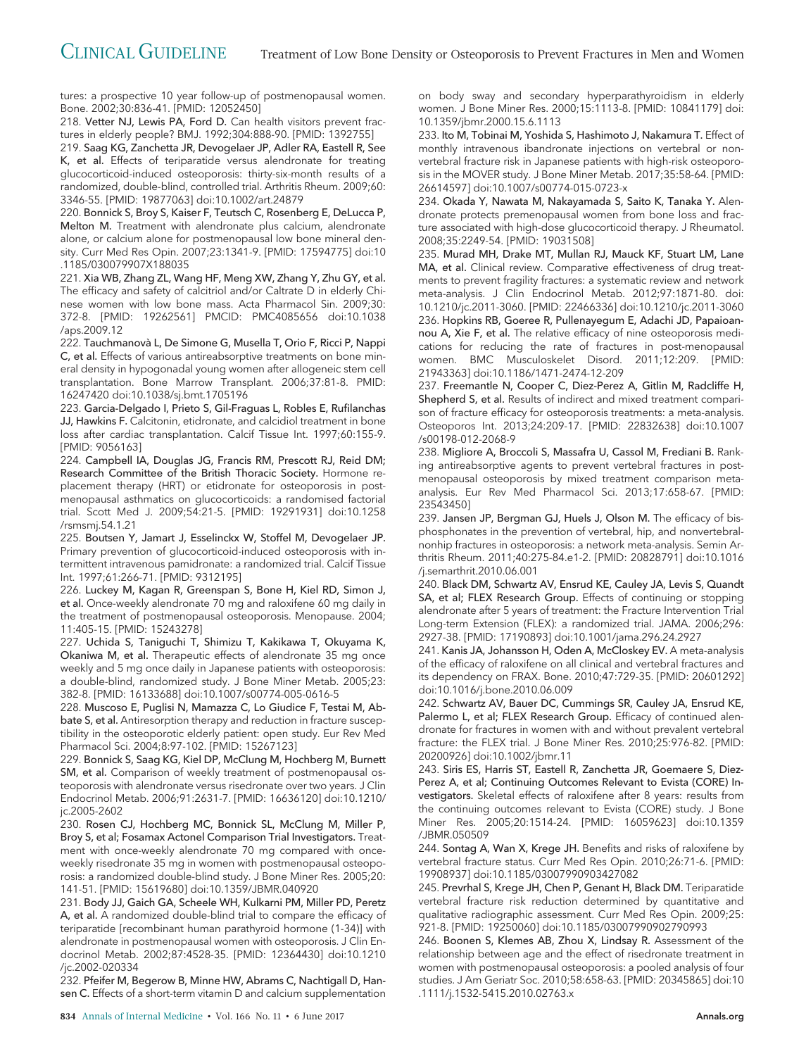tures: a prospective 10 year follow-up of postmenopausal women. Bone. 2002;30:836-41. [PMID: 12052450]

218. Vetter NJ, Lewis PA, Ford D. Can health visitors prevent fractures in elderly people? BMJ. 1992;304:888-90. [PMID: 1392755]

219. Saag KG, Zanchetta JR, Devogelaer JP, Adler RA, Eastell R, See K, et al. Effects of teriparatide versus alendronate for treating glucocorticoid-induced osteoporosis: thirty-six-month results of a randomized, double-blind, controlled trial. Arthritis Rheum. 2009;60: 3346-55. [PMID: 19877063] doi:10.1002/art.24879

220. Bonnick S, Broy S, Kaiser F, Teutsch C, Rosenberg E, DeLucca P, Melton M. Treatment with alendronate plus calcium, alendronate alone, or calcium alone for postmenopausal low bone mineral density. Curr Med Res Opin. 2007;23:1341-9. [PMID: 17594775] doi:10 .1185/030079907X188035

221. Xia WB, Zhang ZL, Wang HF, Meng XW, Zhang Y, Zhu GY, et al. The efficacy and safety of calcitriol and/or Caltrate D in elderly Chinese women with low bone mass. Acta Pharmacol Sin. 2009;30: 372-8. [PMID: 19262561] PMCID: PMC4085656 doi:10.1038 /aps.2009.12

222. Tauchmanovà L, De Simone G, Musella T, Orio F, Ricci P, Nappi C, et al. Effects of various antireabsorptive treatments on bone mineral density in hypogonadal young women after allogeneic stem cell transplantation. Bone Marrow Transplant. 2006;37:81-8. PMID: 16247420 doi:10.1038/sj.bmt.1705196

223. Garcia-Delgado I, Prieto S, Gil-Fraguas L, Robles E, Rufilanchas JJ, Hawkins F. Calcitonin, etidronate, and calcidiol treatment in bone loss after cardiac transplantation. Calcif Tissue Int. 1997;60:155-9. [PMID: 9056163]

224. Campbell IA, Douglas JG, Francis RM, Prescott RJ, Reid DM; Research Committee of the British Thoracic Society. Hormone replacement therapy (HRT) or etidronate for osteoporosis in postmenopausal asthmatics on glucocorticoids: a randomised factorial trial. Scott Med J. 2009;54:21-5. [PMID: 19291931] doi:10.1258 /rsmsmj.54.1.21

225. Boutsen Y, Jamart J, Esselinckx W, Stoffel M, Devogelaer JP. Primary prevention of glucocorticoid-induced osteoporosis with intermittent intravenous pamidronate: a randomized trial. Calcif Tissue Int. 1997;61:266-71. [PMID: 9312195]

226. Luckey M, Kagan R, Greenspan S, Bone H, Kiel RD, Simon J, et al. Once-weekly alendronate 70 mg and raloxifene 60 mg daily in the treatment of postmenopausal osteoporosis. Menopause. 2004; 11:405-15. [PMID: 15243278]

227. Uchida S, Taniguchi T, Shimizu T, Kakikawa T, Okuyama K, Okaniwa M, et al. Therapeutic effects of alendronate 35 mg once weekly and 5 mg once daily in Japanese patients with osteoporosis: a double-blind, randomized study. J Bone Miner Metab. 2005;23: 382-8. [PMID: 16133688] doi:10.1007/s00774-005-0616-5

228. Muscoso E, Puglisi N, Mamazza C, Lo Giudice F, Testai M, Abbate S, et al. Antiresorption therapy and reduction in fracture susceptibility in the osteoporotic elderly patient: open study. Eur Rev Med Pharmacol Sci. 2004;8:97-102. [PMID: 15267123]

229. Bonnick S, Saag KG, Kiel DP, McClung M, Hochberg M, Burnett SM, et al. Comparison of weekly treatment of postmenopausal osteoporosis with alendronate versus risedronate over two years. J Clin Endocrinol Metab. 2006;91:2631-7. [PMID: 16636120] doi:10.1210/ jc.2005-2602

230. Rosen CJ, Hochberg MC, Bonnick SL, McClung M, Miller P, Broy S, et al; Fosamax Actonel Comparison Trial Investigators. Treatment with once-weekly alendronate 70 mg compared with onceweekly risedronate 35 mg in women with postmenopausal osteoporosis: a randomized double-blind study. J Bone Miner Res. 2005;20: 141-51. [PMID: 15619680] doi:10.1359/JBMR.040920

231. Body JJ, Gaich GA, Scheele WH, Kulkarni PM, Miller PD, Peretz A, et al. A randomized double-blind trial to compare the efficacy of teriparatide [recombinant human parathyroid hormone (1-34)] with alendronate in postmenopausal women with osteoporosis. J Clin Endocrinol Metab. 2002;87:4528-35. [PMID: 12364430] doi:10.1210 /jc.2002-020334

232. Pfeifer M, Begerow B, Minne HW, Abrams C, Nachtigall D, Hansen C. Effects of a short-term vitamin D and calcium supplementation on body sway and secondary hyperparathyroidism in elderly women. J Bone Miner Res. 2000;15:1113-8. [PMID: 10841179] doi: 10.1359/jbmr.2000.15.6.1113

233. Ito M, Tobinai M, Yoshida S, Hashimoto J, Nakamura T. Effect of monthly intravenous ibandronate injections on vertebral or nonvertebral fracture risk in Japanese patients with high-risk osteoporosis in the MOVER study. J Bone Miner Metab. 2017;35:58-64. [PMID: 26614597] doi:10.1007/s00774-015-0723-x

234. Okada Y, Nawata M, Nakayamada S, Saito K, Tanaka Y. Alendronate protects premenopausal women from bone loss and fracture associated with high-dose glucocorticoid therapy. J Rheumatol. 2008;35:2249-54. [PMID: 19031508]

235. Murad MH, Drake MT, Mullan RJ, Mauck KF, Stuart LM, Lane MA, et al. Clinical review. Comparative effectiveness of drug treatments to prevent fragility fractures: a systematic review and network meta-analysis. J Clin Endocrinol Metab. 2012;97:1871-80. doi: 10.1210/jc.2011-3060. [PMID: 22466336] doi:10.1210/jc.2011-3060 236. Hopkins RB, Goeree R, Pullenayegum E, Adachi JD, Papaioannou A, Xie F, et al. The relative efficacy of nine osteoporosis medications for reducing the rate of fractures in post-menopausal women. BMC Musculoskelet Disord. 2011;12:209. [PMID: 21943363] doi:10.1186/1471-2474-12-209

237. Freemantle N, Cooper C, Diez-Perez A, Gitlin M, Radcliffe H, Shepherd S, et al. Results of indirect and mixed treatment comparison of fracture efficacy for osteoporosis treatments: a meta-analysis. Osteoporos Int. 2013;24:209-17. [PMID: 22832638] doi:10.1007 /s00198-012-2068-9

238. Migliore A, Broccoli S, Massafra U, Cassol M, Frediani B. Ranking antireabsorptive agents to prevent vertebral fractures in postmenopausal osteoporosis by mixed treatment comparison metaanalysis. Eur Rev Med Pharmacol Sci. 2013;17:658-67. [PMID: 23543450]

239. Jansen JP, Bergman GJ, Huels J, Olson M. The efficacy of bisphosphonates in the prevention of vertebral, hip, and nonvertebralnonhip fractures in osteoporosis: a network meta-analysis. Semin Arthritis Rheum. 2011;40:275-84.e1-2. [PMID: 20828791] doi:10.1016 /j.semarthrit.2010.06.001

240. Black DM, Schwartz AV, Ensrud KE, Cauley JA, Levis S, Quandt SA, et al; FLEX Research Group. Effects of continuing or stopping alendronate after 5 years of treatment: the Fracture Intervention Trial Long-term Extension (FLEX): a randomized trial. JAMA. 2006;296: 2927-38. [PMID: 17190893] doi:10.1001/jama.296.24.2927

241. Kanis JA, Johansson H, Oden A, McCloskey EV. A meta-analysis of the efficacy of raloxifene on all clinical and vertebral fractures and its dependency on FRAX. Bone. 2010;47:729-35. [PMID: 20601292] doi:10.1016/j.bone.2010.06.009

242. Schwartz AV, Bauer DC, Cummings SR, Cauley JA, Ensrud KE, Palermo L, et al; FLEX Research Group. Efficacy of continued alendronate for fractures in women with and without prevalent vertebral fracture: the FLEX trial. J Bone Miner Res. 2010;25:976-82. [PMID: 20200926] doi:10.1002/jbmr.11

243. Siris ES, Harris ST, Eastell R, Zanchetta JR, Goemaere S, Diez-Perez A, et al; Continuing Outcomes Relevant to Evista (CORE) Investigators. Skeletal effects of raloxifene after 8 years: results from the continuing outcomes relevant to Evista (CORE) study. J Bone Miner Res. 2005;20:1514-24. [PMID: 16059623] doi:10.1359 /JBMR.050509

244. Sontag A, Wan X, Krege JH. Benefits and risks of raloxifene by vertebral fracture status. Curr Med Res Opin. 2010;26:71-6. [PMID: 19908937] doi:10.1185/03007990903427082

245. Prevrhal S, Krege JH, Chen P, Genant H, Black DM. Teriparatide vertebral fracture risk reduction determined by quantitative and qualitative radiographic assessment. Curr Med Res Opin. 2009;25: 921-8. [PMID: 19250060] doi:10.1185/03007990902790993

246. Boonen S, Klemes AB, Zhou X, Lindsay R. Assessment of the relationship between age and the effect of risedronate treatment in women with postmenopausal osteoporosis: a pooled analysis of four studies. J Am Geriatr Soc. 2010;58:658-63. [PMID: 20345865] doi:10 .1111/j.1532-5415.2010.02763.x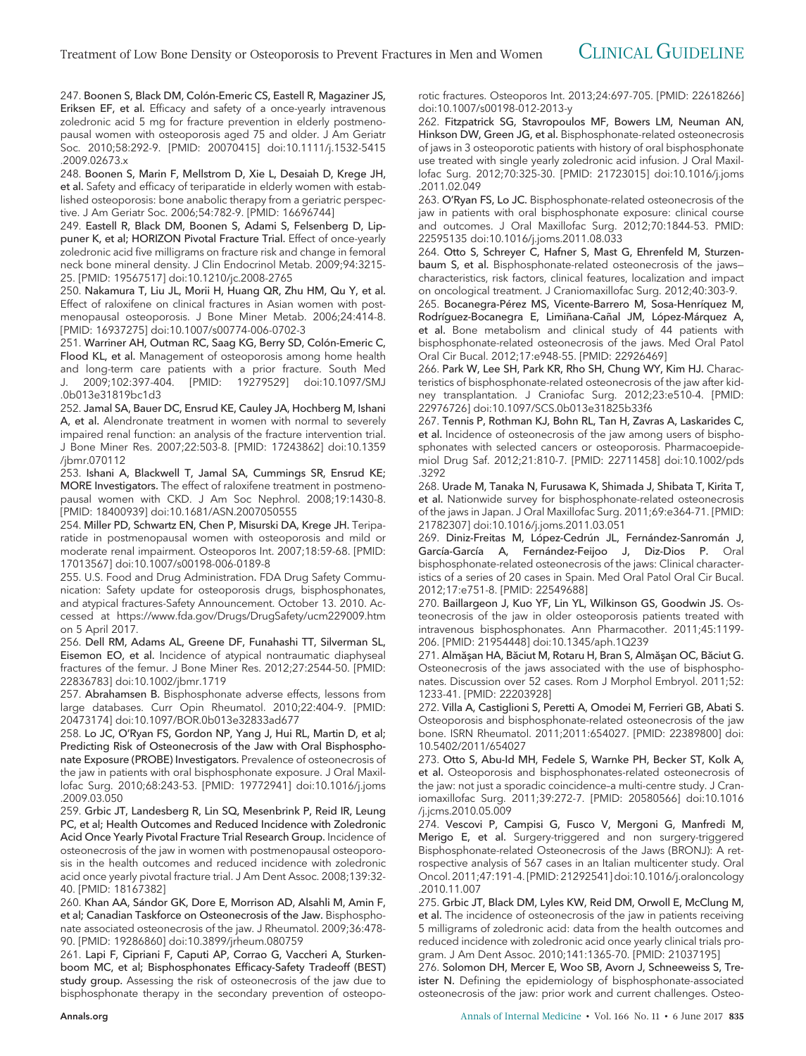247. Boonen S, Black DM, Colón-Emeric CS, Eastell R, Magaziner JS, Eriksen EF, et al. Efficacy and safety of a once-yearly intravenous zoledronic acid 5 mg for fracture prevention in elderly postmenopausal women with osteoporosis aged 75 and older. J Am Geriatr Soc. 2010;58:292-9. [PMID: 20070415] doi:10.1111/j.1532-5415 .2009.02673.x

248. Boonen S, Marin F, Mellstrom D, Xie L, Desaiah D, Krege JH, et al. Safety and efficacy of teriparatide in elderly women with established osteoporosis: bone anabolic therapy from a geriatric perspective. J Am Geriatr Soc. 2006;54:782-9. [PMID: 16696744]

249. Eastell R, Black DM, Boonen S, Adami S, Felsenberg D, Lippuner K, et al; HORIZON Pivotal Fracture Trial. Effect of once-yearly zoledronic acid five milligrams on fracture risk and change in femoral neck bone mineral density. J Clin Endocrinol Metab. 2009;94:3215- 25. [PMID: 19567517] doi:10.1210/jc.2008-2765

250. Nakamura T, Liu JL, Morii H, Huang QR, Zhu HM, Qu Y, et al. Effect of raloxifene on clinical fractures in Asian women with postmenopausal osteoporosis. J Bone Miner Metab. 2006;24:414-8. [PMID: 16937275] doi:10.1007/s00774-006-0702-3

251. Warriner AH, Outman RC, Saag KG, Berry SD, Colón-Emeric C, Flood KL, et al. Management of osteoporosis among home health and long-term care patients with a prior fracture. South Med J. 2009;102:397-404. [PMID: 19279529] doi:10.1097/SMJ .0b013e31819bc1d3

252. Jamal SA, Bauer DC, Ensrud KE, Cauley JA, Hochberg M, Ishani A, et al. Alendronate treatment in women with normal to severely impaired renal function: an analysis of the fracture intervention trial. J Bone Miner Res. 2007;22:503-8. [PMID: 17243862] doi:10.1359 /jbmr.070112

253. Ishani A, Blackwell T, Jamal SA, Cummings SR, Ensrud KE; MORE Investigators. The effect of raloxifene treatment in postmenopausal women with CKD. J Am Soc Nephrol. 2008;19:1430-8. [PMID: 18400939] doi:10.1681/ASN.2007050555

254. Miller PD, Schwartz EN, Chen P, Misurski DA, Krege JH. Teriparatide in postmenopausal women with osteoporosis and mild or moderate renal impairment. Osteoporos Int. 2007;18:59-68. [PMID: 17013567] doi:10.1007/s00198-006-0189-8

255. U.S. Food and Drug Administration. FDA Drug Safety Communication: Safety update for osteoporosis drugs, bisphosphonates, and atypical fractures-Safety Announcement. October 13. 2010. Accessed at<https://www.fda.gov/Drugs/DrugSafety/ucm229009.htm> on 5 April 2017.

256. Dell RM, Adams AL, Greene DF, Funahashi TT, Silverman SL, Eisemon EO, et al. Incidence of atypical nontraumatic diaphyseal fractures of the femur. J Bone Miner Res. 2012;27:2544-50. [PMID: 22836783] doi:10.1002/jbmr.1719

257. Abrahamsen B. Bisphosphonate adverse effects, lessons from large databases. Curr Opin Rheumatol. 2010;22:404-9. [PMID: 20473174] doi:10.1097/BOR.0b013e32833ad677

258. Lo JC, O'Ryan FS, Gordon NP, Yang J, Hui RL, Martin D, et al; Predicting Risk of Osteonecrosis of the Jaw with Oral Bisphosphonate Exposure (PROBE) Investigators. Prevalence of osteonecrosis of the jaw in patients with oral bisphosphonate exposure. J Oral Maxillofac Surg. 2010;68:243-53. [PMID: 19772941] doi:10.1016/j.joms .2009.03.050

259. Grbic JT, Landesberg R, Lin SQ, Mesenbrink P, Reid IR, Leung PC, et al; Health Outcomes and Reduced Incidence with Zoledronic Acid Once Yearly Pivotal Fracture Trial Research Group. Incidence of osteonecrosis of the jaw in women with postmenopausal osteoporosis in the health outcomes and reduced incidence with zoledronic acid once yearly pivotal fracture trial. J Am Dent Assoc. 2008;139:32- 40. [PMID: 18167382]

260. Khan AA, Sándor GK, Dore E, Morrison AD, Alsahli M, Amin F, et al; Canadian Taskforce on Osteonecrosis of the Jaw. Bisphosphonate associated osteonecrosis of the jaw. J Rheumatol. 2009;36:478- 90. [PMID: 19286860] doi:10.3899/jrheum.080759

261. Lapi F, Cipriani F, Caputi AP, Corrao G, Vaccheri A, Sturkenboom MC, et al; Bisphosphonates Efficacy-Safety Tradeoff (BEST) study group. Assessing the risk of osteonecrosis of the jaw due to bisphosphonate therapy in the secondary prevention of osteoporotic fractures. Osteoporos Int. 2013;24:697-705. [PMID: 22618266] doi:10.1007/s00198-012-2013-y

262. Fitzpatrick SG, Stavropoulos MF, Bowers LM, Neuman AN, Hinkson DW, Green JG, et al. Bisphosphonate-related osteonecrosis of jaws in 3 osteoporotic patients with history of oral bisphosphonate use treated with single yearly zoledronic acid infusion. J Oral Maxillofac Surg. 2012;70:325-30. [PMID: 21723015] doi:10.1016/j.joms .2011.02.049

263. O'Ryan FS, Lo JC. Bisphosphonate-related osteonecrosis of the jaw in patients with oral bisphosphonate exposure: clinical course and outcomes. J Oral Maxillofac Surg. 2012;70:1844-53. PMID: 22595135 doi:10.1016/j.joms.2011.08.033

264. Otto S, Schreyer C, Hafner S, Mast G, Ehrenfeld M, Sturzenbaum S, et al. Bisphosphonate-related osteonecrosis of the jaws characteristics, risk factors, clinical features, localization and impact on oncological treatment. J Craniomaxillofac Surg. 2012;40:303-9.

265. Bocanegra-Pérez MS, Vicente-Barrero M, Sosa-Henríquez M, Rodríguez-Bocanegra E, Limiñana-Cañal JM, López-Márquez A, et al. Bone metabolism and clinical study of 44 patients with bisphosphonate-related osteonecrosis of the jaws. Med Oral Patol Oral Cir Bucal. 2012;17:e948-55. [PMID: 22926469]

266. Park W, Lee SH, Park KR, Rho SH, Chung WY, Kim HJ. Characteristics of bisphosphonate-related osteonecrosis of the jaw after kidney transplantation. J Craniofac Surg. 2012;23:e510-4. [PMID: 22976726] doi:10.1097/SCS.0b013e31825b33f6

267. Tennis P, Rothman KJ, Bohn RL, Tan H, Zavras A, Laskarides C, et al. Incidence of osteonecrosis of the jaw among users of bisphosphonates with selected cancers or osteoporosis. Pharmacoepidemiol Drug Saf. 2012;21:810-7. [PMID: 22711458] doi:10.1002/pds .3292

268. Urade M, Tanaka N, Furusawa K, Shimada J, Shibata T, Kirita T, et al. Nationwide survey for bisphosphonate-related osteonecrosis of the jaws in Japan. J Oral Maxillofac Surg. 2011;69:e364-71. [PMID: 21782307] doi:10.1016/j.joms.2011.03.051

269. Diniz-Freitas M, López-Cedrún JL, Fernández-Sanromán J, García-García A, Fernández-Feijoo J, Diz-Dios P. Oral bisphosphonate-related osteonecrosis of the jaws: Clinical characteristics of a series of 20 cases in Spain. Med Oral Patol Oral Cir Bucal. 2012;17:e751-8. [PMID: 22549688]

270. Baillargeon J, Kuo YF, Lin YL, Wilkinson GS, Goodwin JS. Osteonecrosis of the jaw in older osteoporosis patients treated with intravenous bisphosphonates. Ann Pharmacother. 2011;45:1199- 206. [PMID: 21954448] doi:10.1345/aph.1Q239

271. Almăşan HA, Băciut M, Rotaru H, Bran S, Almăşan OC, Băciut G. Osteonecrosis of the jaws associated with the use of bisphosphonates. Discussion over 52 cases. Rom J Morphol Embryol. 2011;52: 1233-41. [PMID: 22203928]

272. Villa A, Castiglioni S, Peretti A, Omodei M, Ferrieri GB, Abati S. Osteoporosis and bisphosphonate-related osteonecrosis of the jaw bone. ISRN Rheumatol. 2011;2011:654027. [PMID: 22389800] doi: 10.5402/2011/654027

273. Otto S, Abu-Id MH, Fedele S, Warnke PH, Becker ST, Kolk A, et al. Osteoporosis and bisphosphonates-related osteonecrosis of the jaw: not just a sporadic coincidence–a multi-centre study. J Craniomaxillofac Surg. 2011;39:272-7. [PMID: 20580566] doi:10.1016 /j.jcms.2010.05.009

274. Vescovi P, Campisi G, Fusco V, Mergoni G, Manfredi M, Merigo E, et al. Surgery-triggered and non surgery-triggered Bisphosphonate-related Osteonecrosis of the Jaws (BRONJ): A retrospective analysis of 567 cases in an Italian multicenter study. Oral Oncol. 2011;47:191-4. [PMID: 21292541] doi:10.1016/j.oraloncology .2010.11.007

275. Grbic JT, Black DM, Lyles KW, Reid DM, Orwoll E, McClung M, et al. The incidence of osteonecrosis of the jaw in patients receiving 5 milligrams of zoledronic acid: data from the health outcomes and reduced incidence with zoledronic acid once yearly clinical trials program. J Am Dent Assoc. 2010;141:1365-70. [PMID: 21037195]

276. Solomon DH, Mercer E, Woo SB, Avorn J, Schneeweiss S, Treister N. Defining the epidemiology of bisphosphonate-associated osteonecrosis of the jaw: prior work and current challenges. Osteo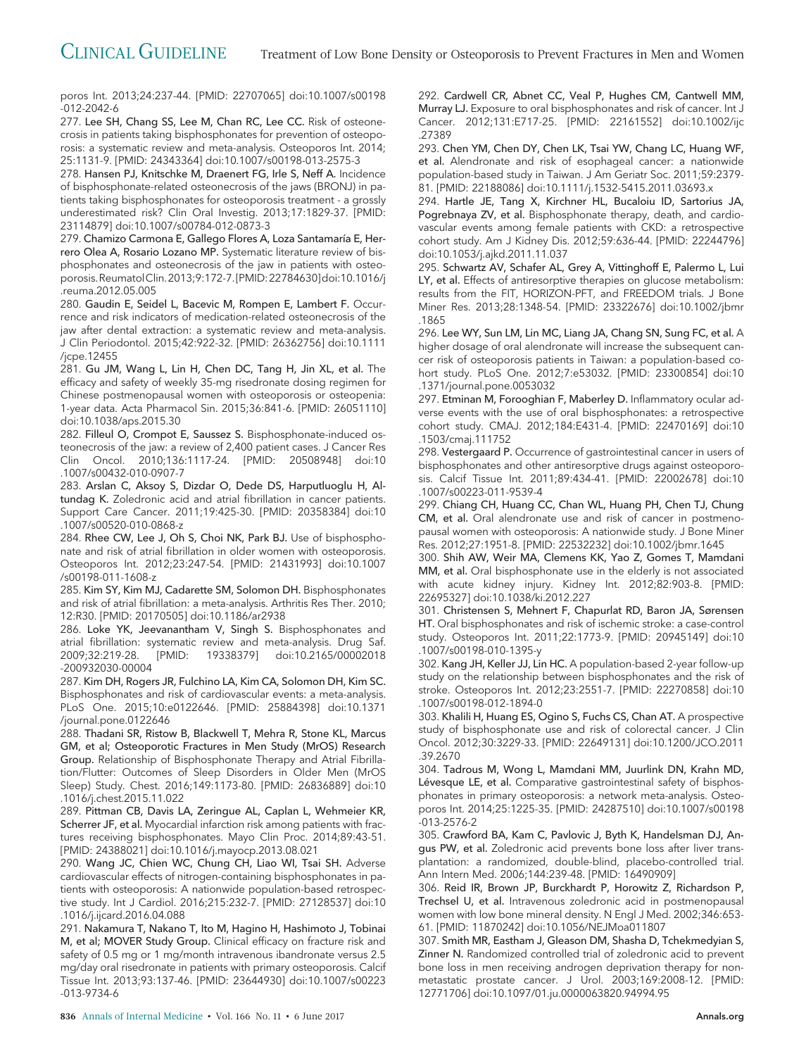poros Int. 2013;24:237-44. [PMID: 22707065] doi:10.1007/s00198 -012-2042-6

277. Lee SH, Chang SS, Lee M, Chan RC, Lee CC. Risk of osteonecrosis in patients taking bisphosphonates for prevention of osteoporosis: a systematic review and meta-analysis. Osteoporos Int. 2014; 25:1131-9. [PMID: 24343364] doi:10.1007/s00198-013-2575-3

278. Hansen PJ, Knitschke M, Draenert FG, Irle S, Neff A. Incidence of bisphosphonate-related osteonecrosis of the jaws (BRONJ) in patients taking bisphosphonates for osteoporosis treatment - a grossly underestimated risk? Clin Oral Investig. 2013;17:1829-37. [PMID: 23114879] doi:10.1007/s00784-012-0873-3

279. Chamizo Carmona E, Gallego Flores A, Loza Santamaría E, Herrero Olea A, Rosario Lozano MP. Systematic literature review of bisphosphonates and osteonecrosis of the jaw in patients with osteoporosis.ReumatolClin.2013;9:172-7. [PMID:22784630]doi:10.1016/j .reuma.2012.05.005

280. Gaudin E, Seidel L, Bacevic M, Rompen E, Lambert F. Occurrence and risk indicators of medication-related osteonecrosis of the jaw after dental extraction: a systematic review and meta-analysis. J Clin Periodontol. 2015;42:922-32. [PMID: 26362756] doi:10.1111 /jcpe.12455

281. Gu JM, Wang L, Lin H, Chen DC, Tang H, Jin XL, et al. The efficacy and safety of weekly 35-mg risedronate dosing regimen for Chinese postmenopausal women with osteoporosis or osteopenia: 1-year data. Acta Pharmacol Sin. 2015;36:841-6. [PMID: 26051110] doi:10.1038/aps.2015.30

282. Filleul O, Crompot E, Saussez S. Bisphosphonate-induced osteonecrosis of the jaw: a review of 2,400 patient cases. J Cancer Res Clin Oncol. 2010;136:1117-24. [PMID: 20508948] doi:10 .1007/s00432-010-0907-7

283. Arslan C, Aksoy S, Dizdar O, Dede DS, Harputluoglu H, Altundag K. Zoledronic acid and atrial fibrillation in cancer patients. Support Care Cancer. 2011;19:425-30. [PMID: 20358384] doi:10 .1007/s00520-010-0868-z

284. Rhee CW, Lee J, Oh S, Choi NK, Park BJ. Use of bisphosphonate and risk of atrial fibrillation in older women with osteoporosis. Osteoporos Int. 2012;23:247-54. [PMID: 21431993] doi:10.1007 /s00198-011-1608-z

285. Kim SY, Kim MJ, Cadarette SM, Solomon DH. Bisphosphonates and risk of atrial fibrillation: a meta-analysis. Arthritis Res Ther. 2010; 12:R30. [PMID: 20170505] doi:10.1186/ar2938

286. Loke YK, Jeevanantham V, Singh S. Bisphosphonates and atrial fibrillation: systematic review and meta-analysis. Drug Saf. 2009;32:219-28. [PMID: 19338379] doi:10.2165/00002018 -200932030-00004

287. Kim DH, Rogers JR, Fulchino LA, Kim CA, Solomon DH, Kim SC. Bisphosphonates and risk of cardiovascular events: a meta-analysis. PLoS One. 2015;10:e0122646. [PMID: 25884398] doi:10.1371 /journal.pone.0122646

288. Thadani SR, Ristow B, Blackwell T, Mehra R, Stone KL, Marcus GM, et al; Osteoporotic Fractures in Men Study (MrOS) Research Group. Relationship of Bisphosphonate Therapy and Atrial Fibrillation/Flutter: Outcomes of Sleep Disorders in Older Men (MrOS Sleep) Study. Chest. 2016;149:1173-80. [PMID: 26836889] doi:10 .1016/j.chest.2015.11.022

289. Pittman CB, Davis LA, Zeringue AL, Caplan L, Wehmeier KR, Scherrer JF, et al. Myocardial infarction risk among patients with fractures receiving bisphosphonates. Mayo Clin Proc. 2014;89:43-51. [PMID: 24388021] doi:10.1016/j.mayocp.2013.08.021

290. Wang JC, Chien WC, Chung CH, Liao WI, Tsai SH. Adverse cardiovascular effects of nitrogen-containing bisphosphonates in patients with osteoporosis: A nationwide population-based retrospective study. Int J Cardiol. 2016;215:232-7. [PMID: 27128537] doi:10 .1016/j.ijcard.2016.04.088

291. Nakamura T, Nakano T, Ito M, Hagino H, Hashimoto J, Tobinai M, et al; MOVER Study Group. Clinical efficacy on fracture risk and safety of 0.5 mg or 1 mg/month intravenous ibandronate versus 2.5 mg/day oral risedronate in patients with primary osteoporosis. Calcif Tissue Int. 2013;93:137-46. [PMID: 23644930] doi:10.1007/s00223 -013-9734-6

292. Cardwell CR, Abnet CC, Veal P, Hughes CM, Cantwell MM, Murray LJ. Exposure to oral bisphosphonates and risk of cancer. Int J Cancer. 2012;131:E717-25. [PMID: 22161552] doi:10.1002/ijc .27389

293. Chen YM, Chen DY, Chen LK, Tsai YW, Chang LC, Huang WF, et al. Alendronate and risk of esophageal cancer: a nationwide population-based study in Taiwan. J Am Geriatr Soc. 2011;59:2379- 81. [PMID: 22188086] doi:10.1111/j.1532-5415.2011.03693.x

294. Hartle JE, Tang X, Kirchner HL, Bucaloiu ID, Sartorius JA, Pogrebnaya ZV, et al. Bisphosphonate therapy, death, and cardiovascular events among female patients with CKD: a retrospective cohort study. Am J Kidney Dis. 2012;59:636-44. [PMID: 22244796] doi:10.1053/j.ajkd.2011.11.037

295. Schwartz AV, Schafer AL, Grey A, Vittinghoff E, Palermo L, Lui LY, et al. Effects of antiresorptive therapies on glucose metabolism: results from the FIT, HORIZON-PFT, and FREEDOM trials. J Bone Miner Res. 2013;28:1348-54. [PMID: 23322676] doi:10.1002/jbmr .1865

296. Lee WY, Sun LM, Lin MC, Liang JA, Chang SN, Sung FC, et al. A higher dosage of oral alendronate will increase the subsequent cancer risk of osteoporosis patients in Taiwan: a population-based cohort study. PLoS One. 2012;7:e53032. [PMID: 23300854] doi:10 .1371/journal.pone.0053032

297. Etminan M, Forooghian F, Maberley D. Inflammatory ocular adverse events with the use of oral bisphosphonates: a retrospective cohort study. CMAJ. 2012;184:E431-4. [PMID: 22470169] doi:10 .1503/cmaj.111752

298. Vestergaard P. Occurrence of gastrointestinal cancer in users of bisphosphonates and other antiresorptive drugs against osteoporosis. Calcif Tissue Int. 2011;89:434-41. [PMID: 22002678] doi:10 .1007/s00223-011-9539-4

299. Chiang CH, Huang CC, Chan WL, Huang PH, Chen TJ, Chung CM, et al. Oral alendronate use and risk of cancer in postmenopausal women with osteoporosis: A nationwide study. J Bone Miner Res. 2012;27:1951-8. [PMID: 22532232] doi:10.1002/jbmr.1645

300. Shih AW, Weir MA, Clemens KK, Yao Z, Gomes T, Mamdani MM, et al. Oral bisphosphonate use in the elderly is not associated with acute kidney injury. Kidney Int. 2012;82:903-8. [PMID: 22695327] doi:10.1038/ki.2012.227

301. Christensen S, Mehnert F, Chapurlat RD, Baron JA, Sørensen HT. Oral bisphosphonates and risk of ischemic stroke: a case-control study. Osteoporos Int. 2011;22:1773-9. [PMID: 20945149] doi:10 .1007/s00198-010-1395-y

302. Kang JH, Keller JJ, Lin HC. A population-based 2-year follow-up study on the relationship between bisphosphonates and the risk of stroke. Osteoporos Int. 2012;23:2551-7. [PMID: 22270858] doi:10 .1007/s00198-012-1894-0

303. Khalili H, Huang ES, Ogino S, Fuchs CS, Chan AT. A prospective study of bisphosphonate use and risk of colorectal cancer. J Clin Oncol. 2012;30:3229-33. [PMID: 22649131] doi:10.1200/JCO.2011 .39.2670

304. Tadrous M, Wong L, Mamdani MM, Juurlink DN, Krahn MD, Lévesque LE, et al. Comparative gastrointestinal safety of bisphosphonates in primary osteoporosis: a network meta-analysis. Osteoporos Int. 2014;25:1225-35. [PMID: 24287510] doi:10.1007/s00198 -013-2576-2

305. Crawford BA, Kam C, Pavlovic J, Byth K, Handelsman DJ, Angus PW, et al. Zoledronic acid prevents bone loss after liver transplantation: a randomized, double-blind, placebo-controlled trial. Ann Intern Med. 2006;144:239-48. [PMID: 16490909]

306. Reid IR, Brown JP, Burckhardt P, Horowitz Z, Richardson P, Trechsel U, et al. Intravenous zoledronic acid in postmenopausal women with low bone mineral density. N Engl J Med. 2002;346:653- 61. [PMID: 11870242] doi:10.1056/NEJMoa011807

307. Smith MR, Eastham J, Gleason DM, Shasha D, Tchekmedyian S, Zinner N. Randomized controlled trial of zoledronic acid to prevent bone loss in men receiving androgen deprivation therapy for nonmetastatic prostate cancer. J Urol. 2003;169:2008-12. [PMID: 12771706] doi:10.1097/01.ju.0000063820.94994.95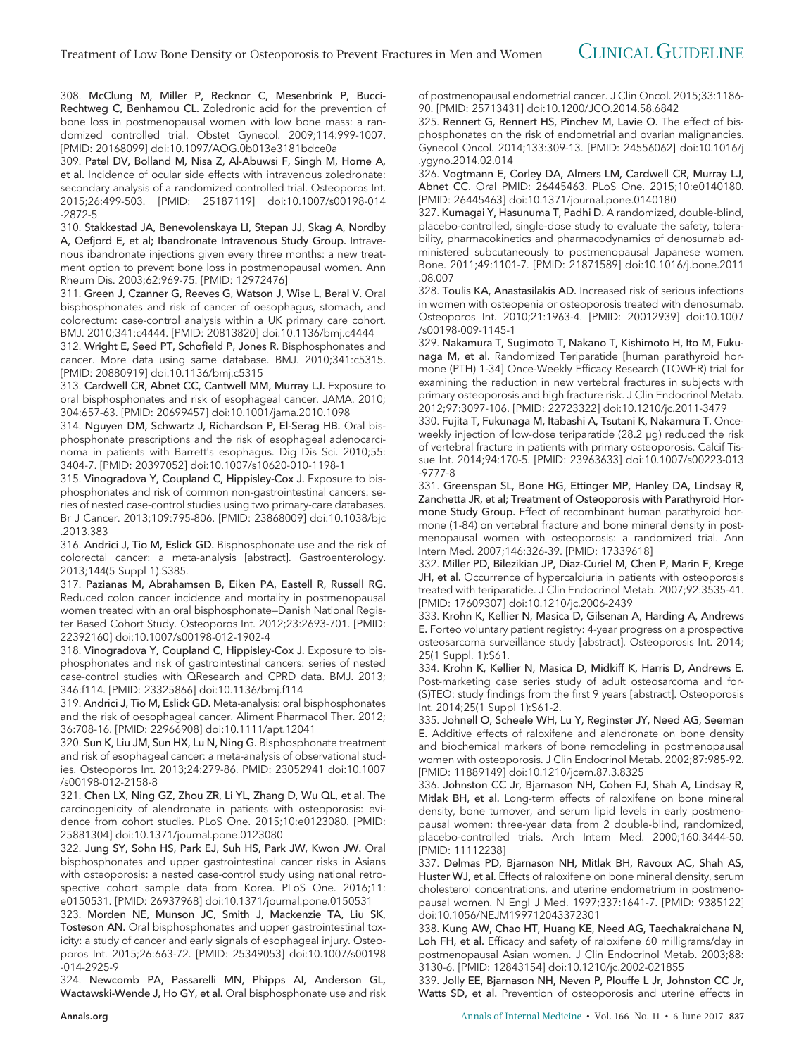308. McClung M, Miller P, Recknor C, Mesenbrink P, Bucci-Rechtweg C, Benhamou CL. Zoledronic acid for the prevention of bone loss in postmenopausal women with low bone mass: a randomized controlled trial. Obstet Gynecol. 2009;114:999-1007. [PMID: 20168099] doi:10.1097/AOG.0b013e3181bdce0a

309. Patel DV, Bolland M, Nisa Z, Al-Abuwsi F, Singh M, Horne A, et al. Incidence of ocular side effects with intravenous zoledronate: secondary analysis of a randomized controlled trial. Osteoporos Int. 2015;26:499-503. [PMID: 25187119] doi:10.1007/s00198-014 -2872-5

310. Stakkestad JA, Benevolenskaya LI, Stepan JJ, Skag A, Nordby A, Oefjord E, et al; Ibandronate Intravenous Study Group. Intravenous ibandronate injections given every three months: a new treatment option to prevent bone loss in postmenopausal women. Ann Rheum Dis. 2003;62:969-75. [PMID: 12972476]

311. Green J, Czanner G, Reeves G, Watson J, Wise L, Beral V. Oral bisphosphonates and risk of cancer of oesophagus, stomach, and colorectum: case-control analysis within a UK primary care cohort. BMJ. 2010;341:c4444. [PMID: 20813820] doi:10.1136/bmj.c4444

312. Wright E, Seed PT, Schofield P, Jones R. Bisphosphonates and cancer. More data using same database. BMJ. 2010;341:c5315. [PMID: 20880919] doi:10.1136/bmj.c5315

313. Cardwell CR, Abnet CC, Cantwell MM, Murray LJ. Exposure to oral bisphosphonates and risk of esophageal cancer. JAMA. 2010; 304:657-63. [PMID: 20699457] doi:10.1001/jama.2010.1098

314. Nguyen DM, Schwartz J, Richardson P, El-Serag HB. Oral bisphosphonate prescriptions and the risk of esophageal adenocarcinoma in patients with Barrett's esophagus. Dig Dis Sci. 2010;55: 3404-7. [PMID: 20397052] doi:10.1007/s10620-010-1198-1

315. Vinogradova Y, Coupland C, Hippisley-Cox J. Exposure to bisphosphonates and risk of common non-gastrointestinal cancers: series of nested case-control studies using two primary-care databases. Br J Cancer. 2013;109:795-806. [PMID: 23868009] doi:10.1038/bjc .2013.383

316. Andrici J, Tio M, Eslick GD. Bisphosphonate use and the risk of colorectal cancer: a meta-analysis [abstract]. Gastroenterology. 2013;144(5 Suppl 1):S385.

317. Pazianas M, Abrahamsen B, Eiken PA, Eastell R, Russell RG. Reduced colon cancer incidence and mortality in postmenopausal women treated with an oral bisphosphonate—Danish National Register Based Cohort Study. Osteoporos Int. 2012;23:2693-701. [PMID: 22392160] doi:10.1007/s00198-012-1902-4

318. Vinogradova Y, Coupland C, Hippisley-Cox J. Exposure to bisphosphonates and risk of gastrointestinal cancers: series of nested case-control studies with QResearch and CPRD data. BMJ. 2013; 346:f114. [PMID: 23325866] doi:10.1136/bmj.f114

319. Andrici J, Tio M, Eslick GD. Meta-analysis: oral bisphosphonates and the risk of oesophageal cancer. Aliment Pharmacol Ther. 2012; 36:708-16. [PMID: 22966908] doi:10.1111/apt.12041

320. Sun K, Liu JM, Sun HX, Lu N, Ning G. Bisphosphonate treatment and risk of esophageal cancer: a meta-analysis of observational studies. Osteoporos Int. 2013;24:279-86. PMID: 23052941 doi:10.1007 /s00198-012-2158-8

321. Chen LX, Ning GZ, Zhou ZR, Li YL, Zhang D, Wu QL, et al. The carcinogenicity of alendronate in patients with osteoporosis: evidence from cohort studies. PLoS One. 2015;10:e0123080. [PMID: 25881304] doi:10.1371/journal.pone.0123080

322. Jung SY, Sohn HS, Park EJ, Suh HS, Park JW, Kwon JW. Oral bisphosphonates and upper gastrointestinal cancer risks in Asians with osteoporosis: a nested case-control study using national retrospective cohort sample data from Korea. PLoS One. 2016;11: e0150531. [PMID: 26937968] doi:10.1371/journal.pone.0150531

323. Morden NE, Munson JC, Smith J, Mackenzie TA, Liu SK, Tosteson AN. Oral bisphosphonates and upper gastrointestinal toxicity: a study of cancer and early signals of esophageal injury. Osteoporos Int. 2015;26:663-72. [PMID: 25349053] doi:10.1007/s00198 -014-2925-9

324. Newcomb PA, Passarelli MN, Phipps AI, Anderson GL, Wactawski-Wende J, Ho GY, et al. Oral bisphosphonate use and risk of postmenopausal endometrial cancer. J Clin Oncol. 2015;33:1186- 90. [PMID: 25713431] doi:10.1200/JCO.2014.58.6842

325. Rennert G, Rennert HS, Pinchev M, Lavie O. The effect of bisphosphonates on the risk of endometrial and ovarian malignancies. Gynecol Oncol. 2014;133:309-13. [PMID: 24556062] doi:10.1016/j .ygyno.2014.02.014

326. Vogtmann E, Corley DA, Almers LM, Cardwell CR, Murray LJ, Abnet CC. Oral PMID: 26445463. PLoS One. 2015;10:e0140180. [PMID: 26445463] doi:10.1371/journal.pone.0140180

327. Kumagai Y, Hasunuma T, Padhi D. A randomized, double-blind, placebo-controlled, single-dose study to evaluate the safety, tolerability, pharmacokinetics and pharmacodynamics of denosumab administered subcutaneously to postmenopausal Japanese women. Bone. 2011;49:1101-7. [PMID: 21871589] doi:10.1016/j.bone.2011 .08.007

328. Toulis KA, Anastasilakis AD. Increased risk of serious infections in women with osteopenia or osteoporosis treated with denosumab. Osteoporos Int. 2010;21:1963-4. [PMID: 20012939] doi:10.1007 /s00198-009-1145-1

329. Nakamura T, Sugimoto T, Nakano T, Kishimoto H, Ito M, Fukunaga M, et al. Randomized Teriparatide [human parathyroid hormone (PTH) 1-34] Once-Weekly Efficacy Research (TOWER) trial for examining the reduction in new vertebral fractures in subjects with primary osteoporosis and high fracture risk. J Clin Endocrinol Metab. 2012;97:3097-106. [PMID: 22723322] doi:10.1210/jc.2011-3479

330. Fujita T, Fukunaga M, Itabashi A, Tsutani K, Nakamura T. Onceweekly injection of low-dose teriparatide (28.2 μg) reduced the risk of vertebral fracture in patients with primary osteoporosis. Calcif Tissue Int. 2014;94:170-5. [PMID: 23963633] doi:10.1007/s00223-013 -9777-8

331. Greenspan SL, Bone HG, Ettinger MP, Hanley DA, Lindsay R, Zanchetta JR, et al; Treatment of Osteoporosis with Parathyroid Hormone Study Group. Effect of recombinant human parathyroid hormone (1-84) on vertebral fracture and bone mineral density in postmenopausal women with osteoporosis: a randomized trial. Ann Intern Med. 2007;146:326-39. [PMID: 17339618]

332. Miller PD, Bilezikian JP, Diaz-Curiel M, Chen P, Marin F, Krege JH, et al. Occurrence of hypercalciuria in patients with osteoporosis treated with teriparatide. J Clin Endocrinol Metab. 2007;92:3535-41. [PMID: 17609307] doi:10.1210/jc.2006-2439

333. Krohn K, Kellier N, Masica D, Gilsenan A, Harding A, Andrews E. Forteo voluntary patient registry: 4-year progress on a prospective osteosarcoma surveillance study [abstract]. Osteoporosis Int. 2014; 25(1 Suppl. 1):S61.

334. Krohn K, Kellier N, Masica D, Midkiff K, Harris D, Andrews E. Post-marketing case series study of adult osteosarcoma and for- (S)TEO: study findings from the first 9 years [abstract]. Osteoporosis Int. 2014;25(1 Suppl 1):S61-2.

335. Johnell O, Scheele WH, Lu Y, Reginster JY, Need AG, Seeman E. Additive effects of raloxifene and alendronate on bone density and biochemical markers of bone remodeling in postmenopausal women with osteoporosis. J Clin Endocrinol Metab. 2002;87:985-92. [PMID: 11889149] doi:10.1210/jcem.87.3.8325

336. Johnston CC Jr, Bjarnason NH, Cohen FJ, Shah A, Lindsay R, Mitlak BH, et al. Long-term effects of raloxifene on bone mineral density, bone turnover, and serum lipid levels in early postmenopausal women: three-year data from 2 double-blind, randomized, placebo-controlled trials. Arch Intern Med. 2000;160:3444-50. [PMID: 11112238]

337. Delmas PD, Bjarnason NH, Mitlak BH, Ravoux AC, Shah AS, Huster WJ, et al. Effects of raloxifene on bone mineral density, serum cholesterol concentrations, and uterine endometrium in postmenopausal women. N Engl J Med. 1997;337:1641-7. [PMID: 9385122] doi:10.1056/NEJM199712043372301

338. Kung AW, Chao HT, Huang KE, Need AG, Taechakraichana N, Loh FH, et al. Efficacy and safety of raloxifene 60 milligrams/day in postmenopausal Asian women. J Clin Endocrinol Metab. 2003;88: 3130-6. [PMID: 12843154] doi:10.1210/jc.2002-021855

339. Jolly EE, Bjarnason NH, Neven P, Plouffe L Jr, Johnston CC Jr, Watts SD, et al. Prevention of osteoporosis and uterine effects in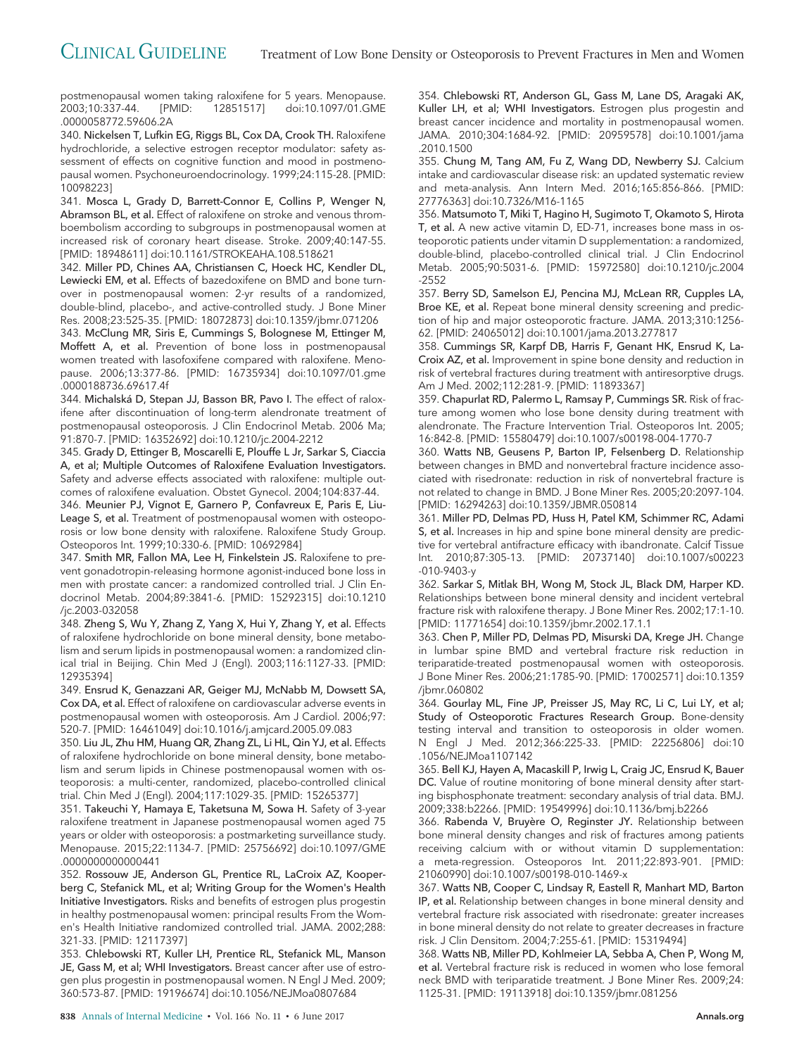postmenopausal women taking raloxifene for 5 years. Menopause. 2003;10:337-44. [PMID: 12851517] doi:10.1097/01.GME .0000058772.59606.2A

340. Nickelsen T, Lufkin EG, Riggs BL, Cox DA, Crook TH. Raloxifene hydrochloride, a selective estrogen receptor modulator: safety assessment of effects on cognitive function and mood in postmenopausal women. Psychoneuroendocrinology. 1999;24:115-28. [PMID: 10098223]

341. Mosca L, Grady D, Barrett-Connor E, Collins P, Wenger N, Abramson BL, et al. Effect of raloxifene on stroke and venous thromboembolism according to subgroups in postmenopausal women at increased risk of coronary heart disease. Stroke. 2009;40:147-55. [PMID: 18948611] doi:10.1161/STROKEAHA.108.518621

342. Miller PD, Chines AA, Christiansen C, Hoeck HC, Kendler DL, Lewiecki EM, et al. Effects of bazedoxifene on BMD and bone turnover in postmenopausal women: 2-yr results of a randomized, double-blind, placebo-, and active-controlled study. J Bone Miner Res. 2008;23:525-35. [PMID: 18072873] doi:10.1359/jbmr.071206

343. McClung MR, Siris E, Cummings S, Bolognese M, Ettinger M, Moffett A, et al. Prevention of bone loss in postmenopausal women treated with lasofoxifene compared with raloxifene. Menopause. 2006;13:377-86. [PMID: 16735934] doi:10.1097/01.gme .0000188736.69617.4f

344. Michalská D, Stepan JJ, Basson BR, Pavo I. The effect of raloxifene after discontinuation of long-term alendronate treatment of postmenopausal osteoporosis. J Clin Endocrinol Metab. 2006 Ma; 91:870-7. [PMID: 16352692] doi:10.1210/jc.2004-2212

345. Grady D, Ettinger B, Moscarelli E, Plouffe L Jr, Sarkar S, Ciaccia A, et al; Multiple Outcomes of Raloxifene Evaluation Investigators. Safety and adverse effects associated with raloxifene: multiple outcomes of raloxifene evaluation. Obstet Gynecol. 2004;104:837-44.

346. Meunier PJ, Vignot E, Garnero P, Confavreux E, Paris E, Liu-Leage S, et al. Treatment of postmenopausal women with osteoporosis or low bone density with raloxifene. Raloxifene Study Group. Osteoporos Int. 1999;10:330-6. [PMID: 10692984]

347. Smith MR, Fallon MA, Lee H, Finkelstein JS. Raloxifene to prevent gonadotropin-releasing hormone agonist-induced bone loss in men with prostate cancer: a randomized controlled trial. J Clin Endocrinol Metab. 2004;89:3841-6. [PMID: 15292315] doi:10.1210 /jc.2003-032058

348. Zheng S, Wu Y, Zhang Z, Yang X, Hui Y, Zhang Y, et al. Effects of raloxifene hydrochloride on bone mineral density, bone metabolism and serum lipids in postmenopausal women: a randomized clinical trial in Beijing. Chin Med J (Engl). 2003;116:1127-33. [PMID: 12935394]

349. Ensrud K, Genazzani AR, Geiger MJ, McNabb M, Dowsett SA, Cox DA, et al. Effect of raloxifene on cardiovascular adverse events in postmenopausal women with osteoporosis. Am J Cardiol. 2006;97: 520-7. [PMID: 16461049] doi:10.1016/j.amjcard.2005.09.083

350. Liu JL, Zhu HM, Huang QR, Zhang ZL, Li HL, Qin YJ, et al. Effects of raloxifene hydrochloride on bone mineral density, bone metabolism and serum lipids in Chinese postmenopausal women with osteoporosis: a multi-center, randomized, placebo-controlled clinical trial. Chin Med J (Engl). 2004;117:1029-35. [PMID: 15265377]

351. Takeuchi Y, Hamaya E, Taketsuna M, Sowa H. Safety of 3-year raloxifene treatment in Japanese postmenopausal women aged 75 years or older with osteoporosis: a postmarketing surveillance study. Menopause. 2015;22:1134-7. [PMID: 25756692] doi:10.1097/GME .0000000000000441

352. Rossouw JE, Anderson GL, Prentice RL, LaCroix AZ, Kooperberg C, Stefanick ML, et al; Writing Group for the Women's Health Initiative Investigators. Risks and benefits of estrogen plus progestin in healthy postmenopausal women: principal results From the Women's Health Initiative randomized controlled trial. JAMA. 2002;288: 321-33. [PMID: 12117397]

353. Chlebowski RT, Kuller LH, Prentice RL, Stefanick ML, Manson JE, Gass M, et al; WHI Investigators. Breast cancer after use of estrogen plus progestin in postmenopausal women. N Engl J Med. 2009; 360:573-87. [PMID: 19196674] doi:10.1056/NEJMoa0807684

354. Chlebowski RT, Anderson GL, Gass M, Lane DS, Aragaki AK, Kuller LH, et al; WHI Investigators. Estrogen plus progestin and breast cancer incidence and mortality in postmenopausal women. JAMA. 2010;304:1684-92. [PMID: 20959578] doi:10.1001/jama .2010.1500

355. Chung M, Tang AM, Fu Z, Wang DD, Newberry SJ. Calcium intake and cardiovascular disease risk: an updated systematic review and meta-analysis. Ann Intern Med. 2016;165:856-866. [PMID: 27776363] doi:10.7326/M16-1165

356. Matsumoto T, Miki T, Hagino H, Sugimoto T, Okamoto S, Hirota T, et al. A new active vitamin D, ED-71, increases bone mass in osteoporotic patients under vitamin D supplementation: a randomized, double-blind, placebo-controlled clinical trial. J Clin Endocrinol Metab. 2005;90:5031-6. [PMID: 15972580] doi:10.1210/jc.2004 -2552

357. Berry SD, Samelson EJ, Pencina MJ, McLean RR, Cupples LA, Broe KE, et al. Repeat bone mineral density screening and prediction of hip and major osteoporotic fracture. JAMA. 2013;310:1256- 62. [PMID: 24065012] doi:10.1001/jama.2013.277817

358. Cummings SR, Karpf DB, Harris F, Genant HK, Ensrud K, La-Croix AZ, et al. Improvement in spine bone density and reduction in risk of vertebral fractures during treatment with antiresorptive drugs. Am J Med. 2002;112:281-9. [PMID: 11893367]

359. Chapurlat RD, Palermo L, Ramsay P, Cummings SR. Risk of fracture among women who lose bone density during treatment with alendronate. The Fracture Intervention Trial. Osteoporos Int. 2005; 16:842-8. [PMID: 15580479] doi:10.1007/s00198-004-1770-7

360. Watts NB, Geusens P, Barton IP, Felsenberg D. Relationship between changes in BMD and nonvertebral fracture incidence associated with risedronate: reduction in risk of nonvertebral fracture is not related to change in BMD. J Bone Miner Res. 2005;20:2097-104. [PMID: 16294263] doi:10.1359/JBMR.050814

361. Miller PD, Delmas PD, Huss H, Patel KM, Schimmer RC, Adami S, et al. Increases in hip and spine bone mineral density are predictive for vertebral antifracture efficacy with ibandronate. Calcif Tissue Int. 2010;87:305-13. [PMID: 20737140] doi:10.1007/s00223 -010-9403-y

362. Sarkar S, Mitlak BH, Wong M, Stock JL, Black DM, Harper KD. Relationships between bone mineral density and incident vertebral fracture risk with raloxifene therapy. J Bone Miner Res. 2002;17:1-10. [PMID: 11771654] doi:10.1359/jbmr.2002.17.1.1

363. Chen P, Miller PD, Delmas PD, Misurski DA, Krege JH. Change in lumbar spine BMD and vertebral fracture risk reduction in teriparatide-treated postmenopausal women with osteoporosis. J Bone Miner Res. 2006;21:1785-90. [PMID: 17002571] doi:10.1359 /jbmr.060802

364. Gourlay ML, Fine JP, Preisser JS, May RC, Li C, Lui LY, et al; Study of Osteoporotic Fractures Research Group. Bone-density testing interval and transition to osteoporosis in older women. N Engl J Med. 2012;366:225-33. [PMID: 22256806] doi:10 .1056/NEJMoa1107142

365. Bell KJ, Hayen A, Macaskill P, Irwig L, Craig JC, Ensrud K, Bauer DC. Value of routine monitoring of bone mineral density after starting bisphosphonate treatment: secondary analysis of trial data. BMJ. 2009;338:b2266. [PMID: 19549996] doi:10.1136/bmj.b2266

366. Rabenda V, Bruyère O, Reginster JY. Relationship between bone mineral density changes and risk of fractures among patients receiving calcium with or without vitamin D supplementation: a meta-regression. Osteoporos Int. 2011;22:893-901. [PMID: 21060990] doi:10.1007/s00198-010-1469-x

367. Watts NB, Cooper C, Lindsay R, Eastell R, Manhart MD, Barton IP, et al. Relationship between changes in bone mineral density and vertebral fracture risk associated with risedronate: greater increases in bone mineral density do not relate to greater decreases in fracture risk. J Clin Densitom. 2004;7:255-61. [PMID: 15319494]

368. Watts NB, Miller PD, Kohlmeier LA, Sebba A, Chen P, Wong M, et al. Vertebral fracture risk is reduced in women who lose femoral neck BMD with teriparatide treatment. J Bone Miner Res. 2009;24: 1125-31. [PMID: 19113918] doi:10.1359/jbmr.081256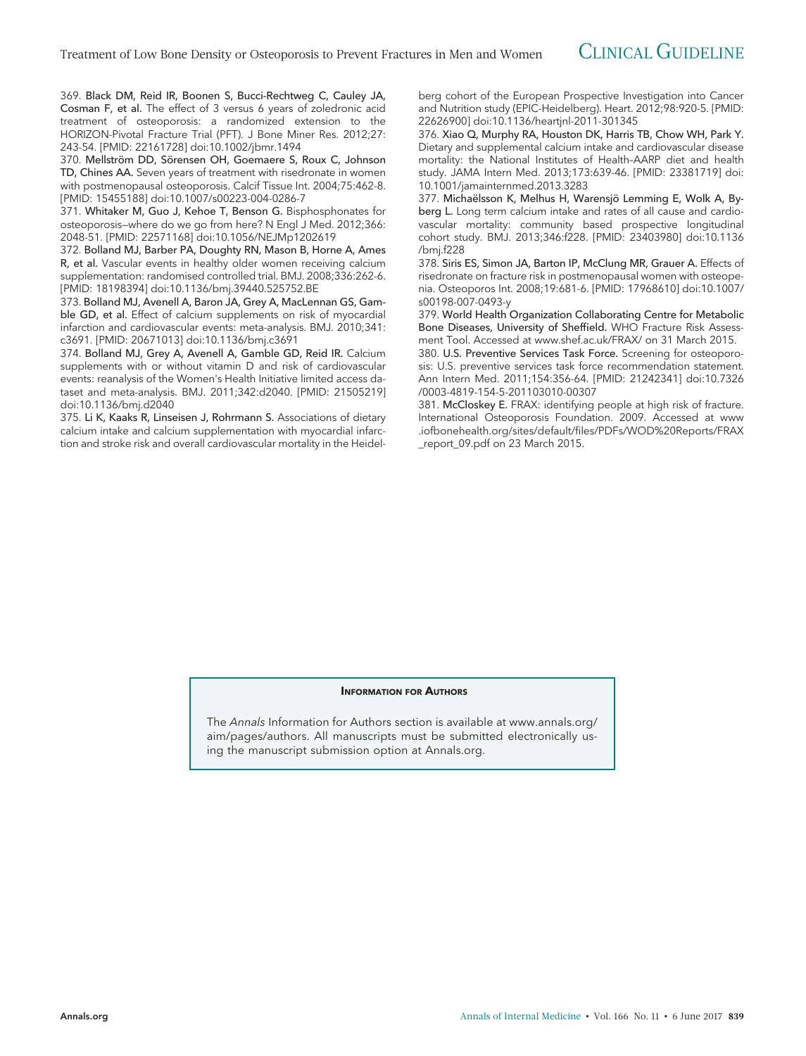369. Black DM, Reid IR, Boonen S, Bucci-Rechtweg C, Cauley JA, Cosman F, et al. The effect of 3 versus 6 years of zoledronic acid treatment of osteoporosis: a randomized extension to the HORIZON-Pivotal Fracture Trial (PFT). J Bone Miner Res. 2012;27: 243-54. [PMID: 22161728] doi:10.1002/jbmr.1494

370. Mellström DD, Sörensen OH, Goemaere S, Roux C, Johnson TD, Chines AA. Seven years of treatment with risedronate in women with postmenopausal osteoporosis. Calcif Tissue Int. 2004;75:462-8. [PMID: 15455188] doi:10.1007/s00223-004-0286-7

371. Whitaker M, Guo J, Kehoe T, Benson G. Bisphosphonates for osteoporosis—where do we go from here? N Engl J Med. 2012;366: 2048-51. [PMID: 22571168] doi:10.1056/NEJMp1202619

372. Bolland MJ, Barber PA, Doughty RN, Mason B, Horne A, Ames R, et al. Vascular events in healthy older women receiving calcium supplementation: randomised controlled trial. BMJ. 2008;336:262-6. [PMID: 18198394] doi:10.1136/bmj.39440.525752.BE

373. Bolland MJ, Avenell A, Baron JA, Grey A, MacLennan GS, Gamble GD, et al. Effect of calcium supplements on risk of myocardial infarction and cardiovascular events: meta-analysis. BMJ. 2010;341: c3691. [PMID: 20671013] doi:10.1136/bmj.c3691

374. Bolland MJ, Grey A, Avenell A, Gamble GD, Reid IR. Calcium supplements with or without vitamin D and risk of cardiovascular events: reanalysis of the Women's Health Initiative limited access dataset and meta-analysis. BMJ. 2011;342:d2040. [PMID: 21505219] doi:10.1136/bmj.d2040

375. Li K, Kaaks R, Linseisen J, Rohrmann S. Associations of dietary calcium intake and calcium supplementation with myocardial infarction and stroke risk and overall cardiovascular mortality in the Heidelberg cohort of the European Prospective Investigation into Cancer and Nutrition study (EPIC-Heidelberg). Heart. 2012;98:920-5. [PMID: 22626900] doi:10.1136/heartjnl-2011-301345

376. Xiao Q, Murphy RA, Houston DK, Harris TB, Chow WH, Park Y. Dietary and supplemental calcium intake and cardiovascular disease mortality: the National Institutes of Health–AARP diet and health study. JAMA Intern Med. 2013;173:639-46. [PMID: 23381719] doi: 10.1001/jamainternmed.2013.3283

377. Michaëlsson K, Melhus H, Warensjö Lemming E, Wolk A, Byberg L. Long term calcium intake and rates of all cause and cardiovascular mortality: community based prospective longitudinal cohort study. BMJ. 2013;346:f228. [PMID: 23403980] doi:10.1136 /bmj.f228

378. Siris ES, Simon JA, Barton IP, McClung MR, Grauer A. Effects of risedronate on fracture risk in postmenopausal women with osteopenia. Osteoporos Int. 2008;19:681-6. [PMID: 17968610] doi:10.1007/ s00198-007-0493-y

379. World Health Organization Collaborating Centre for Metabolic Bone Diseases, University of Sheffield. WHO Fracture Risk Assessment Tool. Accessed at [www.shef.ac.uk/FRAX/](http://www.shef.ac.uk/FRAX/) on 31 March 2015.

380. U.S. Preventive Services Task Force. Screening for osteoporosis: U.S. preventive services task force recommendation statement. Ann Intern Med. 2011;154:356-64. [PMID: 21242341] doi:10.7326 /0003-4819-154-5-201103010-00307

381. McCloskey E. FRAX: identifying people at high risk of fracture. International Osteoporosis Foundation. 2009. Accessed at [www](http://www.iofbonehealth.org/sites/default/files/PDFs/WOD%20Reports/FRAX_report_09.pdf) [.iofbonehealth.org/sites/default/files/PDFs/WOD%20Reports/FRAX](http://www.iofbonehealth.org/sites/default/files/PDFs/WOD%20Reports/FRAX_report_09.pdf) [\\_report\\_09.pdf](http://www.iofbonehealth.org/sites/default/files/PDFs/WOD%20Reports/FRAX_report_09.pdf) on 23 March 2015.

#### **INFORMATION FOR AUTHORS**

The Annals Information for Authors section is available at www.annals.org/ aim/pages/authors. All manuscripts must be submitted electronically using the manuscript submission option at [Annals.org.](http://www.annals.org)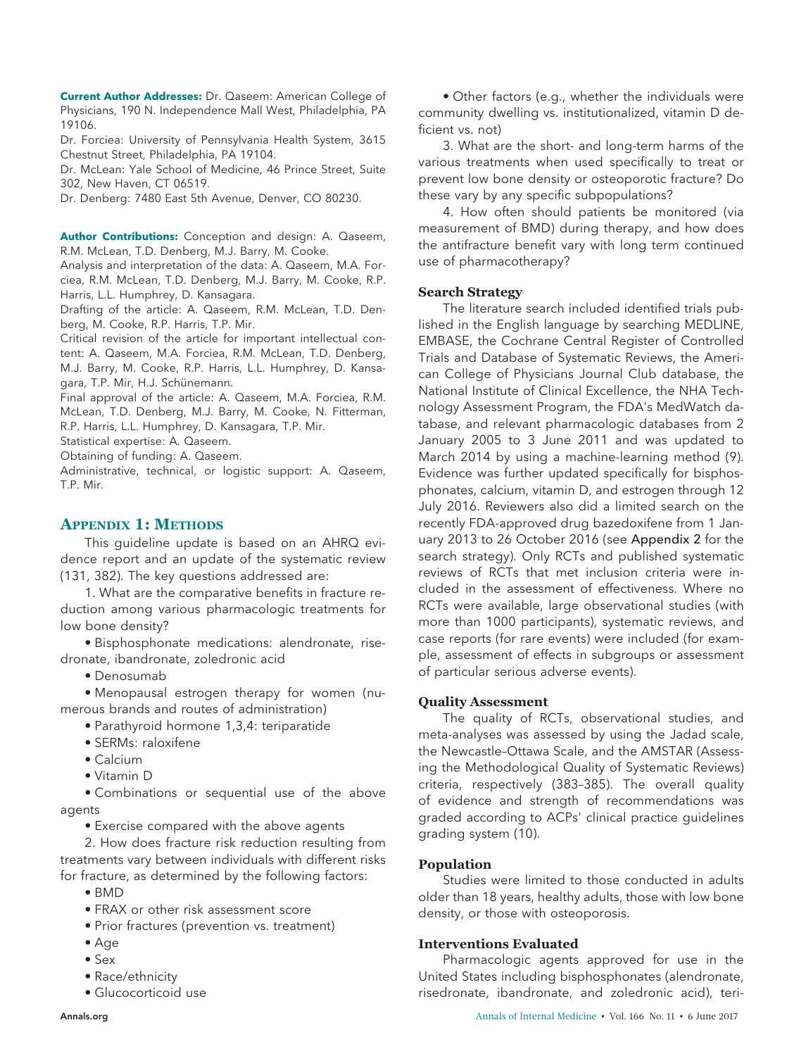**Current Author Addresses:** Dr. Qaseem: American College of Physicians, 190 N. Independence Mall West, Philadelphia, PA 19106.

Dr. Forciea: University of Pennsylvania Health System, 3615 Chestnut Street, Philadelphia, PA 19104.

Dr. McLean: Yale School of Medicine, 46 Prince Street, Suite 302, New Haven, CT 06519.

Dr. Denberg: 7480 East 5th Avenue, Denver, CO 80230.

**Author Contributions:** Conception and design: A. Qaseem, R.M. McLean, T.D. Denberg, M.J. Barry, M. Cooke.

Analysis and interpretation of the data: A. Qaseem, M.A. Forciea, R.M. McLean, T.D. Denberg, M.J. Barry, M. Cooke, R.P. Harris, L.L. Humphrey, D. Kansagara.

Drafting of the article: A. Qaseem, R.M. McLean, T.D. Denberg, M. Cooke, R.P. Harris, T.P. Mir.

Critical revision of the article for important intellectual content: A. Qaseem, M.A. Forciea, R.M. McLean, T.D. Denberg, M.J. Barry, M. Cooke, R.P. Harris, L.L. Humphrey, D. Kansagara, T.P. Mir, H.J. Schünemann.

Final approval of the article: A. Qaseem, M.A. Forciea, R.M. McLean, T.D. Denberg, M.J. Barry, M. Cooke, N. Fitterman, R.P. Harris, L.L. Humphrey, D. Kansagara, T.P. Mir.

Statistical expertise: A. Qaseem.

Obtaining of funding: A. Qaseem.

Administrative, technical, or logistic support: A. Qaseem, T.P. Mir.

## **APPENDIX 1: METHODS**

This guideline update is based on an AHRQ evidence report and an update of the systematic review (131, 382). The key questions addressed are:

1. What are the comparative benefits in fracture reduction among various pharmacologic treatments for low bone density?

• Bisphosphonate medications: alendronate, risedronate, ibandronate, zoledronic acid

• Denosumab

• Menopausal estrogen therapy for women (numerous brands and routes of administration)

• Parathyroid hormone 1,3,4: teriparatide

- SERMs: raloxifene
- Calcium
- Vitamin D

• Combinations or sequential use of the above agents

• Exercise compared with the above agents

2. How does fracture risk reduction resulting from treatments vary between individuals with different risks for fracture, as determined by the following factors:

• BMD

• FRAX or other risk assessment score

• Prior fractures (prevention vs. treatment)

- Age
- Sex
- Race/ethnicity

• Glucocorticoid use

• Other factors (e.g., whether the individuals were community dwelling vs. institutionalized, vitamin D deficient vs. not)

3. What are the short- and long-term harms of the various treatments when used specifically to treat or prevent low bone density or osteoporotic fracture? Do these vary by any specific subpopulations?

4. How often should patients be monitored (via measurement of BMD) during therapy, and how does the antifracture benefit vary with long term continued use of pharmacotherapy?

## **Search Strategy**

The literature search included identified trials published in the English language by searching MEDLINE, EMBASE, the Cochrane Central Register of Controlled Trials and Database of Systematic Reviews, the American College of Physicians Journal Club database, the National Institute of Clinical Excellence, the NHA Technology Assessment Program, the FDA's MedWatch database, and relevant pharmacologic databases from 2 January 2005 to 3 June 2011 and was updated to March 2014 by using a machine-learning method (9). Evidence was further updated specifically for bisphosphonates, calcium, vitamin D, and estrogen through 12 July 2016. Reviewers also did a limited search on the recently FDA-approved drug bazedoxifene from 1 January 2013 to 26 October 2016 (see Appendix 2 for the search strategy). Only RCTs and published systematic reviews of RCTs that met inclusion criteria were included in the assessment of effectiveness. Where no RCTs were available, large observational studies (with more than 1000 participants), systematic reviews, and case reports (for rare events) were included (for example, assessment of effects in subgroups or assessment of particular serious adverse events).

#### **Quality Assessment**

The quality of RCTs, observational studies, and meta-analyses was assessed by using the Jadad scale, the Newcastle–Ottawa Scale, and the AMSTAR (Assessing the Methodological Quality of Systematic Reviews) criteria, respectively (383–385). The overall quality of evidence and strength of recommendations was graded according to ACPs' clinical practice guidelines grading system (10).

#### **Population**

Studies were limited to those conducted in adults older than 18 years, healthy adults, those with low bone density, or those with osteoporosis.

#### **Interventions Evaluated**

Pharmacologic agents approved for use in the United States including bisphosphonates (alendronate, risedronate, ibandronate, and zoledronic acid), teri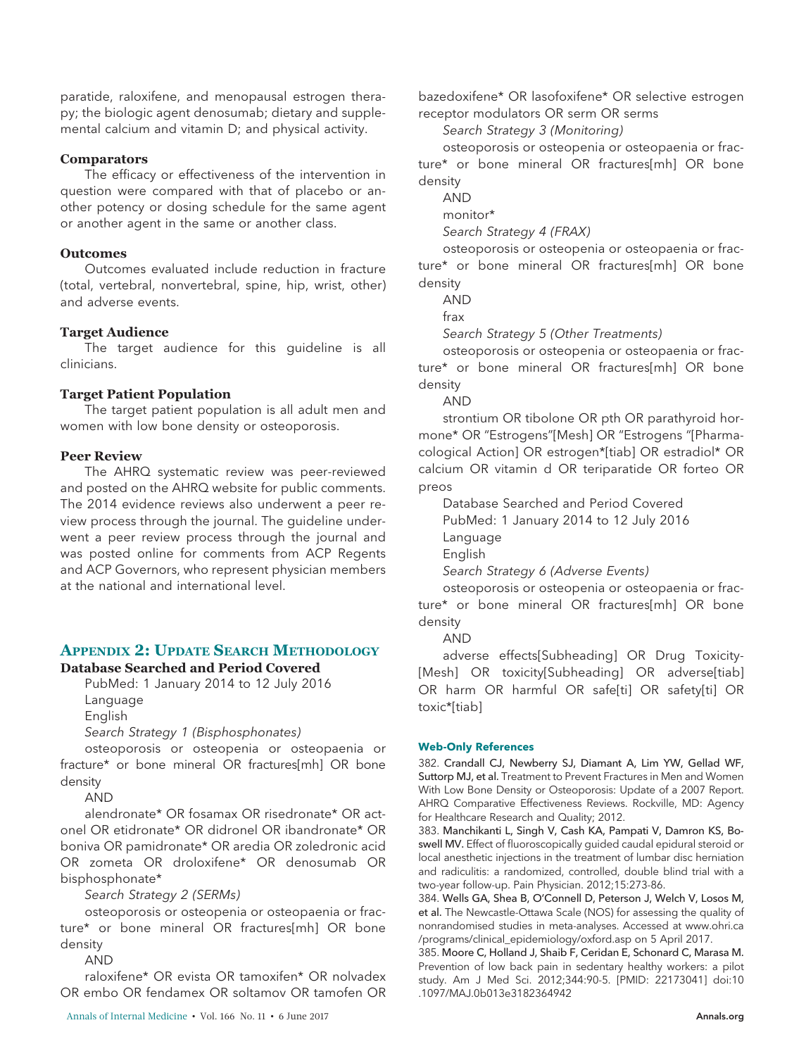paratide, raloxifene, and menopausal estrogen therapy; the biologic agent denosumab; dietary and supplemental calcium and vitamin D; and physical activity.

## **Comparators**

The efficacy or effectiveness of the intervention in question were compared with that of placebo or another potency or dosing schedule for the same agent or another agent in the same or another class.

## **Outcomes**

Outcomes evaluated include reduction in fracture (total, vertebral, nonvertebral, spine, hip, wrist, other) and adverse events.

## **Target Audience**

The target audience for this guideline is all clinicians.

## **Target Patient Population**

The target patient population is all adult men and women with low bone density or osteoporosis.

#### **Peer Review**

The AHRQ systematic review was peer-reviewed and posted on the AHRQ website for public comments. The 2014 evidence reviews also underwent a peer review process through the journal. The guideline underwent a peer review process through the journal and was posted online for comments from ACP Regents and ACP Governors, who represent physician members at the national and international level.

# **APPENDIX 2: UPDATE SEARCH METHODOLOGY**

## **Database Searched and Period Covered**

PubMed: 1 January 2014 to 12 July 2016 Language

English

Search Strategy 1 (Bisphosphonates)

osteoporosis or osteopenia or osteopaenia or fracture\* or bone mineral OR fractures[mh] OR bone density

AND

alendronate\* OR fosamax OR risedronate\* OR actonel OR etidronate\* OR didronel OR ibandronate\* OR boniva OR pamidronate\* OR aredia OR zoledronic acid OR zometa OR droloxifene\* OR denosumab OR bisphosphonate\*

## Search Strategy 2 (SERMs)

osteoporosis or osteopenia or osteopaenia or fracture\* or bone mineral OR fractures[mh] OR bone density

AND

raloxifene\* OR evista OR tamoxifen\* OR nolvadex OR embo OR fendamex OR soltamov OR tamofen OR

bazedoxifene\* OR lasofoxifene\* OR selective estrogen receptor modulators OR serm OR serms

Search Strategy 3 (Monitoring)

osteoporosis or osteopenia or osteopaenia or fracture\* or bone mineral OR fractures[mh] OR bone density

AND

monitor\*

Search Strategy 4 (FRAX)

osteoporosis or osteopenia or osteopaenia or fracture\* or bone mineral OR fractures[mh] OR bone density

AND

frax

Search Strategy 5 (Other Treatments)

osteoporosis or osteopenia or osteopaenia or fracture\* or bone mineral OR fractures[mh] OR bone density

AND

strontium OR tibolone OR pth OR parathyroid hormone\* OR "Estrogens"[Mesh] OR "Estrogens "[Pharmacological Action] OR estrogen\*[tiab] OR estradiol\* OR calcium OR vitamin d OR teriparatide OR forteo OR preos

Database Searched and Period Covered PubMed: 1 January 2014 to 12 July 2016

Language

English

Search Strategy 6 (Adverse Events)

osteoporosis or osteopenia or osteopaenia or fracture\* or bone mineral OR fractures[mh] OR bone density

AND

adverse effects[Subheading] OR Drug Toxicity- [Mesh] OR toxicity[Subheading] OR adverse[tiab] OR harm OR harmful OR safe[ti] OR safety[ti] OR toxic\*[tiab]

#### **Web-Only References**

382. Crandall CJ, Newberry SJ, Diamant A, Lim YW, Gellad WF, Suttorp MJ, et al. Treatment to Prevent Fractures in Men and Women With Low Bone Density or Osteoporosis: Update of a 2007 Report. AHRQ Comparative Effectiveness Reviews. Rockville, MD: Agency for Healthcare Research and Quality; 2012.

383. Manchikanti L, Singh V, Cash KA, Pampati V, Damron KS, Boswell MV. Effect of fluoroscopically guided caudal epidural steroid or local anesthetic injections in the treatment of lumbar disc herniation and radiculitis: a randomized, controlled, double blind trial with a two-year follow-up. Pain Physician. 2012;15:273-86.

384. Wells GA, Shea B, O'Connell D, Peterson J, Welch V, Losos M, et al. The Newcastle-Ottawa Scale (NOS) for assessing the quality of nonrandomised studies in meta-analyses. Accessed at [www.ohri.ca](http://www.ohri.ca/programs/clinical_epidemiology/oxford.asp) [/programs/clinical\\_epidemiology/oxford.asp](http://www.ohri.ca/programs/clinical_epidemiology/oxford.asp) on 5 April 2017.

385. Moore C, Holland J, Shaib F, Ceridan E, Schonard C, Marasa M. Prevention of low back pain in sedentary healthy workers: a pilot study. Am J Med Sci. 2012;344:90-5. [PMID: 22173041] doi:10 .1097/MAJ.0b013e3182364942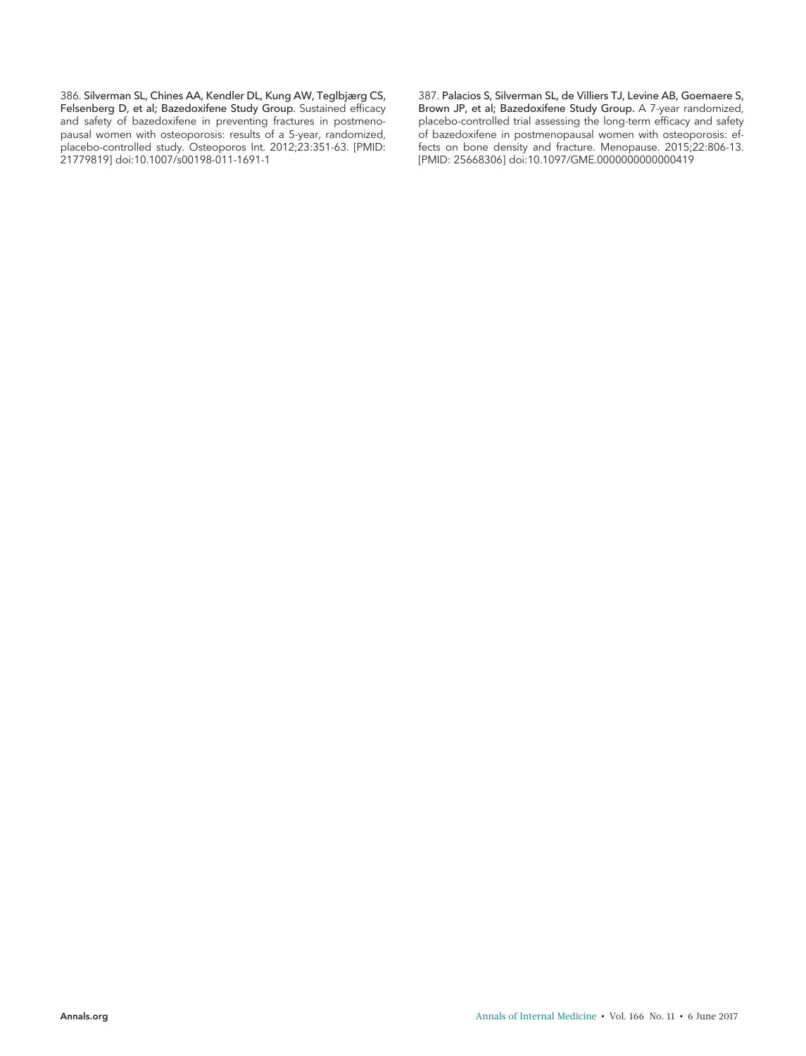386. Silverman SL, Chines AA, Kendler DL, Kung AW, Teglbjærg CS, Felsenberg D, et al; Bazedoxifene Study Group. Sustained efficacy and safety of bazedoxifene in preventing fractures in postmenopausal women with osteoporosis: results of a 5-year, randomized, placebo-controlled study. Osteoporos Int. 2012;23:351-63. [PMID: 21779819] doi:10.1007/s00198-011-1691-1

387. Palacios S, Silverman SL, de Villiers TJ, Levine AB, Goemaere S, Brown JP, et al; Bazedoxifene Study Group. A 7-year randomized, placebo-controlled trial assessing the long-term efficacy and safety of bazedoxifene in postmenopausal women with osteoporosis: effects on bone density and fracture. Menopause. 2015;22:806-13. [PMID: 25668306] doi:10.1097/GME.0000000000000419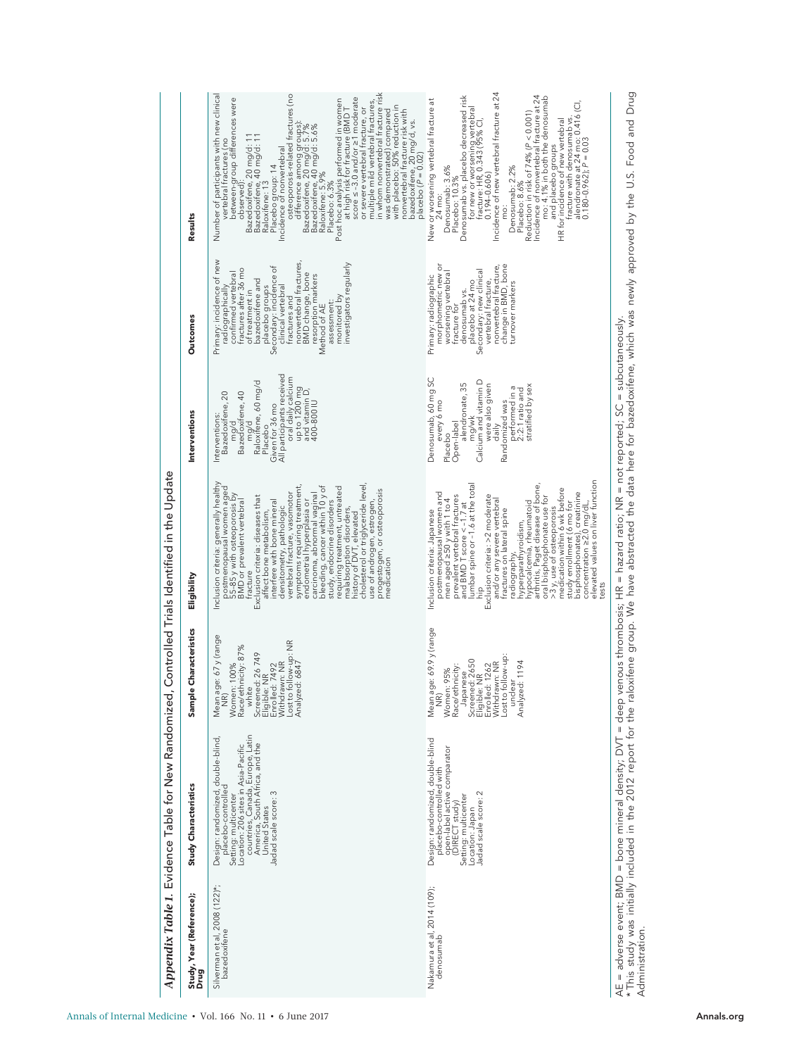Appendix Table 1. Evidence Table for New Randomized, Controlled Trials Identified in the Update *Appendix Table 1.* Evidence Table for New Randomized, Controlled Trials Identified in the Update

AL = adverse event; BMD = bone mineral densty; DV I = deep venous thrombosis; HK = hazard ratio; NK = not reported; SC = subcutaneously.<br>\* This study was initially included in the 2012 report for the raloxifene group. We h \* This study was initially included in the 2012 report for the raloxifene group. We have abstracted the data here for bazedoxifene, which was newly approved by the U.S. Food and Drug AE = adverse event; BMD = bone mineral density; DVT = deep venous thrombosis; HR = hazard ratio; NR = not reported; SC = subcutaneously. Administration.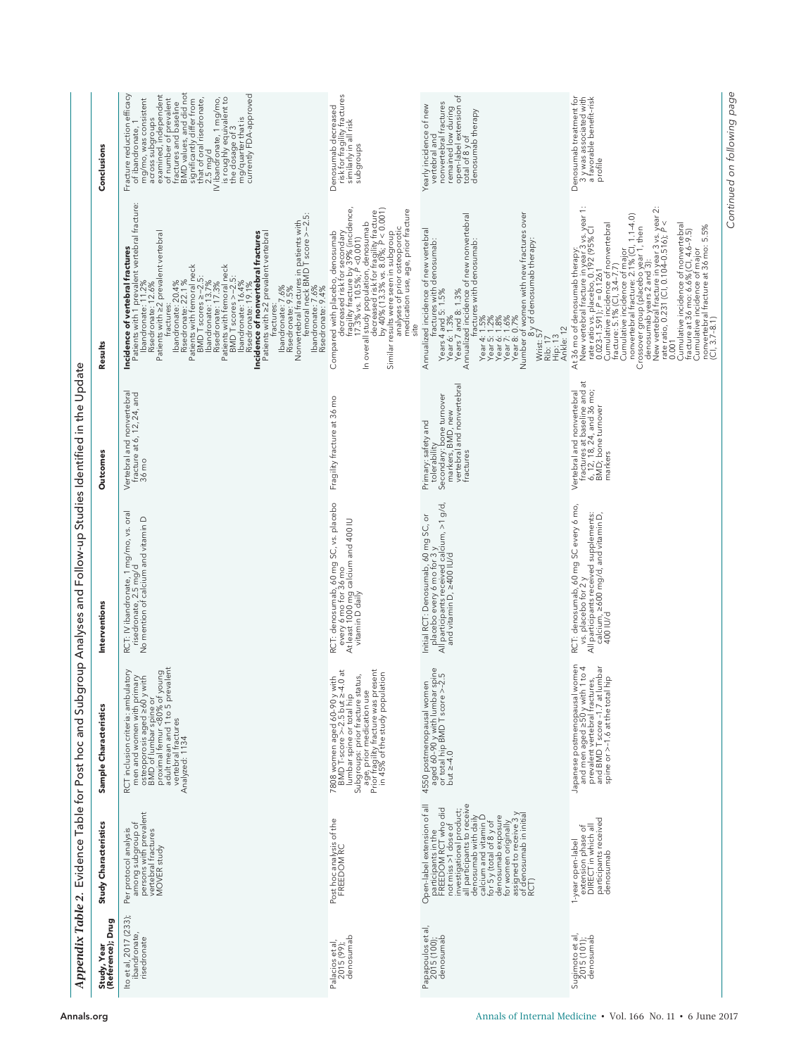|                                                                                                                    | Conclusions                      | accoss subgroups<br>accoss subgroups<br>of number of prevalent<br>fractures and baseline<br>fractures and baseline<br>agonficantly differ from<br>the property of the property<br>$\chi^2$ , in grad<br>is bandly equipped in property<br>is bandly<br>Fracture reduction efficacy<br>of ibandronate, 1<br>mg/mo, was consistent                                                                                                                                                                                                                                                                                                                                                         | Denosumab decreased<br>risk for fragility fractures<br>similarly in all risk<br>subgroups                                                                                                                                                                                                                                                                  | remained low during<br>open-label extension of<br>total of 8 y of<br>denosumab therapy<br>nonvertebral fractures<br>Yearly incidence of new<br>vertebral and                                                                                                                                                                                                                    | Denosumab treatment for<br>3 y was associated with<br>a favorable benefit-risk<br>profile                                                                                                                                                                                                                                                                                                               |
|--------------------------------------------------------------------------------------------------------------------|----------------------------------|------------------------------------------------------------------------------------------------------------------------------------------------------------------------------------------------------------------------------------------------------------------------------------------------------------------------------------------------------------------------------------------------------------------------------------------------------------------------------------------------------------------------------------------------------------------------------------------------------------------------------------------------------------------------------------------|------------------------------------------------------------------------------------------------------------------------------------------------------------------------------------------------------------------------------------------------------------------------------------------------------------------------------------------------------------|---------------------------------------------------------------------------------------------------------------------------------------------------------------------------------------------------------------------------------------------------------------------------------------------------------------------------------------------------------------------------------|---------------------------------------------------------------------------------------------------------------------------------------------------------------------------------------------------------------------------------------------------------------------------------------------------------------------------------------------------------------------------------------------------------|
|                                                                                                                    | Results                          | <b>Incidence of vertebral fractures</b><br>Patients with 1 prevalent vertebral fracture:<br>Risedronate: 12.6%<br>Ratients with ≥2 prevalent vertebral<br>Patients with ≥2 prevalent vertebral<br> bandronate: 7,6%<br> Kherdebral fra 5,5%<br> Kherdebral fra 5,5%<br>  femoral neck BMD T score >−2.5;<br> bandronate: 7,4%<br> Risedronate: 7,4%<br>Paients with femoral neck<br>BMD T scores s−2.5;<br>BMD T scores s−2.5;<br>Risedronate: 17.3%<br>Paients with femoral neck<br>Paients with femoral neck<br>bandronate: 19.1%<br>Incident or 19.1%<br>Incidents with ≥2 prevalent vertebral<br>Paients wi<br>lbandronate: 20.4%<br>Risedronate: 22.1 %<br>fractures:<br>fractures: | Compared with placebo, denosumab<br>facebook from the second from the second in overall study population, denosumably and second from the second second from the second second from the second second second from the second fro<br>analyses of prior osteoporotic<br>medication use, age, prior fracture<br>Similar results were seen in subgroup<br>site | Number of women with new fractures over<br>8 y of denosumab therapy:<br>Wrist: 57<br>Year's 1.3%<br>Year's 1.3%<br>Near's 7 and 8: 1.3%<br>Amariz 7 and 8: 1.38<br>Year 4: 1.2%<br>Year 5: 1.2%<br>Year 8: 0.7%<br>Year 8: 0.7%<br>Year 8: 0.7%<br>Annualized incidence of new vertebral<br>fractures with denosumab:<br>Years 4 and 5: 1.5%<br>Rib: 17<br>Hip: 13<br>Ankle: 12 | At 36 mo of denosumab therapy:<br>rate ratio vs. placebo. 0.192 (95% Cl<br>rate ratio vs. placebo. 0.192 (95% Cl<br>0.023-1.591); $P = 0.1261$<br>formulations in and 1.2000 movembral<br>formulative incidence of major<br>Consover group<br>Cumulative incidence of nonvertebral<br>fracture at 36 mo: 6.6% (Cl, 4.6-9.5)<br>Cumulative incidence of major<br>(Cl, 3.7-8.1)<br>(Cl, 3.7-8.1)<br>0.001 |
|                                                                                                                    | <b>Outcomes</b>                  | Vertebral and nonvertebral<br>fracture at 6, 12, 24, and<br>36 mo                                                                                                                                                                                                                                                                                                                                                                                                                                                                                                                                                                                                                        | Fragility fracture at 36 mo                                                                                                                                                                                                                                                                                                                                | Primary: safety and<br>tolerability<br>Secondary: bone turnover<br>secondary: bone turnover<br>vertebral and nonvertebral<br>fractures                                                                                                                                                                                                                                          | Vertebral and nonvertebral<br>fractures at baseline and at<br>6, 12, 18, 24, and 36 mo;<br>BMD; bone turnover<br>markers                                                                                                                                                                                                                                                                                |
| Appendix Table 2. Evidence Table for Post hoc and Subgroup Analyses and Follow-up Studies Identified in the Update | Interventions                    | RCT: IV ibandronate, 1 mg/mo, vs. oral<br>risedronate, 2.5 mg/d<br>No mention of calcium and vitamin D                                                                                                                                                                                                                                                                                                                                                                                                                                                                                                                                                                                   | RCT: denosumab, 60 mg SC, vs. placebo<br>every 6 mo for 36 mo<br>At amin D daily<br>Aviamin D daily                                                                                                                                                                                                                                                        | Initial RCT: Denosumab, 60 mg SC, or<br>All placebo every 6 mo for 3 y<br>All and vitamin D, 2400 lU/d<br>and vitamin D, 2400 lU/d                                                                                                                                                                                                                                              | RCT: denosumab, 60 mg SC every 6 mo,<br>All participants received supplements:<br>All participants received supplements:<br>400 IU/d                                                                                                                                                                                                                                                                    |
|                                                                                                                    | Sample Characteristics           | men and women with primary<br>osteoporosis aged 260 y with<br>proxin di tembar sping of young<br>proxin di temperature and 1 to 5 prevalent<br>adult mean and 1 to 5 prevalent<br>RCT inclusion criteria: ambulatory<br>vertebral fractures<br>Analyzed: 1134                                                                                                                                                                                                                                                                                                                                                                                                                            | 7808 women aged 60-90 y with<br>BMD T-score >-2.5 but ≥-4.0 at<br>_ lumbar spine or total hip<br>Subgroups: prior fracture status,<br>age, prior medication use<br>Prior fragility fracture was present<br>in 45% of the study population                                                                                                                  | 4550 postmenopausal women<br>aged 60-90 y with lumbar spine<br>or total hip BMD T score >-2.5<br>but ≥-4.0                                                                                                                                                                                                                                                                      | Japanese postmenopausal women<br>and men aged 250 y with 1 to 4<br>prevalent y screer - 1,7 at lures,<br>prevalent y screer - 1,7 at lurbar<br>spine or >-1.6 at the total hip<br>spine or >-1.6 at the total hip                                                                                                                                                                                       |
|                                                                                                                    | Study Characteristics            | among subgroúp of<br>persons with prevalent<br>vertebral fractures<br>MOVER study<br>Per protocol analysis                                                                                                                                                                                                                                                                                                                                                                                                                                                                                                                                                                               | Post hoc analysis of the<br>FREEDOM RC                                                                                                                                                                                                                                                                                                                     | Open-label extension of all<br>investigational product;<br>all participants to receive<br>calcinsumab with daily<br>calcin mab with daily<br>for 5 y (total of 8 y of<br>participants in the<br>FREEDOM RCT who did<br>s: محمد بن دارجة<br>of denosumab in initial<br>RCT)<br>denosumab exposure<br>assigned to receive 3<br>for women originally<br>not miss >1 dose of        | `extension phase of<br>DIRECT in which all<br>participants received<br>denosumab<br>1-year open-label                                                                                                                                                                                                                                                                                                   |
|                                                                                                                    | Study, Year<br>(Reference); Drug | lto et al, 2017 (233);<br>ibandronate,<br>risedronate                                                                                                                                                                                                                                                                                                                                                                                                                                                                                                                                                                                                                                    | Palacios et al,<br>2015 (99);<br>denosumab                                                                                                                                                                                                                                                                                                                 | Papapoulos et al,<br>2015 (100);<br>denosumab                                                                                                                                                                                                                                                                                                                                   | Sugimoto et al,<br>2015 (101);<br>denosumab                                                                                                                                                                                                                                                                                                                                                             |

Continued on following page

Continued on following page